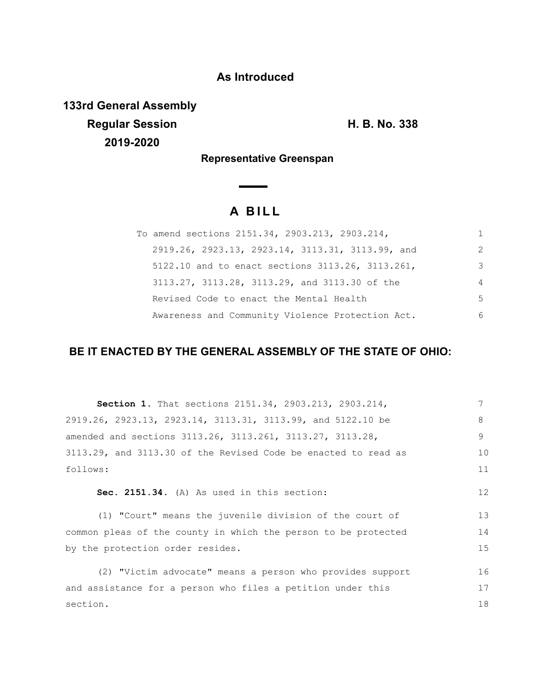## **As Introduced**

**133rd General Assembly Regular Session H. B. No. 338 2019-2020**

**Representative Greenspan**

÷

# **A B I L L**

| To amend sections 2151.34, 2903.213, 2903.214,   | 1.             |
|--------------------------------------------------|----------------|
| 2919.26, 2923.13, 2923.14, 3113.31, 3113.99, and | 2              |
| 5122.10 and to enact sections 3113.26, 3113.261, | 3              |
| 3113.27, 3113.28, 3113.29, and 3113.30 of the    | 4              |
| Revised Code to enact the Mental Health          | $\overline{5}$ |
| Awareness and Community Violence Protection Act. | 6              |

## **BE IT ENACTED BY THE GENERAL ASSEMBLY OF THE STATE OF OHIO:**

| Section 1. That sections 2151.34, 2903.213, 2903.214,          | 7  |
|----------------------------------------------------------------|----|
| 2919.26, 2923.13, 2923.14, 3113.31, 3113.99, and 5122.10 be    | 8  |
| amended and sections 3113.26, 3113.261, 3113.27, 3113.28,      | 9  |
| 3113.29, and 3113.30 of the Revised Code be enacted to read as | 10 |
| follows:                                                       | 11 |
| Sec. 2151.34. (A) As used in this section:                     | 12 |
| (1) "Court" means the juvenile division of the court of        | 13 |
| common pleas of the county in which the person to be protected | 14 |
| by the protection order resides.                               | 15 |
| (2) "Victim advocate" means a person who provides support      | 16 |
| and assistance for a person who files a petition under this    | 17 |
| section.                                                       | 18 |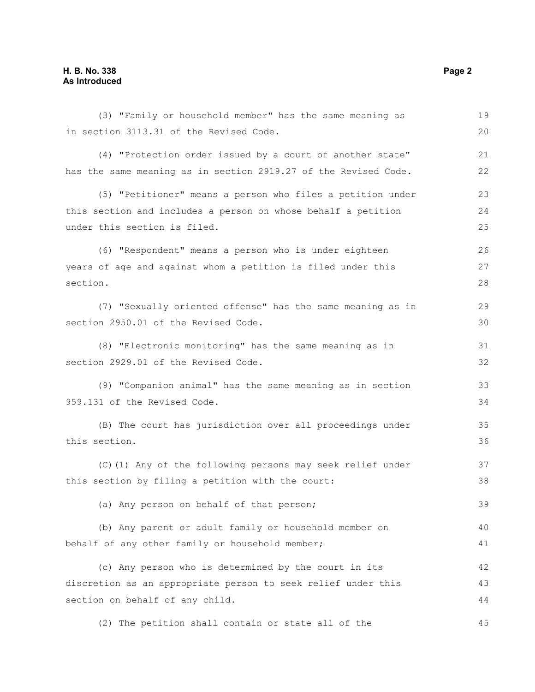### **H. B. No. 338 Page 2 As Introduced**

| (3) "Family or household member" has the same meaning as        | 19 |
|-----------------------------------------------------------------|----|
| in section 3113.31 of the Revised Code.                         | 20 |
| (4) "Protection order issued by a court of another state"       | 21 |
| has the same meaning as in section 2919.27 of the Revised Code. | 22 |
| (5) "Petitioner" means a person who files a petition under      | 23 |
| this section and includes a person on whose behalf a petition   | 24 |
| under this section is filed.                                    | 25 |
| (6) "Respondent" means a person who is under eighteen           | 26 |
| years of age and against whom a petition is filed under this    | 27 |
| section.                                                        | 28 |
| (7) "Sexually oriented offense" has the same meaning as in      | 29 |
| section 2950.01 of the Revised Code.                            | 30 |
| (8) "Electronic monitoring" has the same meaning as in          | 31 |
| section 2929.01 of the Revised Code.                            | 32 |
| (9) "Companion animal" has the same meaning as in section       | 33 |
| 959.131 of the Revised Code.                                    | 34 |
| (B) The court has jurisdiction over all proceedings under       | 35 |
| this section.                                                   | 36 |
| (C) (1) Any of the following persons may seek relief under      | 37 |
| this section by filing a petition with the court:               | 38 |
| (a) Any person on behalf of that person;                        | 39 |
| (b) Any parent or adult family or household member on           | 40 |
| behalf of any other family or household member;                 | 41 |
| (c) Any person who is determined by the court in its            | 42 |
| discretion as an appropriate person to seek relief under this   | 43 |
| section on behalf of any child.                                 | 44 |
| (2) The petition shall contain or state all of the              | 45 |
|                                                                 |    |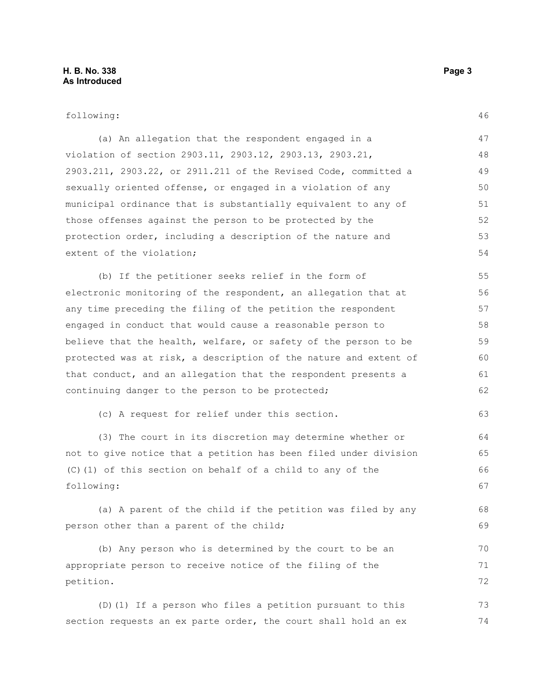#### following:

46

63

68 69

| (a) An allegation that the respondent engaged in a              | 47 |
|-----------------------------------------------------------------|----|
| violation of section 2903.11, 2903.12, 2903.13, 2903.21,        | 48 |
| 2903.211, 2903.22, or 2911.211 of the Revised Code, committed a | 49 |
| sexually oriented offense, or engaged in a violation of any     | 50 |
| municipal ordinance that is substantially equivalent to any of  | 51 |
| those offenses against the person to be protected by the        | 52 |
| protection order, including a description of the nature and     | 53 |
| extent of the violation;                                        | 54 |

(b) If the petitioner seeks relief in the form of electronic monitoring of the respondent, an allegation that at any time preceding the filing of the petition the respondent engaged in conduct that would cause a reasonable person to believe that the health, welfare, or safety of the person to be protected was at risk, a description of the nature and extent of that conduct, and an allegation that the respondent presents a continuing danger to the person to be protected; 55 56 57 58 59 60 61 62

(c) A request for relief under this section.

(3) The court in its discretion may determine whether or not to give notice that a petition has been filed under division (C)(1) of this section on behalf of a child to any of the following: 64 65 66 67

(a) A parent of the child if the petition was filed by any person other than a parent of the child;

(b) Any person who is determined by the court to be an appropriate person to receive notice of the filing of the petition. 70 71 72

(D)(1) If a person who files a petition pursuant to this section requests an ex parte order, the court shall hold an ex 73 74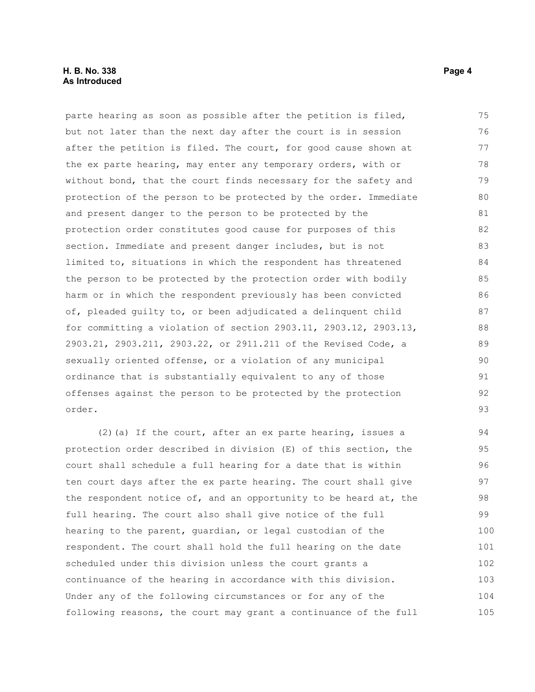#### **H. B. No. 338 Page 4 As Introduced**

parte hearing as soon as possible after the petition is filed, but not later than the next day after the court is in session after the petition is filed. The court, for good cause shown at the ex parte hearing, may enter any temporary orders, with or without bond, that the court finds necessary for the safety and protection of the person to be protected by the order. Immediate and present danger to the person to be protected by the protection order constitutes good cause for purposes of this section. Immediate and present danger includes, but is not limited to, situations in which the respondent has threatened the person to be protected by the protection order with bodily harm or in which the respondent previously has been convicted of, pleaded guilty to, or been adjudicated a delinquent child for committing a violation of section 2903.11, 2903.12, 2903.13, 2903.21, 2903.211, 2903.22, or 2911.211 of the Revised Code, a sexually oriented offense, or a violation of any municipal ordinance that is substantially equivalent to any of those offenses against the person to be protected by the protection order. 75 76 77 78 79 80 81 82 83 84 85 86 87 88 89 90 91 92 93

(2)(a) If the court, after an ex parte hearing, issues a protection order described in division (E) of this section, the court shall schedule a full hearing for a date that is within ten court days after the ex parte hearing. The court shall give the respondent notice of, and an opportunity to be heard at, the full hearing. The court also shall give notice of the full hearing to the parent, guardian, or legal custodian of the respondent. The court shall hold the full hearing on the date scheduled under this division unless the court grants a continuance of the hearing in accordance with this division. Under any of the following circumstances or for any of the following reasons, the court may grant a continuance of the full 94 95 96 97 98 99 100 101 102 103 104 105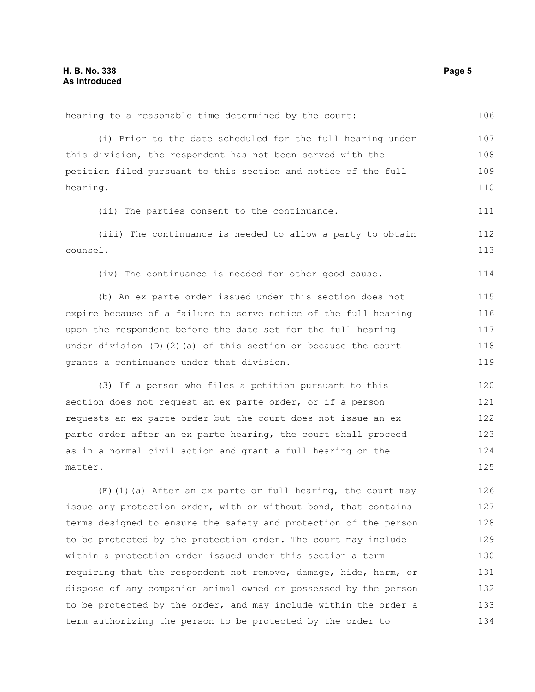hearing to a reasonable time determined by the court: (i) Prior to the date scheduled for the full hearing under this division, the respondent has not been served with the petition filed pursuant to this section and notice of the full hearing. (ii) The parties consent to the continuance. (iii) The continuance is needed to allow a party to obtain counsel. (iv) The continuance is needed for other good cause. (b) An ex parte order issued under this section does not expire because of a failure to serve notice of the full hearing upon the respondent before the date set for the full hearing under division  $(D)(2)(a)$  of this section or because the court grants a continuance under that division. (3) If a person who files a petition pursuant to this section does not request an ex parte order, or if a person requests an ex parte order but the court does not issue an ex parte order after an ex parte hearing, the court shall proceed as in a normal civil action and grant a full hearing on the matter. (E)(1)(a) After an ex parte or full hearing, the court may issue any protection order, with or without bond, that contains terms designed to ensure the safety and protection of the person to be protected by the protection order. The court may include within a protection order issued under this section a term requiring that the respondent not remove, damage, hide, harm, or 106 107 108 109 110 111 112 113 114 115 116 117 118 119 120 121 122 123 124 125 126 127 128 129 130 131

dispose of any companion animal owned or possessed by the person to be protected by the order, and may include within the order a term authorizing the person to be protected by the order to 132 133 134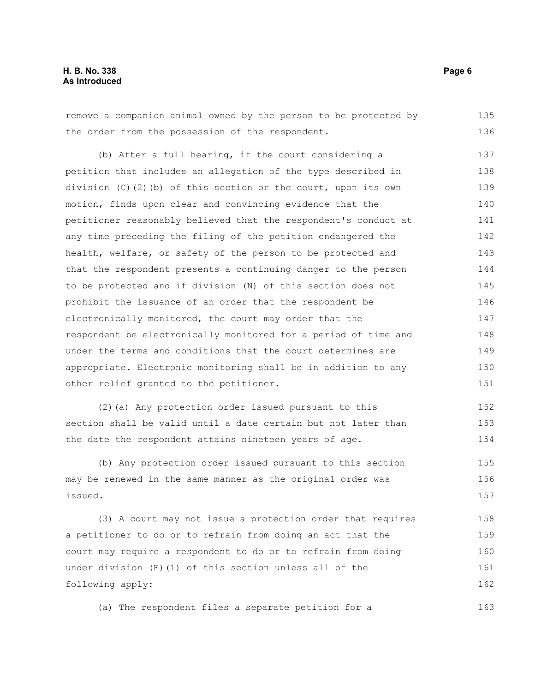#### **H. B. No. 338 Page 6 As Introduced**

remove a companion animal owned by the person to be protected by the order from the possession of the respondent. 135 136

(b) After a full hearing, if the court considering a petition that includes an allegation of the type described in division (C)(2)(b) of this section or the court, upon its own motion, finds upon clear and convincing evidence that the petitioner reasonably believed that the respondent's conduct at any time preceding the filing of the petition endangered the health, welfare, or safety of the person to be protected and that the respondent presents a continuing danger to the person to be protected and if division (N) of this section does not prohibit the issuance of an order that the respondent be electronically monitored, the court may order that the respondent be electronically monitored for a period of time and under the terms and conditions that the court determines are appropriate. Electronic monitoring shall be in addition to any other relief granted to the petitioner. 137 138 139 140 141 142 143 144 145 146 147 148 149 150 151

(2)(a) Any protection order issued pursuant to this section shall be valid until a date certain but not later than the date the respondent attains nineteen years of age. 152 153 154

(b) Any protection order issued pursuant to this section may be renewed in the same manner as the original order was issued. 155 156 157

(3) A court may not issue a protection order that requires a petitioner to do or to refrain from doing an act that the court may require a respondent to do or to refrain from doing under division (E)(1) of this section unless all of the following apply: 158 159 160 161 162

(a) The respondent files a separate petition for a 163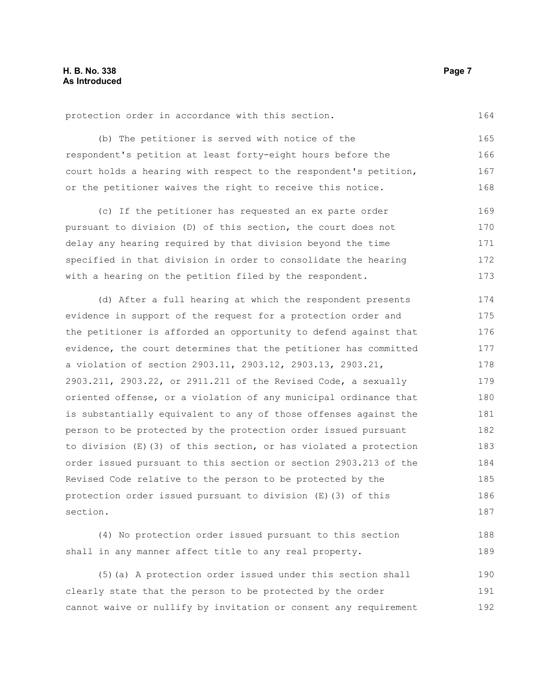protection order in accordance with this section.

(b) The petitioner is served with notice of the respondent's petition at least forty-eight hours before the court holds a hearing with respect to the respondent's petition, or the petitioner waives the right to receive this notice. 165 166 167 168

(c) If the petitioner has requested an ex parte order pursuant to division (D) of this section, the court does not delay any hearing required by that division beyond the time specified in that division in order to consolidate the hearing with a hearing on the petition filed by the respondent. 169 170 171 172 173

(d) After a full hearing at which the respondent presents evidence in support of the request for a protection order and the petitioner is afforded an opportunity to defend against that evidence, the court determines that the petitioner has committed a violation of section 2903.11, 2903.12, 2903.13, 2903.21, 2903.211, 2903.22, or 2911.211 of the Revised Code, a sexually oriented offense, or a violation of any municipal ordinance that is substantially equivalent to any of those offenses against the person to be protected by the protection order issued pursuant to division (E)(3) of this section, or has violated a protection order issued pursuant to this section or section 2903.213 of the Revised Code relative to the person to be protected by the protection order issued pursuant to division (E)(3) of this section. 174 175 176 177 178 179 180 181 182 183 184 185 186 187

(4) No protection order issued pursuant to this section shall in any manner affect title to any real property. 188 189

(5)(a) A protection order issued under this section shall clearly state that the person to be protected by the order cannot waive or nullify by invitation or consent any requirement 190 191 192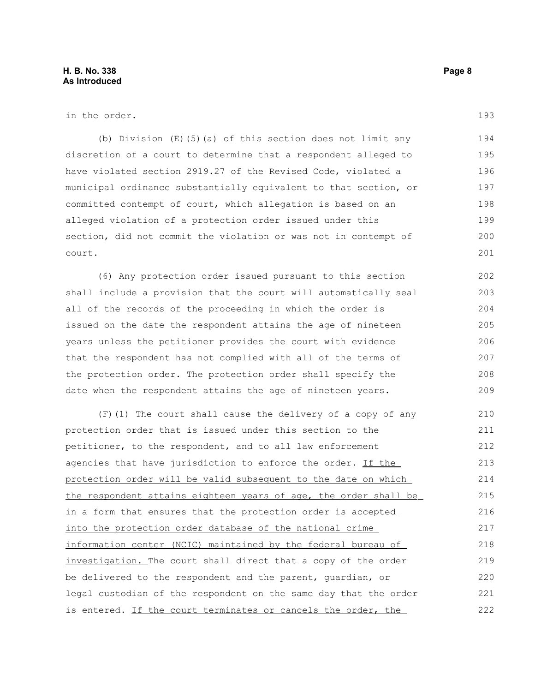in the order.

(b) Division (E)(5)(a) of this section does not limit any discretion of a court to determine that a respondent alleged to have violated section 2919.27 of the Revised Code, violated a municipal ordinance substantially equivalent to that section, or committed contempt of court, which allegation is based on an alleged violation of a protection order issued under this section, did not commit the violation or was not in contempt of court. 194 195 196 197 198 199 200 201

(6) Any protection order issued pursuant to this section shall include a provision that the court will automatically seal all of the records of the proceeding in which the order is issued on the date the respondent attains the age of nineteen years unless the petitioner provides the court with evidence that the respondent has not complied with all of the terms of the protection order. The protection order shall specify the date when the respondent attains the age of nineteen years. 202 203 204 205 206 207 208 209

(F)(1) The court shall cause the delivery of a copy of any protection order that is issued under this section to the petitioner, to the respondent, and to all law enforcement agencies that have jurisdiction to enforce the order. If the protection order will be valid subsequent to the date on which the respondent attains eighteen years of age, the order shall be in a form that ensures that the protection order is accepted into the protection order database of the national crime information center (NCIC) maintained by the federal bureau of investigation. The court shall direct that a copy of the order be delivered to the respondent and the parent, guardian, or legal custodian of the respondent on the same day that the order is entered. If the court terminates or cancels the order, the 210 211 212 213 214 215 216 217 218 219 220 221 222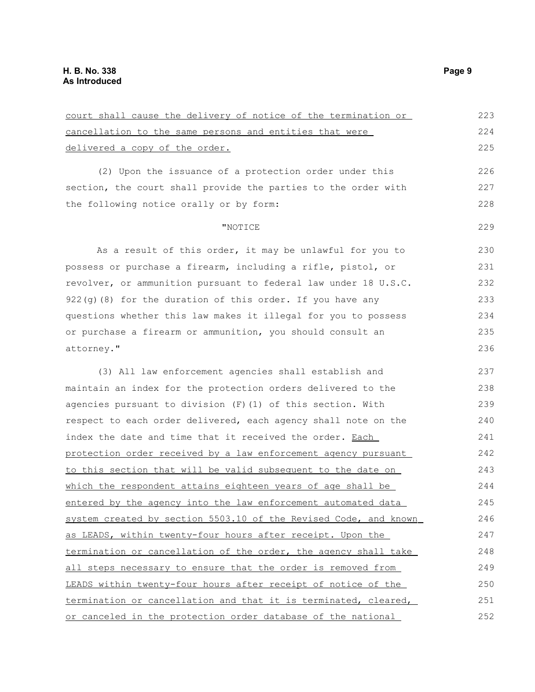| court shall cause the delivery of notice of the termination or   | 223 |
|------------------------------------------------------------------|-----|
| cancellation to the same persons and entities that were          | 224 |
| delivered a copy of the order.                                   | 225 |
| (2) Upon the issuance of a protection order under this           | 226 |
| section, the court shall provide the parties to the order with   | 227 |
| the following notice orally or by form:                          | 228 |
| "NOTICE                                                          | 229 |
| As a result of this order, it may be unlawful for you to         | 230 |
| possess or purchase a firearm, including a rifle, pistol, or     | 231 |
| revolver, or ammunition pursuant to federal law under 18 U.S.C.  | 232 |
| $922(g)$ (8) for the duration of this order. If you have any     | 233 |
| questions whether this law makes it illegal for you to possess   | 234 |
| or purchase a firearm or ammunition, you should consult an       | 235 |
| attorney."                                                       | 236 |
| (3) All law enforcement agencies shall establish and             | 237 |
| maintain an index for the protection orders delivered to the     | 238 |
| agencies pursuant to division (F) (1) of this section. With      | 239 |
| respect to each order delivered, each agency shall note on the   | 240 |
| index the date and time that it received the order. Each         | 241 |
| protection order received by a law enforcement agency pursuant   | 242 |
| to this section that will be valid subsequent to the date on     | 243 |
| which the respondent attains eighteen years of age shall be      | 244 |
| entered by the agency into the law enforcement automated data    | 245 |
| system created by section 5503.10 of the Revised Code, and known | 246 |
| as LEADS, within twenty-four hours after receipt. Upon the       | 247 |
| termination or cancellation of the order, the agency shall take  | 248 |
| all steps necessary to ensure that the order is removed from     | 249 |
| LEADS within twenty-four hours after receipt of notice of the    | 250 |
| termination or cancellation and that it is terminated, cleared,  | 251 |
| or canceled in the protection order database of the national     | 252 |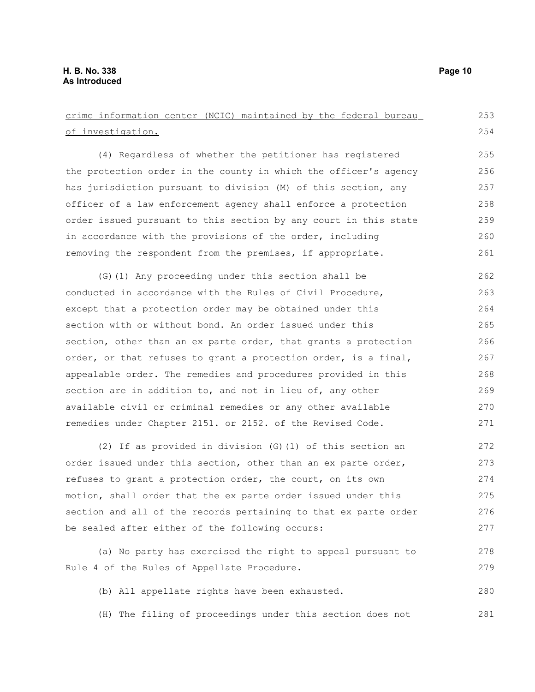of investigation. (4) Regardless of whether the petitioner has registered the protection order in the county in which the officer's agency has jurisdiction pursuant to division (M) of this section, any officer of a law enforcement agency shall enforce a protection order issued pursuant to this section by any court in this state in accordance with the provisions of the order, including removing the respondent from the premises, if appropriate. (G)(1) Any proceeding under this section shall be conducted in accordance with the Rules of Civil Procedure, except that a protection order may be obtained under this section with or without bond. An order issued under this section, other than an ex parte order, that grants a protection order, or that refuses to grant a protection order, is a final, appealable order. The remedies and procedures provided in this section are in addition to, and not in lieu of, any other available civil or criminal remedies or any other available remedies under Chapter 2151. or 2152. of the Revised Code. (2) If as provided in division (G)(1) of this section an order issued under this section, other than an ex parte order, refuses to grant a protection order, the court, on its own motion, shall order that the ex parte order issued under this section and all of the records pertaining to that ex parte order be sealed after either of the following occurs: (a) No party has exercised the right to appeal pursuant to Rule 4 of the Rules of Appellate Procedure. (b) All appellate rights have been exhausted. 254 255 256 257 258 259 260 261 262 263 264 265 266 267 268 269 270 271 272 273 274 275 276 277 278 279 280

crime information center (NCIC) maintained by the federal bureau

(H) The filing of proceedings under this section does not 281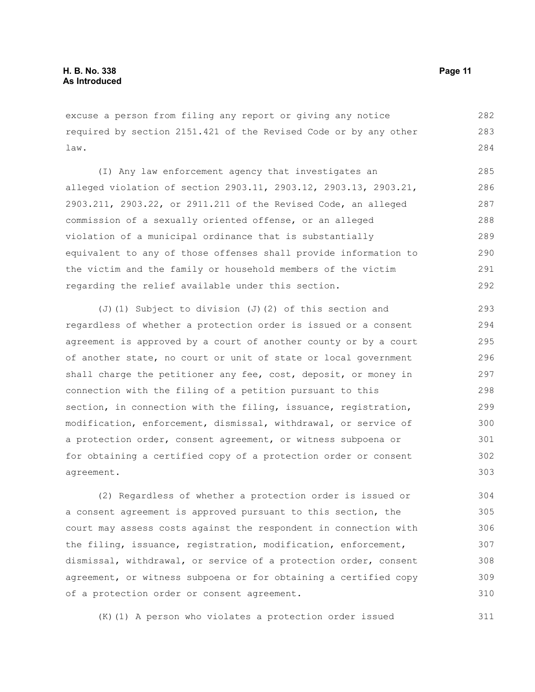excuse a person from filing any report or giving any notice required by section 2151.421 of the Revised Code or by any other law. 282 283 284

(I) Any law enforcement agency that investigates an alleged violation of section 2903.11, 2903.12, 2903.13, 2903.21, 2903.211, 2903.22, or 2911.211 of the Revised Code, an alleged commission of a sexually oriented offense, or an alleged violation of a municipal ordinance that is substantially equivalent to any of those offenses shall provide information to the victim and the family or household members of the victim regarding the relief available under this section. 285 286 287 288 289 290 291 292

(J)(1) Subject to division (J)(2) of this section and regardless of whether a protection order is issued or a consent agreement is approved by a court of another county or by a court of another state, no court or unit of state or local government shall charge the petitioner any fee, cost, deposit, or money in connection with the filing of a petition pursuant to this section, in connection with the filing, issuance, registration, modification, enforcement, dismissal, withdrawal, or service of a protection order, consent agreement, or witness subpoena or for obtaining a certified copy of a protection order or consent agreement. 293 294 295 296 297 298 299 300 301 302 303

(2) Regardless of whether a protection order is issued or a consent agreement is approved pursuant to this section, the court may assess costs against the respondent in connection with the filing, issuance, registration, modification, enforcement, dismissal, withdrawal, or service of a protection order, consent agreement, or witness subpoena or for obtaining a certified copy of a protection order or consent agreement. 304 305 306 307 308 309 310

(K)(1) A person who violates a protection order issued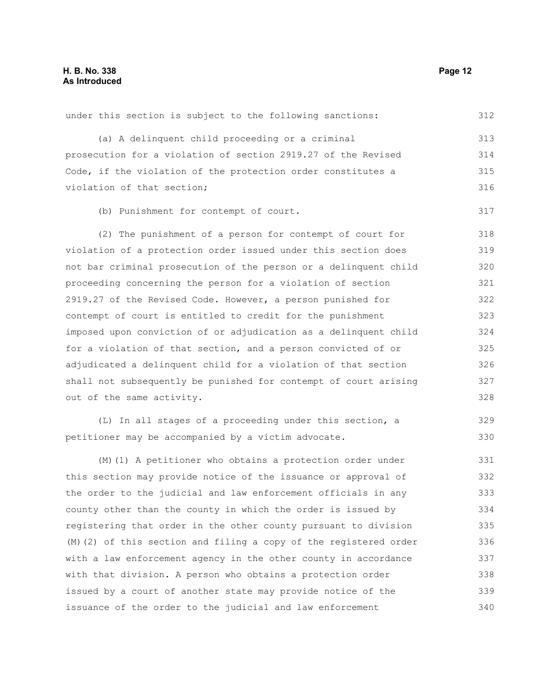| under this section is subject to the following sanctions:        | 312 |
|------------------------------------------------------------------|-----|
| (a) A delinquent child proceeding or a criminal                  | 313 |
| prosecution for a violation of section 2919.27 of the Revised    | 314 |
| Code, if the violation of the protection order constitutes a     | 315 |
| violation of that section;                                       | 316 |
| (b) Punishment for contempt of court.                            | 317 |
| (2) The punishment of a person for contempt of court for         | 318 |
| violation of a protection order issued under this section does   | 319 |
| not bar criminal prosecution of the person or a delinquent child | 320 |
| proceeding concerning the person for a violation of section      | 321 |
| 2919.27 of the Revised Code. However, a person punished for      | 322 |
| contempt of court is entitled to credit for the punishment       | 323 |
| imposed upon conviction of or adjudication as a delinquent child | 324 |
| for a violation of that section, and a person convicted of or    | 325 |
| adjudicated a delinquent child for a violation of that section   | 326 |
| shall not subsequently be punished for contempt of court arising | 327 |
| out of the same activity.                                        | 328 |
| (L) In all stages of a proceeding under this section, a          | 329 |
| petitioner may be accompanied by a victim advocate.              | 330 |
| (M) (1) A petitioner who obtains a protection order under        | 331 |
| this section may provide notice of the issuance or approval of   | 332 |
| the order to the judicial and law enforcement officials in any   | 333 |
| county other than the county in which the order is issued by     | 334 |

registering that order in the other county pursuant to division (M)(2) of this section and filing a copy of the registered order with a law enforcement agency in the other county in accordance

with that division. A person who obtains a protection order issued by a court of another state may provide notice of the

issuance of the order to the judicial and law enforcement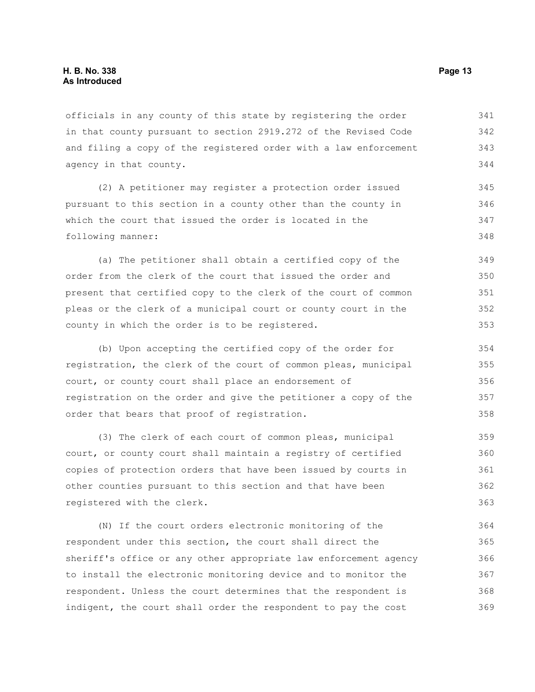officials in any county of this state by registering the order in that county pursuant to section 2919.272 of the Revised Code and filing a copy of the registered order with a law enforcement agency in that county. 341 342 343 344

(2) A petitioner may register a protection order issued pursuant to this section in a county other than the county in which the court that issued the order is located in the following manner: 345 346 347 348

(a) The petitioner shall obtain a certified copy of the order from the clerk of the court that issued the order and present that certified copy to the clerk of the court of common pleas or the clerk of a municipal court or county court in the county in which the order is to be registered. 349 350 351 352 353

(b) Upon accepting the certified copy of the order for registration, the clerk of the court of common pleas, municipal court, or county court shall place an endorsement of registration on the order and give the petitioner a copy of the order that bears that proof of registration. 354 355 356 357 358

(3) The clerk of each court of common pleas, municipal court, or county court shall maintain a registry of certified copies of protection orders that have been issued by courts in other counties pursuant to this section and that have been registered with the clerk. 359 360 361 362 363

(N) If the court orders electronic monitoring of the respondent under this section, the court shall direct the sheriff's office or any other appropriate law enforcement agency to install the electronic monitoring device and to monitor the respondent. Unless the court determines that the respondent is indigent, the court shall order the respondent to pay the cost 364 365 366 367 368 369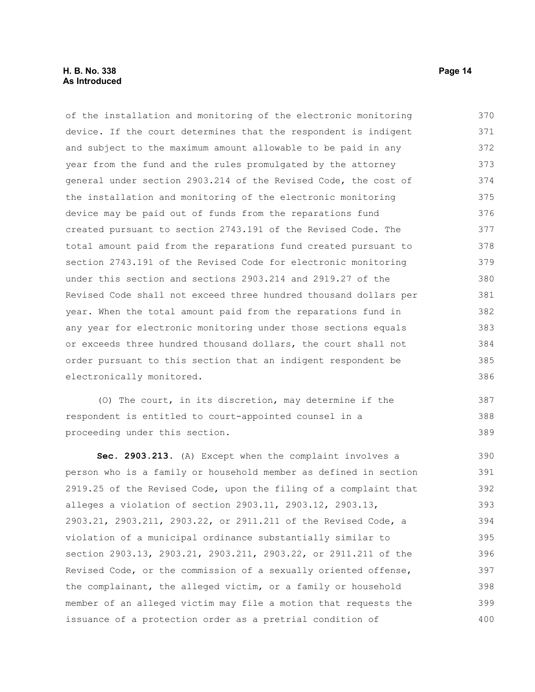#### **H. B. No. 338 Page 14 As Introduced**

of the installation and monitoring of the electronic monitoring device. If the court determines that the respondent is indigent and subject to the maximum amount allowable to be paid in any year from the fund and the rules promulgated by the attorney general under section 2903.214 of the Revised Code, the cost of the installation and monitoring of the electronic monitoring device may be paid out of funds from the reparations fund created pursuant to section 2743.191 of the Revised Code. The total amount paid from the reparations fund created pursuant to section 2743.191 of the Revised Code for electronic monitoring under this section and sections 2903.214 and 2919.27 of the Revised Code shall not exceed three hundred thousand dollars per year. When the total amount paid from the reparations fund in any year for electronic monitoring under those sections equals or exceeds three hundred thousand dollars, the court shall not order pursuant to this section that an indigent respondent be electronically monitored. 370 371 372 373 374 375 376 377 378 379 380 381 382 383 384 385 386

(O) The court, in its discretion, may determine if the respondent is entitled to court-appointed counsel in a proceeding under this section.

**Sec. 2903.213.** (A) Except when the complaint involves a person who is a family or household member as defined in section 2919.25 of the Revised Code, upon the filing of a complaint that alleges a violation of section 2903.11, 2903.12, 2903.13, 2903.21, 2903.211, 2903.22, or 2911.211 of the Revised Code, a violation of a municipal ordinance substantially similar to section 2903.13, 2903.21, 2903.211, 2903.22, or 2911.211 of the Revised Code, or the commission of a sexually oriented offense, the complainant, the alleged victim, or a family or household member of an alleged victim may file a motion that requests the issuance of a protection order as a pretrial condition of 390 391 392 393 394 395 396 397 398 399 400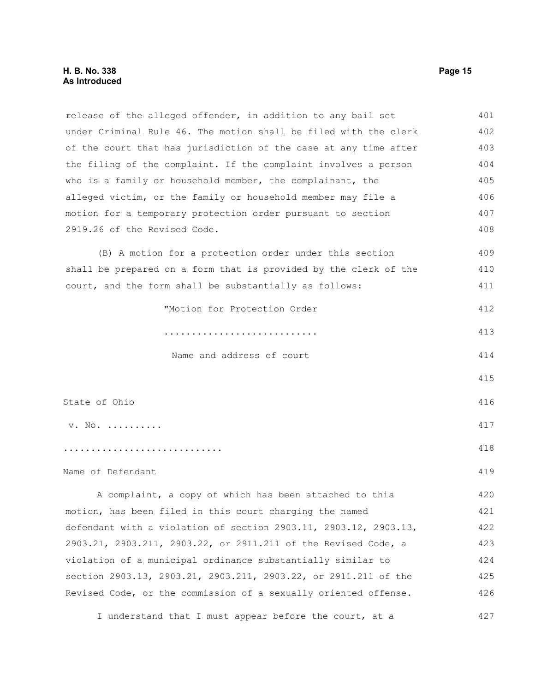release of the alleged offender, in addition to any bail set under Criminal Rule 46. The motion shall be filed with the clerk of the court that has jurisdiction of the case at any time after the filing of the complaint. If the complaint involves a person who is a family or household member, the complainant, the alleged victim, or the family or household member may file a motion for a temporary protection order pursuant to section 2919.26 of the Revised Code. (B) A motion for a protection order under this section shall be prepared on a form that is provided by the clerk of the court, and the form shall be substantially as follows: "Motion for Protection Order ............................ Name and address of court State of Ohio v. No. .......... ............................. Name of Defendant A complaint, a copy of which has been attached to this motion, has been filed in this court charging the named defendant with a violation of section 2903.11, 2903.12, 2903.13, 2903.21, 2903.211, 2903.22, or 2911.211 of the Revised Code, a violation of a municipal ordinance substantially similar to section 2903.13, 2903.21, 2903.211, 2903.22, or 2911.211 of the Revised Code, or the commission of a sexually oriented offense. 401 402 403 404 405 406 407 408 409 410 411 412 413 414 415 416 417 418 419 420 421 422 423 424 425 426

I understand that I must appear before the court, at a 427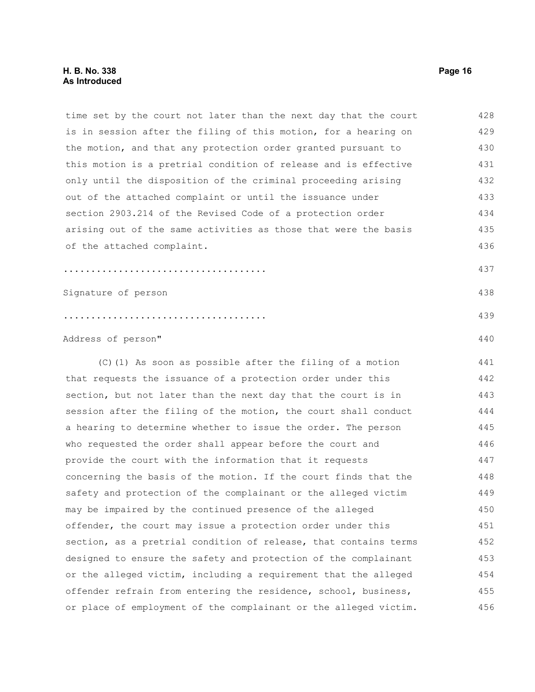#### **H. B. No. 338 Page 16 As Introduced**

time set by the court not later than the next day that the court is in session after the filing of this motion, for a hearing on the motion, and that any protection order granted pursuant to this motion is a pretrial condition of release and is effective only until the disposition of the criminal proceeding arising out of the attached complaint or until the issuance under section 2903.214 of the Revised Code of a protection order arising out of the same activities as those that were the basis of the attached complaint. ..................................... Signature of person ..................................... Address of person" (C)(1) As soon as possible after the filing of a motion that requests the issuance of a protection order under this section, but not later than the next day that the court is in session after the filing of the motion, the court shall conduct a hearing to determine whether to issue the order. The person who requested the order shall appear before the court and provide the court with the information that it requests concerning the basis of the motion. If the court finds that the safety and protection of the complainant or the alleged victim may be impaired by the continued presence of the alleged offender, the court may issue a protection order under this section, as a pretrial condition of release, that contains terms designed to ensure the safety and protection of the complainant or the alleged victim, including a requirement that the alleged offender refrain from entering the residence, school, business, or place of employment of the complainant or the alleged victim. 428 429 430 431 432 433 434 435 436 437 438 439 440 441 442 443 444 445 446 447 448 449 450 451 452 453 454 455 456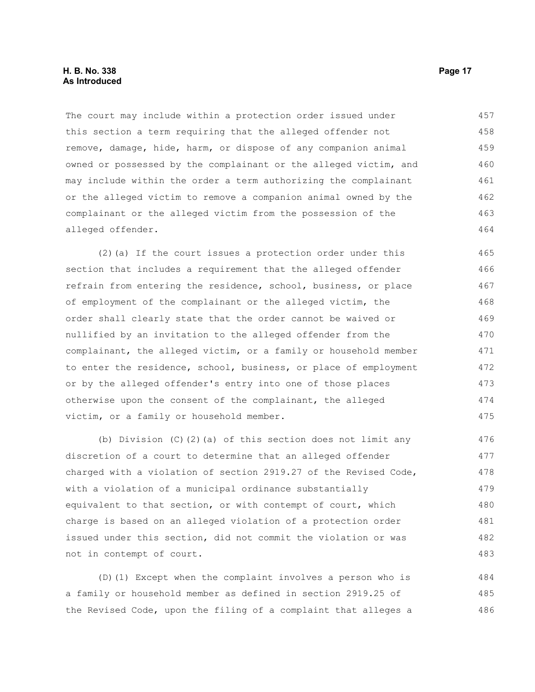The court may include within a protection order issued under this section a term requiring that the alleged offender not remove, damage, hide, harm, or dispose of any companion animal owned or possessed by the complainant or the alleged victim, and may include within the order a term authorizing the complainant or the alleged victim to remove a companion animal owned by the complainant or the alleged victim from the possession of the alleged offender. 457 458 459 460 461 462 463 464

(2)(a) If the court issues a protection order under this section that includes a requirement that the alleged offender refrain from entering the residence, school, business, or place of employment of the complainant or the alleged victim, the order shall clearly state that the order cannot be waived or nullified by an invitation to the alleged offender from the complainant, the alleged victim, or a family or household member to enter the residence, school, business, or place of employment or by the alleged offender's entry into one of those places otherwise upon the consent of the complainant, the alleged victim, or a family or household member. 465 466 467 468 469 470 471 472 473 474 475

(b) Division (C)(2)(a) of this section does not limit any discretion of a court to determine that an alleged offender charged with a violation of section 2919.27 of the Revised Code, with a violation of a municipal ordinance substantially equivalent to that section, or with contempt of court, which charge is based on an alleged violation of a protection order issued under this section, did not commit the violation or was not in contempt of court. 476 477 478 479 480 481 482 483

(D)(1) Except when the complaint involves a person who is a family or household member as defined in section 2919.25 of the Revised Code, upon the filing of a complaint that alleges a 484 485 486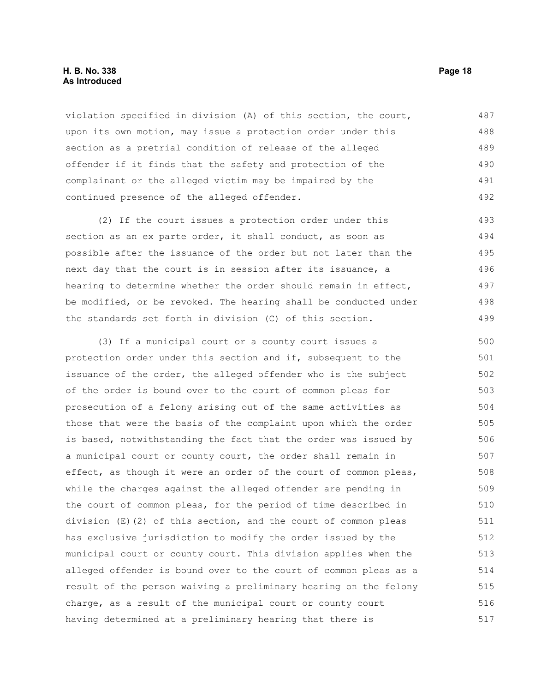#### **H. B. No. 338 Page 18 As Introduced**

violation specified in division (A) of this section, the court, upon its own motion, may issue a protection order under this section as a pretrial condition of release of the alleged offender if it finds that the safety and protection of the complainant or the alleged victim may be impaired by the continued presence of the alleged offender. 487 488 489 490 491 492

(2) If the court issues a protection order under this section as an ex parte order, it shall conduct, as soon as possible after the issuance of the order but not later than the next day that the court is in session after its issuance, a hearing to determine whether the order should remain in effect, be modified, or be revoked. The hearing shall be conducted under the standards set forth in division (C) of this section. 493 494 495 496 497 498 499

(3) If a municipal court or a county court issues a protection order under this section and if, subsequent to the issuance of the order, the alleged offender who is the subject of the order is bound over to the court of common pleas for prosecution of a felony arising out of the same activities as those that were the basis of the complaint upon which the order is based, notwithstanding the fact that the order was issued by a municipal court or county court, the order shall remain in effect, as though it were an order of the court of common pleas, while the charges against the alleged offender are pending in the court of common pleas, for the period of time described in division  $(E)(2)$  of this section, and the court of common pleas has exclusive jurisdiction to modify the order issued by the municipal court or county court. This division applies when the alleged offender is bound over to the court of common pleas as a result of the person waiving a preliminary hearing on the felony charge, as a result of the municipal court or county court having determined at a preliminary hearing that there is 500 501 502 503 504 505 506 507 508 509 510 511 512 513 514 515 516 517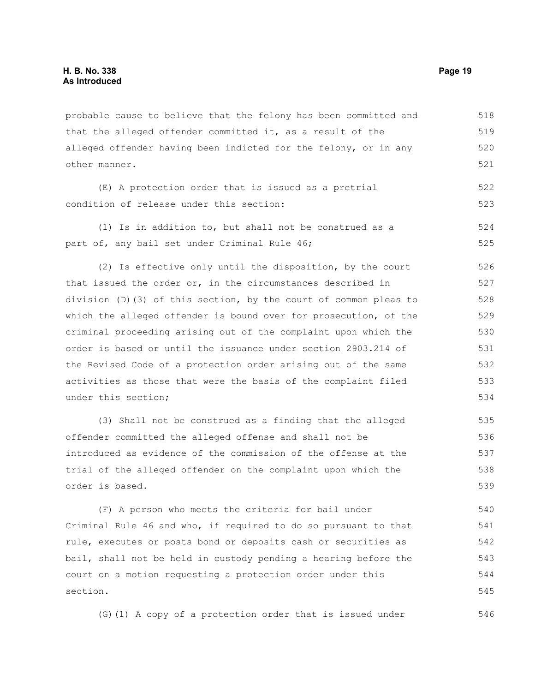probable cause to believe that the felony has been committed and that the alleged offender committed it, as a result of the alleged offender having been indicted for the felony, or in any other manner. 518 519 520 521

(E) A protection order that is issued as a pretrial condition of release under this section: 522 523

(1) Is in addition to, but shall not be construed as a part of, any bail set under Criminal Rule 46; 524 525

(2) Is effective only until the disposition, by the court that issued the order or, in the circumstances described in division (D)(3) of this section, by the court of common pleas to which the alleged offender is bound over for prosecution, of the criminal proceeding arising out of the complaint upon which the order is based or until the issuance under section 2903.214 of the Revised Code of a protection order arising out of the same activities as those that were the basis of the complaint filed under this section; 526 527 528 529 530 531 532 533 534

(3) Shall not be construed as a finding that the alleged offender committed the alleged offense and shall not be introduced as evidence of the commission of the offense at the trial of the alleged offender on the complaint upon which the order is based. 535 536 537 538 539

(F) A person who meets the criteria for bail under Criminal Rule 46 and who, if required to do so pursuant to that rule, executes or posts bond or deposits cash or securities as bail, shall not be held in custody pending a hearing before the court on a motion requesting a protection order under this section. 540 541 542 543 544 545

(G)(1) A copy of a protection order that is issued under 546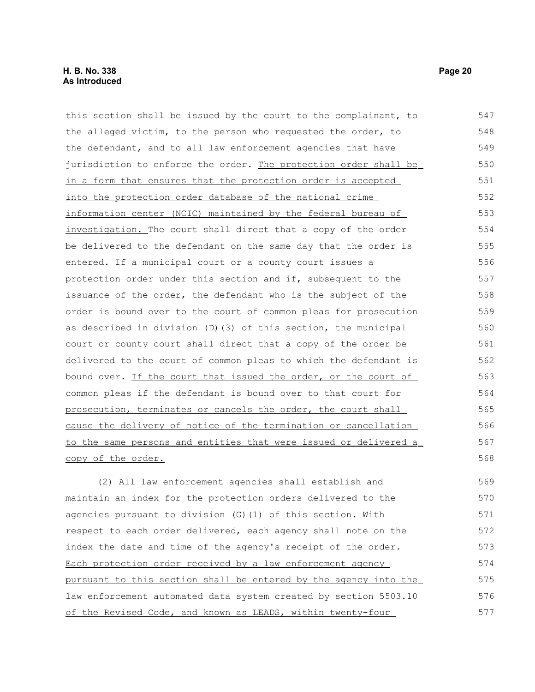| this section shall be issued by the court to the complainant, to | 547 |
|------------------------------------------------------------------|-----|
| the alleged victim, to the person who requested the order, to    | 548 |
| the defendant, and to all law enforcement agencies that have     | 549 |
| jurisdiction to enforce the order. The protection order shall be | 550 |
| in a form that ensures that the protection order is accepted     | 551 |
| into the protection order database of the national crime         | 552 |
| information center (NCIC) maintained by the federal bureau of    | 553 |
| investigation. The court shall direct that a copy of the order   | 554 |
| be delivered to the defendant on the same day that the order is  | 555 |
| entered. If a municipal court or a county court issues a         | 556 |
| protection order under this section and if, subsequent to the    | 557 |
| issuance of the order, the defendant who is the subject of the   | 558 |
| order is bound over to the court of common pleas for prosecution | 559 |
| as described in division (D) (3) of this section, the municipal  | 560 |
| court or county court shall direct that a copy of the order be   | 561 |
| delivered to the court of common pleas to which the defendant is | 562 |
| bound over. If the court that issued the order, or the court of  | 563 |
| common pleas if the defendant is bound over to that court for    | 564 |
| prosecution, terminates or cancels the order, the court shall    | 565 |
| cause the delivery of notice of the termination or cancellation  | 566 |
| to the same persons and entities that were issued or delivered a | 567 |
| copy of the order.                                               | 568 |
| (2) All law enforcement agencies shall establish and             | 569 |
| maintain an index for the protection orders delivered to the     | 570 |
| agencies pursuant to division (G) (1) of this section. With      | 571 |

respect to each order delivered, each agency shall note on the index the date and time of the agency's receipt of the order. Each protection order received by a law enforcement agency pursuant to this section shall be entered by the agency into the law enforcement automated data system created by section 5503.10 of the Revised Code, and known as LEADS, within twenty-four 572 573 574 575 576 577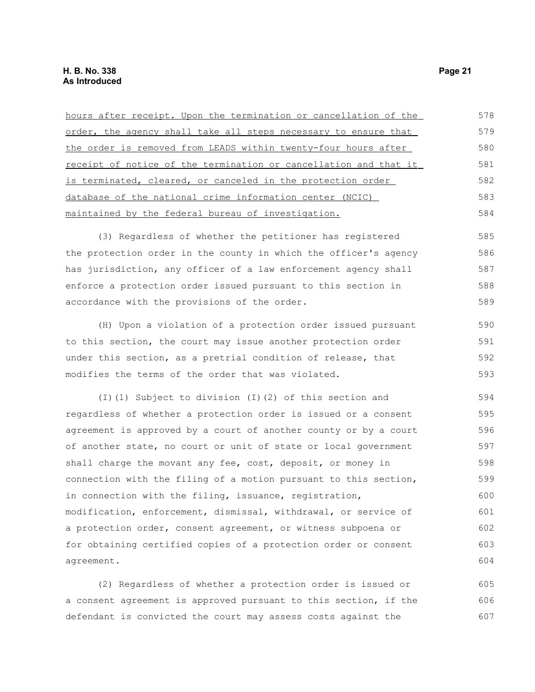| hours after receipt. Upon the termination or cancellation of the | 578 |
|------------------------------------------------------------------|-----|
| order, the agency shall take all steps necessary to ensure that  | 579 |
| the order is removed from LEADS within twenty-four hours after   | 580 |
| receipt of notice of the termination or cancellation and that it | 581 |
| is terminated, cleared, or canceled in the protection order      | 582 |
| database of the national crime information center (NCIC)         | 583 |
| maintained by the federal bureau of investigation.               | 584 |
| (3) Regardless of whether the petitioner has registered          | 585 |
| the protection order in the county in which the officer's agency | 586 |
| has jurisdiction, any officer of a law enforcement agency shall  | 587 |
| enforce a protection order issued pursuant to this section in    | 588 |
| accordance with the provisions of the order.                     | 589 |
| (H) Upon a violation of a protection order issued pursuant       | 590 |
| to this section, the court may issue another protection order    | 591 |
| under this section, as a pretrial condition of release, that     | 592 |
| modifies the terms of the order that was violated.               | 593 |

(I)(1) Subject to division (I)(2) of this section and regardless of whether a protection order is issued or a consent agreement is approved by a court of another county or by a court of another state, no court or unit of state or local government shall charge the movant any fee, cost, deposit, or money in connection with the filing of a motion pursuant to this section, in connection with the filing, issuance, registration, modification, enforcement, dismissal, withdrawal, or service of a protection order, consent agreement, or witness subpoena or for obtaining certified copies of a protection order or consent agreement. 594 595 596 597 598 599 600 601 602 603 604

(2) Regardless of whether a protection order is issued or a consent agreement is approved pursuant to this section, if the defendant is convicted the court may assess costs against the 605 606 607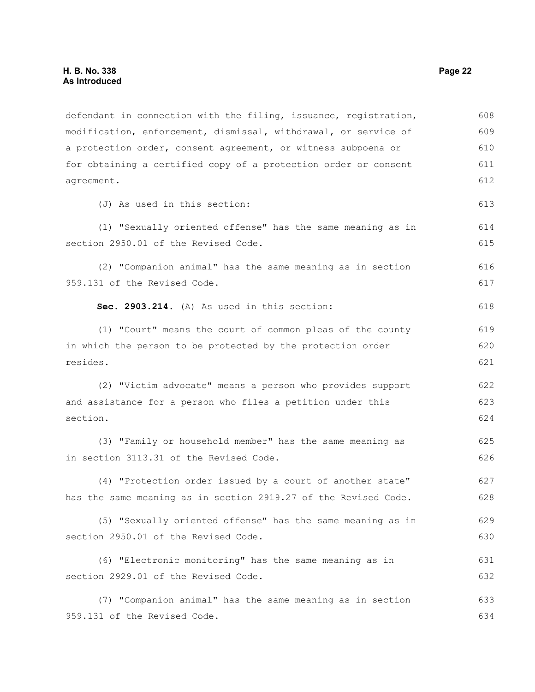959.131 of the Revised Code.

defendant in connection with the filing, issuance, registration, modification, enforcement, dismissal, withdrawal, or service of a protection order, consent agreement, or witness subpoena or for obtaining a certified copy of a protection order or consent agreement. (J) As used in this section: (1) "Sexually oriented offense" has the same meaning as in section 2950.01 of the Revised Code. (2) "Companion animal" has the same meaning as in section 959.131 of the Revised Code. **Sec. 2903.214.** (A) As used in this section: (1) "Court" means the court of common pleas of the county in which the person to be protected by the protection order resides. (2) "Victim advocate" means a person who provides support and assistance for a person who files a petition under this section. (3) "Family or household member" has the same meaning as in section 3113.31 of the Revised Code. (4) "Protection order issued by a court of another state" has the same meaning as in section 2919.27 of the Revised Code. (5) "Sexually oriented offense" has the same meaning as in section 2950.01 of the Revised Code. (6) "Electronic monitoring" has the same meaning as in section 2929.01 of the Revised Code. (7) "Companion animal" has the same meaning as in section 608 609 610 611 612 613 614 615 616 617 618 619 620 621 622 623 624 625 626 627 628 629 630 631 632 633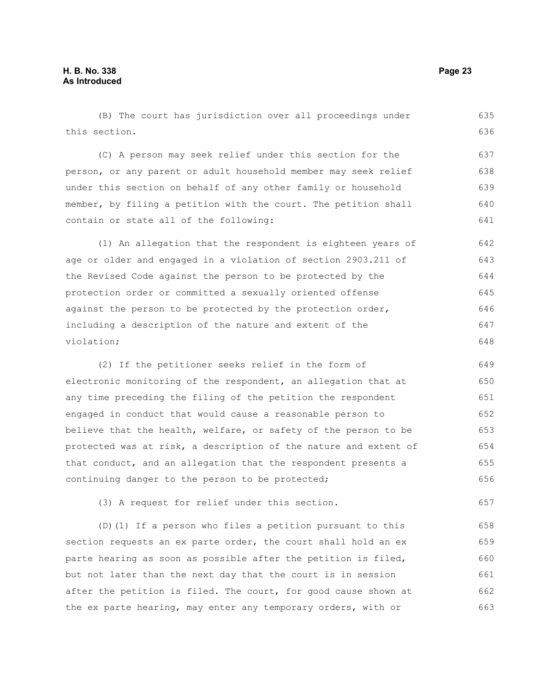(B) The court has jurisdiction over all proceedings under this section. (C) A person may seek relief under this section for the person, or any parent or adult household member may seek relief under this section on behalf of any other family or household member, by filing a petition with the court. The petition shall contain or state all of the following: (1) An allegation that the respondent is eighteen years of age or older and engaged in a violation of section 2903.211 of the Revised Code against the person to be protected by the protection order or committed a sexually oriented offense against the person to be protected by the protection order, including a description of the nature and extent of the violation; 635 636 637 638 639 640 641 642 643 644 645 646 647 648

(2) If the petitioner seeks relief in the form of electronic monitoring of the respondent, an allegation that at any time preceding the filing of the petition the respondent engaged in conduct that would cause a reasonable person to believe that the health, welfare, or safety of the person to be protected was at risk, a description of the nature and extent of that conduct, and an allegation that the respondent presents a continuing danger to the person to be protected; 649 650 651 652 653 654 655 656

(3) A request for relief under this section. 657

(D)(1) If a person who files a petition pursuant to this section requests an ex parte order, the court shall hold an ex parte hearing as soon as possible after the petition is filed, but not later than the next day that the court is in session after the petition is filed. The court, for good cause shown at the ex parte hearing, may enter any temporary orders, with or 658 659 660 661 662 663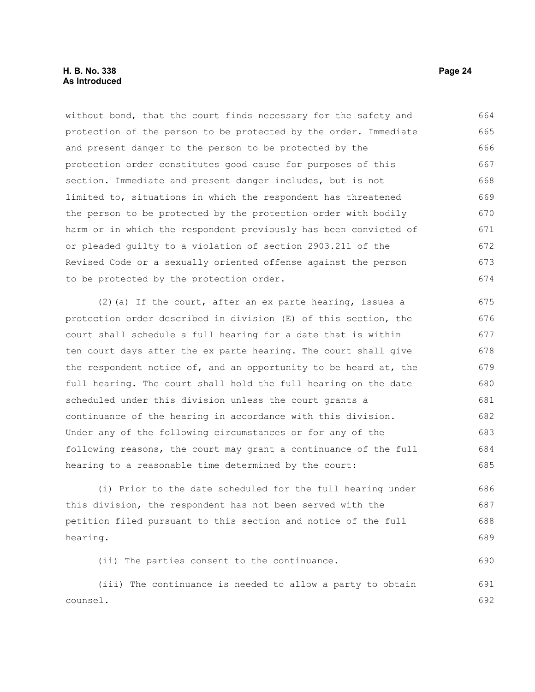#### **H. B. No. 338 Page 24 As Introduced**

without bond, that the court finds necessary for the safety and protection of the person to be protected by the order. Immediate and present danger to the person to be protected by the protection order constitutes good cause for purposes of this section. Immediate and present danger includes, but is not limited to, situations in which the respondent has threatened the person to be protected by the protection order with bodily harm or in which the respondent previously has been convicted of or pleaded guilty to a violation of section 2903.211 of the Revised Code or a sexually oriented offense against the person to be protected by the protection order. 664 665 666 667 668 669 670 671 672 673 674

(2)(a) If the court, after an ex parte hearing, issues a protection order described in division (E) of this section, the court shall schedule a full hearing for a date that is within ten court days after the ex parte hearing. The court shall give the respondent notice of, and an opportunity to be heard at, the full hearing. The court shall hold the full hearing on the date scheduled under this division unless the court grants a continuance of the hearing in accordance with this division. Under any of the following circumstances or for any of the following reasons, the court may grant a continuance of the full hearing to a reasonable time determined by the court: 675 676 677 678 679 680 681 682 683 684 685

(i) Prior to the date scheduled for the full hearing under this division, the respondent has not been served with the petition filed pursuant to this section and notice of the full hearing. 686 687 688 689

(ii) The parties consent to the continuance.

(iii) The continuance is needed to allow a party to obtain counsel. 691 692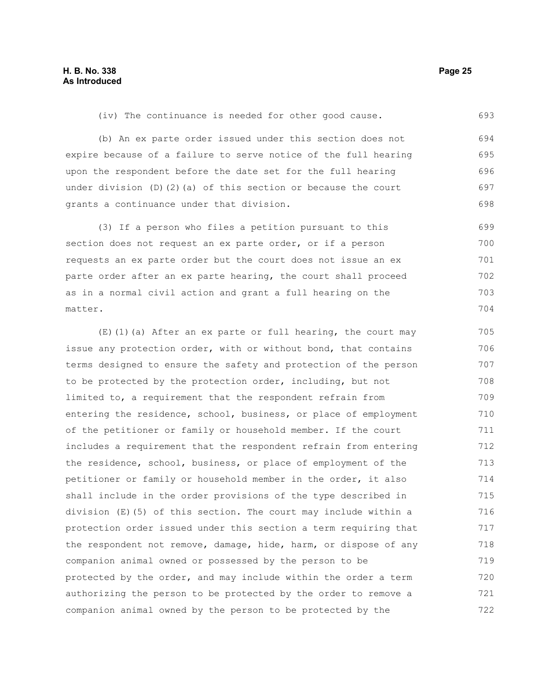(iv) The continuance is needed for other good cause. 693

(b) An ex parte order issued under this section does not expire because of a failure to serve notice of the full hearing upon the respondent before the date set for the full hearing under division  $(D)$   $(2)$   $(a)$  of this section or because the court grants a continuance under that division. 694 695 696 697 698

(3) If a person who files a petition pursuant to this section does not request an ex parte order, or if a person requests an ex parte order but the court does not issue an ex parte order after an ex parte hearing, the court shall proceed as in a normal civil action and grant a full hearing on the matter. 699 700 701 702 703 704

(E)(1)(a) After an ex parte or full hearing, the court may issue any protection order, with or without bond, that contains terms designed to ensure the safety and protection of the person to be protected by the protection order, including, but not limited to, a requirement that the respondent refrain from entering the residence, school, business, or place of employment of the petitioner or family or household member. If the court includes a requirement that the respondent refrain from entering the residence, school, business, or place of employment of the petitioner or family or household member in the order, it also shall include in the order provisions of the type described in division (E)(5) of this section. The court may include within a protection order issued under this section a term requiring that the respondent not remove, damage, hide, harm, or dispose of any companion animal owned or possessed by the person to be protected by the order, and may include within the order a term authorizing the person to be protected by the order to remove a companion animal owned by the person to be protected by the 705 706 707 708 709 710 711 712 713 714 715 716 717 718 719 720 721 722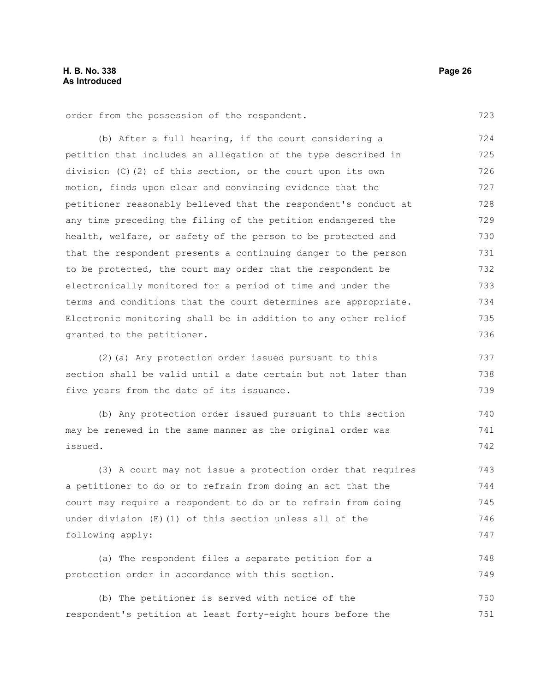723

737 738 739

order from the possession of the respondent.

(b) After a full hearing, if the court considering a petition that includes an allegation of the type described in division (C)(2) of this section, or the court upon its own motion, finds upon clear and convincing evidence that the petitioner reasonably believed that the respondent's conduct at any time preceding the filing of the petition endangered the health, welfare, or safety of the person to be protected and that the respondent presents a continuing danger to the person to be protected, the court may order that the respondent be electronically monitored for a period of time and under the terms and conditions that the court determines are appropriate. Electronic monitoring shall be in addition to any other relief granted to the petitioner. 724 725 726 727 728 729 730 731 732 733 734 735 736

(2)(a) Any protection order issued pursuant to this section shall be valid until a date certain but not later than five years from the date of its issuance.

(b) Any protection order issued pursuant to this section may be renewed in the same manner as the original order was issued. 740 741 742

(3) A court may not issue a protection order that requires a petitioner to do or to refrain from doing an act that the court may require a respondent to do or to refrain from doing under division (E)(1) of this section unless all of the following apply: 743 744 745 746 747

(a) The respondent files a separate petition for a protection order in accordance with this section. 748 749

(b) The petitioner is served with notice of the respondent's petition at least forty-eight hours before the 750 751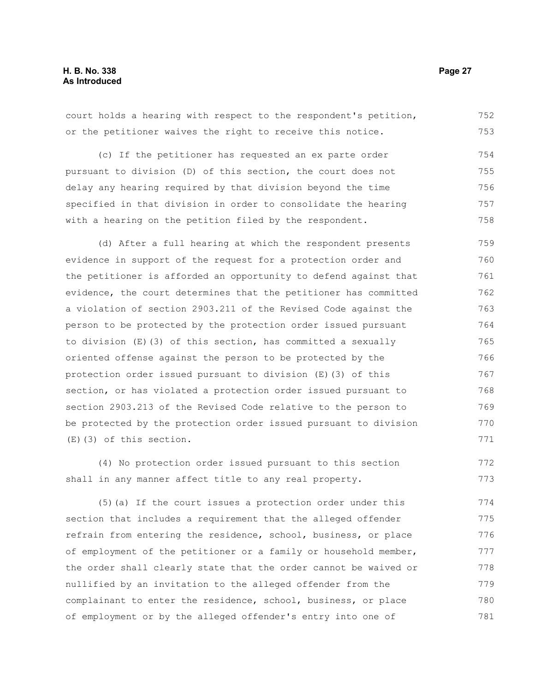court holds a hearing with respect to the respondent's petition, or the petitioner waives the right to receive this notice. 752 753

(c) If the petitioner has requested an ex parte order pursuant to division (D) of this section, the court does not delay any hearing required by that division beyond the time specified in that division in order to consolidate the hearing with a hearing on the petition filed by the respondent. 754 755 756 757 758

(d) After a full hearing at which the respondent presents evidence in support of the request for a protection order and the petitioner is afforded an opportunity to defend against that evidence, the court determines that the petitioner has committed a violation of section 2903.211 of the Revised Code against the person to be protected by the protection order issued pursuant to division (E)(3) of this section, has committed a sexually oriented offense against the person to be protected by the protection order issued pursuant to division (E)(3) of this section, or has violated a protection order issued pursuant to section 2903.213 of the Revised Code relative to the person to be protected by the protection order issued pursuant to division (E)(3) of this section. 759 760 761 762 763 764 765 766 767 768 769 770 771

(4) No protection order issued pursuant to this section shall in any manner affect title to any real property. 772 773

(5)(a) If the court issues a protection order under this section that includes a requirement that the alleged offender refrain from entering the residence, school, business, or place of employment of the petitioner or a family or household member, the order shall clearly state that the order cannot be waived or nullified by an invitation to the alleged offender from the complainant to enter the residence, school, business, or place of employment or by the alleged offender's entry into one of 774 775 776 777 778 779 780 781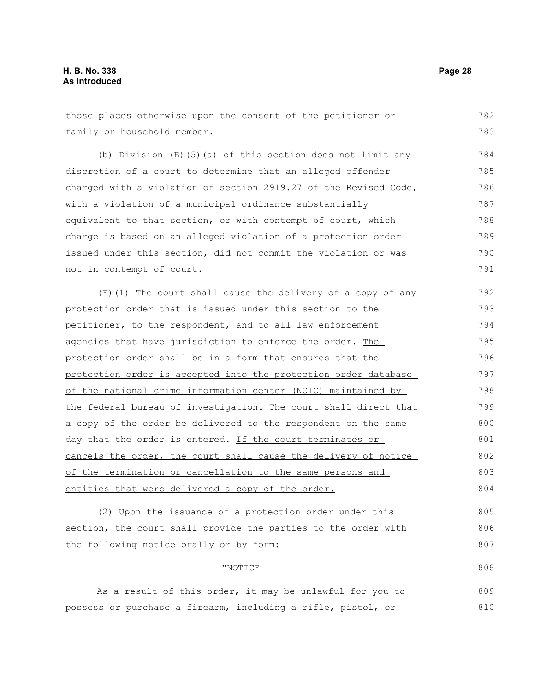808

| those places otherwise upon the consent of the petitioner or     | 782 |
|------------------------------------------------------------------|-----|
| family or household member.                                      | 783 |
| (b) Division $(E)$ (5) (a) of this section does not limit any    | 784 |
| discretion of a court to determine that an alleged offender      | 785 |
| charged with a violation of section 2919.27 of the Revised Code, | 786 |
| with a violation of a municipal ordinance substantially          | 787 |
| equivalent to that section, or with contempt of court, which     | 788 |
| charge is based on an alleged violation of a protection order    | 789 |
| issued under this section, did not commit the violation or was   | 790 |
| not in contempt of court.                                        | 791 |
| $(F)$ (1) The court shall cause the delivery of a copy of any    | 792 |
| protection order that is issued under this section to the        | 793 |
| petitioner, to the respondent, and to all law enforcement        | 794 |
| agencies that have jurisdiction to enforce the order. The        | 795 |
| protection order shall be in a form that ensures that the        | 796 |
| protection order is accepted into the protection order database  | 797 |

 of the national crime information center (NCIC) maintained by the federal bureau of investigation. The court shall direct that a copy of the order be delivered to the respondent on the same day that the order is entered. If the court terminates or cancels the order, the court shall cause the delivery of notice of the termination or cancellation to the same persons and entities that were delivered a copy of the order. 798 799 800 801 802 803 804

(2) Upon the issuance of a protection order under this section, the court shall provide the parties to the order with the following notice orally or by form: 805 806 807

#### "NOTICE

As a result of this order, it may be unlawful for you to possess or purchase a firearm, including a rifle, pistol, or 809 810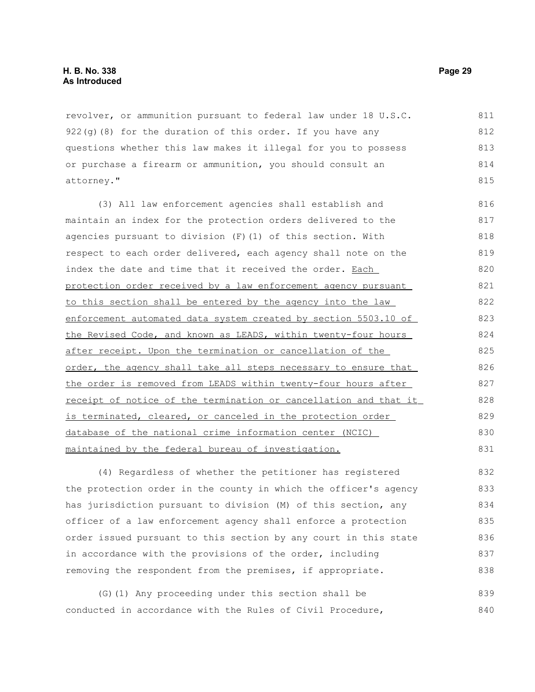revolver, or ammunition pursuant to federal law under 18 U.S.C.  $922(q)(8)$  for the duration of this order. If you have any questions whether this law makes it illegal for you to possess or purchase a firearm or ammunition, you should consult an attorney." 811 812 813 814 815

(3) All law enforcement agencies shall establish and maintain an index for the protection orders delivered to the agencies pursuant to division (F)(1) of this section. With respect to each order delivered, each agency shall note on the index the date and time that it received the order. Each protection order received by a law enforcement agency pursuant to this section shall be entered by the agency into the law enforcement automated data system created by section 5503.10 of the Revised Code, and known as LEADS, within twenty-four hours after receipt. Upon the termination or cancellation of the order, the agency shall take all steps necessary to ensure that the order is removed from LEADS within twenty-four hours after receipt of notice of the termination or cancellation and that it is terminated, cleared, or canceled in the protection order database of the national crime information center (NCIC) maintained by the federal bureau of investigation. 816 817 818 819 820 821 822 823 824 825 826 827 828 829 830 831

(4) Regardless of whether the petitioner has registered the protection order in the county in which the officer's agency has jurisdiction pursuant to division (M) of this section, any officer of a law enforcement agency shall enforce a protection order issued pursuant to this section by any court in this state in accordance with the provisions of the order, including removing the respondent from the premises, if appropriate. 832 833 834 835 836 837 838

(G)(1) Any proceeding under this section shall be conducted in accordance with the Rules of Civil Procedure, 839 840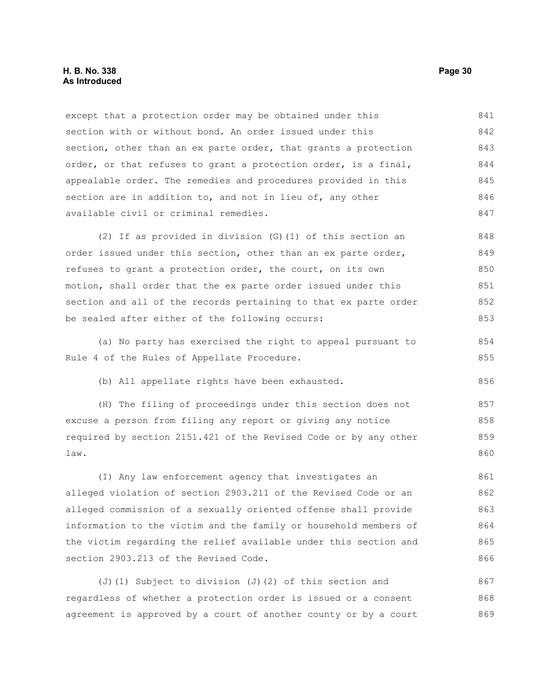except that a protection order may be obtained under this section with or without bond. An order issued under this section, other than an ex parte order, that grants a protection order, or that refuses to grant a protection order, is a final, appealable order. The remedies and procedures provided in this section are in addition to, and not in lieu of, any other available civil or criminal remedies. 841 842 843 844 845 846 847

(2) If as provided in division (G)(1) of this section an order issued under this section, other than an ex parte order, refuses to grant a protection order, the court, on its own motion, shall order that the ex parte order issued under this section and all of the records pertaining to that ex parte order be sealed after either of the following occurs: 848 849 850 851 852 853

(a) No party has exercised the right to appeal pursuant to Rule 4 of the Rules of Appellate Procedure. 854 855

(b) All appellate rights have been exhausted.

(H) The filing of proceedings under this section does not excuse a person from filing any report or giving any notice required by section 2151.421 of the Revised Code or by any other law. 857 858 859 860

(I) Any law enforcement agency that investigates an alleged violation of section 2903.211 of the Revised Code or an alleged commission of a sexually oriented offense shall provide information to the victim and the family or household members of the victim regarding the relief available under this section and section 2903.213 of the Revised Code. 861 862 863 864 865 866

(J)(1) Subject to division (J)(2) of this section and regardless of whether a protection order is issued or a consent agreement is approved by a court of another county or by a court 867 868 869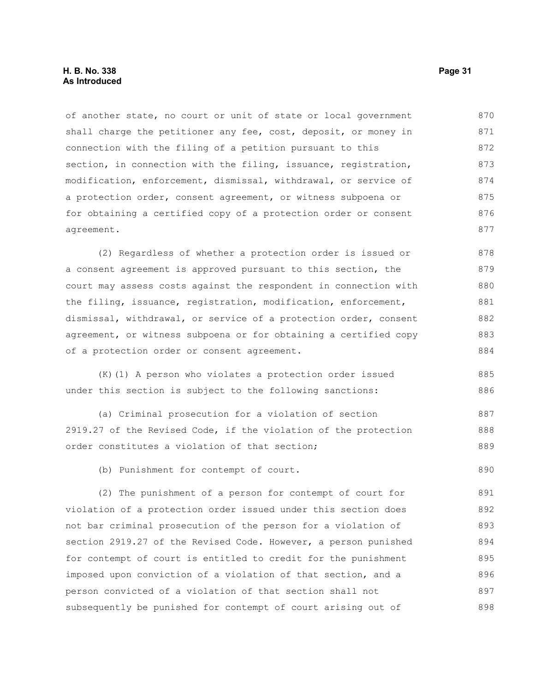#### **H. B. No. 338 Page 31 As Introduced**

of another state, no court or unit of state or local government shall charge the petitioner any fee, cost, deposit, or money in connection with the filing of a petition pursuant to this section, in connection with the filing, issuance, registration, modification, enforcement, dismissal, withdrawal, or service of a protection order, consent agreement, or witness subpoena or for obtaining a certified copy of a protection order or consent agreement. 870 871 872 873 874 875 876 877

(2) Regardless of whether a protection order is issued or a consent agreement is approved pursuant to this section, the court may assess costs against the respondent in connection with the filing, issuance, registration, modification, enforcement, dismissal, withdrawal, or service of a protection order, consent agreement, or witness subpoena or for obtaining a certified copy of a protection order or consent agreement. 878 879 880 881 882 883 884

(K)(1) A person who violates a protection order issued under this section is subject to the following sanctions: 885 886

(a) Criminal prosecution for a violation of section 2919.27 of the Revised Code, if the violation of the protection order constitutes a violation of that section; 887 888 889

(b) Punishment for contempt of court. 890

(2) The punishment of a person for contempt of court for violation of a protection order issued under this section does not bar criminal prosecution of the person for a violation of section 2919.27 of the Revised Code. However, a person punished for contempt of court is entitled to credit for the punishment imposed upon conviction of a violation of that section, and a person convicted of a violation of that section shall not subsequently be punished for contempt of court arising out of 891 892 893 894 895 896 897 898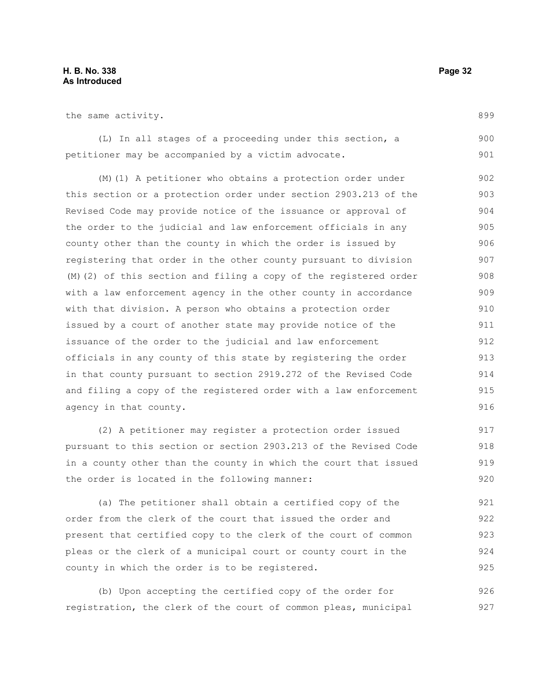#### **H. B. No. 338 Page 32 As Introduced**

899

919 920

|  |  | the same activity. |
|--|--|--------------------|
|--|--|--------------------|

(L) In all stages of a proceeding under this section, a petitioner may be accompanied by a victim advocate. 900 901

(M)(1) A petitioner who obtains a protection order under this section or a protection order under section 2903.213 of the Revised Code may provide notice of the issuance or approval of the order to the judicial and law enforcement officials in any county other than the county in which the order is issued by registering that order in the other county pursuant to division (M)(2) of this section and filing a copy of the registered order with a law enforcement agency in the other county in accordance with that division. A person who obtains a protection order issued by a court of another state may provide notice of the issuance of the order to the judicial and law enforcement officials in any county of this state by registering the order in that county pursuant to section 2919.272 of the Revised Code and filing a copy of the registered order with a law enforcement agency in that county. 902 903 904 905 906 907 908 909 910 911 912 913 914 915 916

(2) A petitioner may register a protection order issued pursuant to this section or section 2903.213 of the Revised Code in a county other than the county in which the court that issued the order is located in the following manner: 917 918

(a) The petitioner shall obtain a certified copy of the order from the clerk of the court that issued the order and present that certified copy to the clerk of the court of common pleas or the clerk of a municipal court or county court in the county in which the order is to be registered. 921 922 923 924 925

(b) Upon accepting the certified copy of the order for registration, the clerk of the court of common pleas, municipal 926 927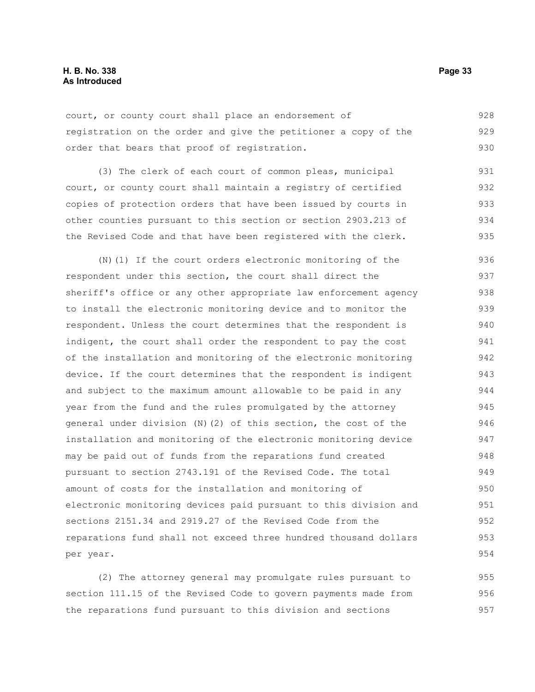court, or county court shall place an endorsement of registration on the order and give the petitioner a copy of the order that bears that proof of registration. 928 929 930

(3) The clerk of each court of common pleas, municipal court, or county court shall maintain a registry of certified copies of protection orders that have been issued by courts in other counties pursuant to this section or section 2903.213 of the Revised Code and that have been registered with the clerk. 931 932 933 934 935

(N)(1) If the court orders electronic monitoring of the respondent under this section, the court shall direct the sheriff's office or any other appropriate law enforcement agency to install the electronic monitoring device and to monitor the respondent. Unless the court determines that the respondent is indigent, the court shall order the respondent to pay the cost of the installation and monitoring of the electronic monitoring device. If the court determines that the respondent is indigent and subject to the maximum amount allowable to be paid in any year from the fund and the rules promulgated by the attorney general under division (N)(2) of this section, the cost of the installation and monitoring of the electronic monitoring device may be paid out of funds from the reparations fund created pursuant to section 2743.191 of the Revised Code. The total amount of costs for the installation and monitoring of electronic monitoring devices paid pursuant to this division and sections 2151.34 and 2919.27 of the Revised Code from the reparations fund shall not exceed three hundred thousand dollars per year. 936 937 938 939 940 941 942 943 944 945 946 947 948 949 950 951 952 953 954

(2) The attorney general may promulgate rules pursuant to section 111.15 of the Revised Code to govern payments made from the reparations fund pursuant to this division and sections 955 956 957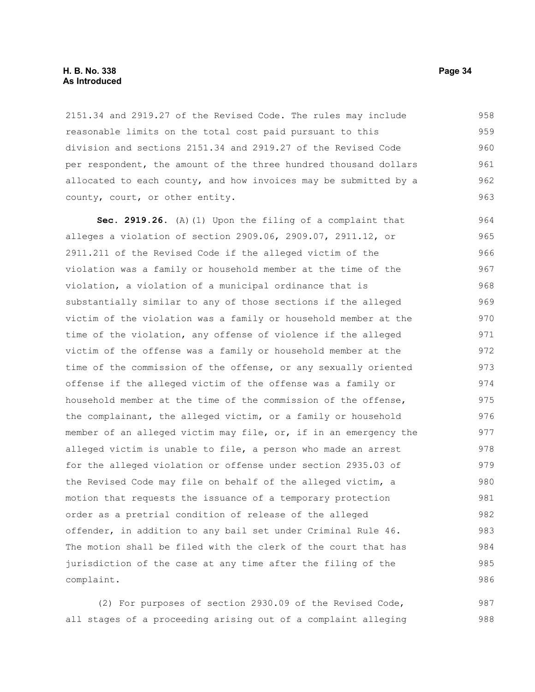#### **H. B. No. 338 Page 34 As Introduced**

2151.34 and 2919.27 of the Revised Code. The rules may include reasonable limits on the total cost paid pursuant to this division and sections 2151.34 and 2919.27 of the Revised Code per respondent, the amount of the three hundred thousand dollars allocated to each county, and how invoices may be submitted by a county, court, or other entity. 958 959 960 961 962 963

**Sec. 2919.26.** (A)(1) Upon the filing of a complaint that alleges a violation of section 2909.06, 2909.07, 2911.12, or 2911.211 of the Revised Code if the alleged victim of the violation was a family or household member at the time of the violation, a violation of a municipal ordinance that is substantially similar to any of those sections if the alleged victim of the violation was a family or household member at the time of the violation, any offense of violence if the alleged victim of the offense was a family or household member at the time of the commission of the offense, or any sexually oriented offense if the alleged victim of the offense was a family or household member at the time of the commission of the offense, the complainant, the alleged victim, or a family or household member of an alleged victim may file, or, if in an emergency the alleged victim is unable to file, a person who made an arrest for the alleged violation or offense under section 2935.03 of the Revised Code may file on behalf of the alleged victim, a motion that requests the issuance of a temporary protection order as a pretrial condition of release of the alleged offender, in addition to any bail set under Criminal Rule 46. The motion shall be filed with the clerk of the court that has jurisdiction of the case at any time after the filing of the complaint. 964 965 966 967 968 969 970 971 972 973 974 975 976 977 978 979 980 981 982 983 984 985 986

(2) For purposes of section 2930.09 of the Revised Code, all stages of a proceeding arising out of a complaint alleging 987 988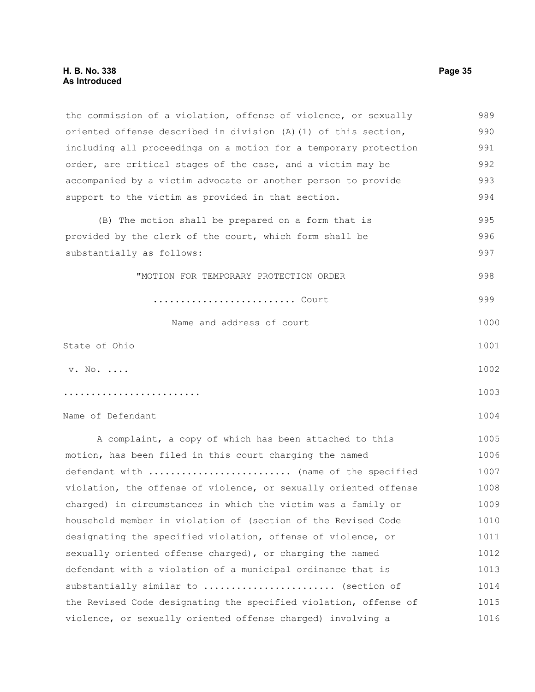### **H. B. No. 338 Page 35 As Introduced**

| the commission of a violation, offense of violence, or sexually  | 989  |
|------------------------------------------------------------------|------|
| oriented offense described in division (A) (1) of this section,  | 990  |
| including all proceedings on a motion for a temporary protection | 991  |
| order, are critical stages of the case, and a victim may be      | 992  |
| accompanied by a victim advocate or another person to provide    | 993  |
| support to the victim as provided in that section.               | 994  |
| (B) The motion shall be prepared on a form that is               | 995  |
| provided by the clerk of the court, which form shall be          | 996  |
| substantially as follows:                                        | 997  |
| "MOTION FOR TEMPORARY PROTECTION ORDER                           | 998  |
|                                                                  | 999  |
| Name and address of court                                        | 1000 |
| State of Ohio                                                    | 1001 |
| V. NO.                                                           | 1002 |
|                                                                  | 1003 |
| Name of Defendant                                                | 1004 |
| A complaint, a copy of which has been attached to this           | 1005 |
| motion, has been filed in this court charging the named          | 1006 |
| defendant with  (name of the specified                           | 1007 |
| violation, the offense of violence, or sexually oriented offense | 1008 |
| charged) in circumstances in which the victim was a family or    | 1009 |
| household member in violation of (section of the Revised Code    | 1010 |
| designating the specified violation, offense of violence, or     | 1011 |
| sexually oriented offense charged), or charging the named        | 1012 |
| defendant with a violation of a municipal ordinance that is      | 1013 |
| substantially similar to  (section of                            | 1014 |
| the Revised Code designating the specified violation, offense of | 1015 |
| violence, or sexually oriented offense charged) involving a      | 1016 |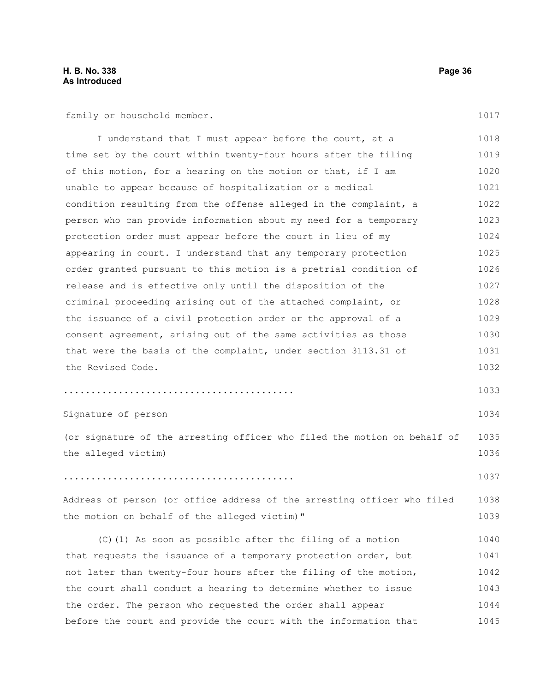family or household member.

I understand that I must appear before the court, at a time set by the court within twenty-four hours after the filing of this motion, for a hearing on the motion or that, if I am unable to appear because of hospitalization or a medical condition resulting from the offense alleged in the complaint, a person who can provide information about my need for a temporary protection order must appear before the court in lieu of my appearing in court. I understand that any temporary protection order granted pursuant to this motion is a pretrial condition of release and is effective only until the disposition of the criminal proceeding arising out of the attached complaint, or the issuance of a civil protection order or the approval of a consent agreement, arising out of the same activities as those that were the basis of the complaint, under section 3113.31 of the Revised Code. .......................................... Signature of person (or signature of the arresting officer who filed the motion on behalf of the alleged victim) .......................................... Address of person (or office address of the arresting officer who filed 1018 1019 1020 1021 1022 1023 1024 1025 1026 1027 1028 1029 1030 1031 1032 1033 1034 1035 1036 1037 1038

(C)(1) As soon as possible after the filing of a motion that requests the issuance of a temporary protection order, but not later than twenty-four hours after the filing of the motion, the court shall conduct a hearing to determine whether to issue the order. The person who requested the order shall appear before the court and provide the court with the information that 1040 1041 1042 1043 1044 1045

the motion on behalf of the alleged victim)"

1017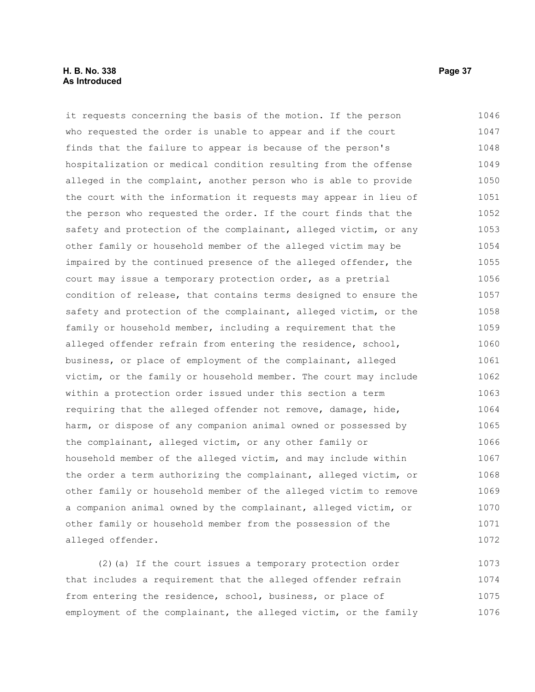## **H. B. No. 338 Page 37 As Introduced**

it requests concerning the basis of the motion. If the person who requested the order is unable to appear and if the court finds that the failure to appear is because of the person's hospitalization or medical condition resulting from the offense alleged in the complaint, another person who is able to provide the court with the information it requests may appear in lieu of the person who requested the order. If the court finds that the safety and protection of the complainant, alleged victim, or any other family or household member of the alleged victim may be impaired by the continued presence of the alleged offender, the court may issue a temporary protection order, as a pretrial condition of release, that contains terms designed to ensure the safety and protection of the complainant, alleged victim, or the family or household member, including a requirement that the alleged offender refrain from entering the residence, school, business, or place of employment of the complainant, alleged victim, or the family or household member. The court may include within a protection order issued under this section a term requiring that the alleged offender not remove, damage, hide, harm, or dispose of any companion animal owned or possessed by the complainant, alleged victim, or any other family or household member of the alleged victim, and may include within the order a term authorizing the complainant, alleged victim, or other family or household member of the alleged victim to remove a companion animal owned by the complainant, alleged victim, or other family or household member from the possession of the alleged offender. 1046 1047 1048 1049 1050 1051 1052 1053 1054 1055 1056 1057 1058 1059 1060 1061 1062 1063 1064 1065 1066 1067 1068 1069 1070 1071 1072

(2)(a) If the court issues a temporary protection order that includes a requirement that the alleged offender refrain from entering the residence, school, business, or place of employment of the complainant, the alleged victim, or the family 1073 1074 1075 1076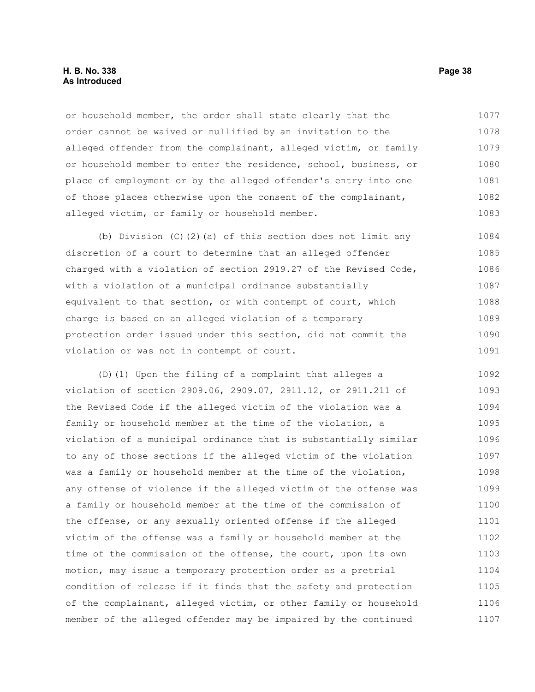## **H. B. No. 338 Page 38 As Introduced**

or household member, the order shall state clearly that the order cannot be waived or nullified by an invitation to the alleged offender from the complainant, alleged victim, or family or household member to enter the residence, school, business, or place of employment or by the alleged offender's entry into one of those places otherwise upon the consent of the complainant, alleged victim, or family or household member. 1077 1078 1079 1080 1081 1082 1083

(b) Division (C)(2)(a) of this section does not limit any discretion of a court to determine that an alleged offender charged with a violation of section 2919.27 of the Revised Code, with a violation of a municipal ordinance substantially equivalent to that section, or with contempt of court, which charge is based on an alleged violation of a temporary protection order issued under this section, did not commit the violation or was not in contempt of court. 1084 1085 1086 1087 1088 1089 1090 1091

(D)(1) Upon the filing of a complaint that alleges a violation of section 2909.06, 2909.07, 2911.12, or 2911.211 of the Revised Code if the alleged victim of the violation was a family or household member at the time of the violation, a violation of a municipal ordinance that is substantially similar to any of those sections if the alleged victim of the violation was a family or household member at the time of the violation, any offense of violence if the alleged victim of the offense was a family or household member at the time of the commission of the offense, or any sexually oriented offense if the alleged victim of the offense was a family or household member at the time of the commission of the offense, the court, upon its own motion, may issue a temporary protection order as a pretrial condition of release if it finds that the safety and protection of the complainant, alleged victim, or other family or household member of the alleged offender may be impaired by the continued 1092 1093 1094 1095 1096 1097 1098 1099 1100 1101 1102 1103 1104 1105 1106 1107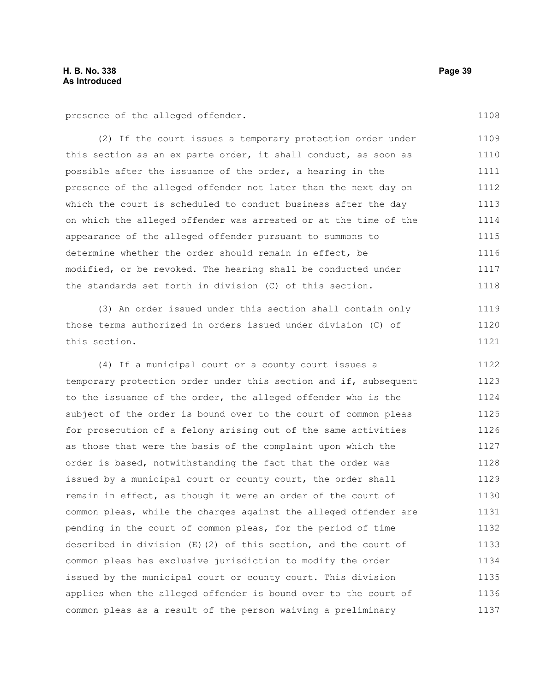presence of the alleged offender.

(2) If the court issues a temporary protection order under this section as an ex parte order, it shall conduct, as soon as possible after the issuance of the order, a hearing in the presence of the alleged offender not later than the next day on which the court is scheduled to conduct business after the day on which the alleged offender was arrested or at the time of the appearance of the alleged offender pursuant to summons to determine whether the order should remain in effect, be modified, or be revoked. The hearing shall be conducted under the standards set forth in division (C) of this section. 1109 1110 1111 1112 1113 1114 1115 1116 1117 1118

(3) An order issued under this section shall contain only those terms authorized in orders issued under division (C) of this section. 1119 1120 1121

(4) If a municipal court or a county court issues a temporary protection order under this section and if, subsequent to the issuance of the order, the alleged offender who is the subject of the order is bound over to the court of common pleas for prosecution of a felony arising out of the same activities as those that were the basis of the complaint upon which the order is based, notwithstanding the fact that the order was issued by a municipal court or county court, the order shall remain in effect, as though it were an order of the court of common pleas, while the charges against the alleged offender are pending in the court of common pleas, for the period of time described in division  $(E)(2)$  of this section, and the court of common pleas has exclusive jurisdiction to modify the order issued by the municipal court or county court. This division applies when the alleged offender is bound over to the court of common pleas as a result of the person waiving a preliminary 1122 1123 1124 1125 1126 1127 1128 1129 1130 1131 1132 1133 1134 1135 1136 1137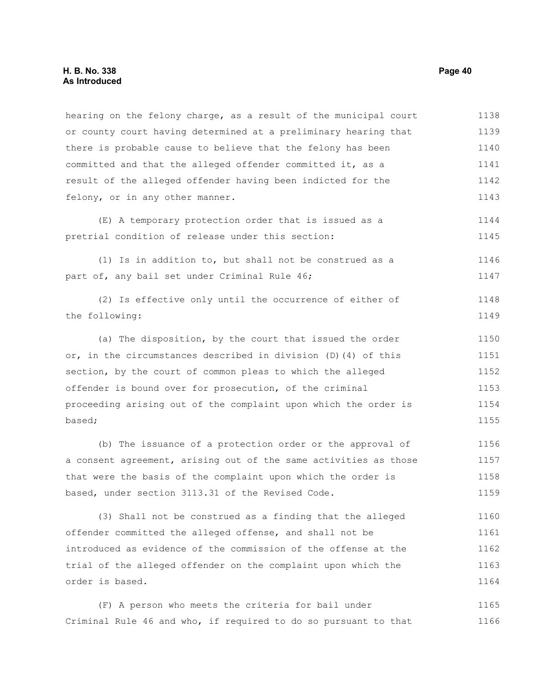hearing on the felony charge, as a result of the municipal court or county court having determined at a preliminary hearing that there is probable cause to believe that the felony has been committed and that the alleged offender committed it, as a result of the alleged offender having been indicted for the felony, or in any other manner. 1138 1139 1140 1141 1142 1143

(E) A temporary protection order that is issued as a pretrial condition of release under this section: 1144 1145

(1) Is in addition to, but shall not be construed as a part of, any bail set under Criminal Rule 46; 1146 1147

(2) Is effective only until the occurrence of either of the following: 1148 1149

(a) The disposition, by the court that issued the order or, in the circumstances described in division (D)(4) of this section, by the court of common pleas to which the alleged offender is bound over for prosecution, of the criminal proceeding arising out of the complaint upon which the order is based; 1150 1151 1152 1153 1154 1155

(b) The issuance of a protection order or the approval of a consent agreement, arising out of the same activities as those that were the basis of the complaint upon which the order is based, under section 3113.31 of the Revised Code. 1156 1157 1158 1159

(3) Shall not be construed as a finding that the alleged offender committed the alleged offense, and shall not be introduced as evidence of the commission of the offense at the trial of the alleged offender on the complaint upon which the order is based. 1160 1161 1162 1163 1164

(F) A person who meets the criteria for bail under Criminal Rule 46 and who, if required to do so pursuant to that 1165 1166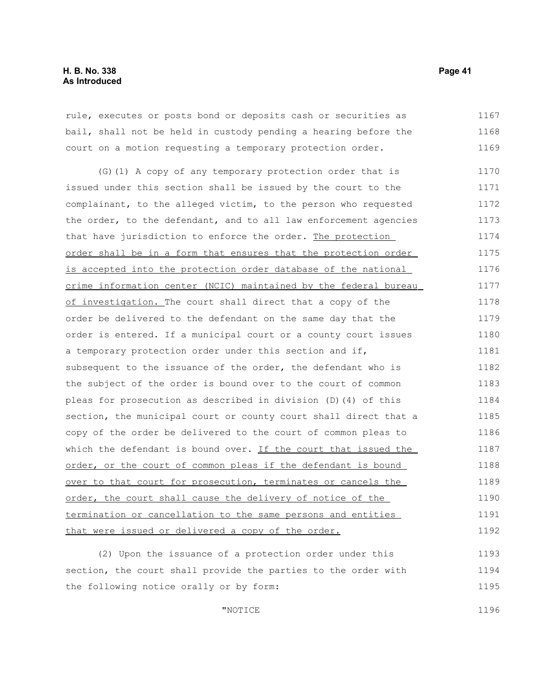## **H. B. No. 338 Page 41 As Introduced**

rule, executes or posts bond or deposits cash or securities as bail, shall not be held in custody pending a hearing before the court on a motion requesting a temporary protection order. 1167 1168 1169

(G)(1) A copy of any temporary protection order that is issued under this section shall be issued by the court to the complainant, to the alleged victim, to the person who requested the order, to the defendant, and to all law enforcement agencies that have jurisdiction to enforce the order. The protection order shall be in a form that ensures that the protection order is accepted into the protection order database of the national crime information center (NCIC) maintained by the federal bureau of investigation. The court shall direct that a copy of the order be delivered to the defendant on the same day that the order is entered. If a municipal court or a county court issues a temporary protection order under this section and if, subsequent to the issuance of the order, the defendant who is the subject of the order is bound over to the court of common pleas for prosecution as described in division (D)(4) of this section, the municipal court or county court shall direct that a copy of the order be delivered to the court of common pleas to which the defendant is bound over. If the court that issued the order, or the court of common pleas if the defendant is bound over to that court for prosecution, terminates or cancels the order, the court shall cause the delivery of notice of the termination or cancellation to the same persons and entities that were issued or delivered a copy of the order. 1170 1171 1172 1173 1174 1175 1176 1177 1178 1179 1180 1181 1182 1183 1184 1185 1186 1187 1188 1189 1190 1191 1192

(2) Upon the issuance of a protection order under this section, the court shall provide the parties to the order with the following notice orally or by form: 1193 1194 1195

"NOTICE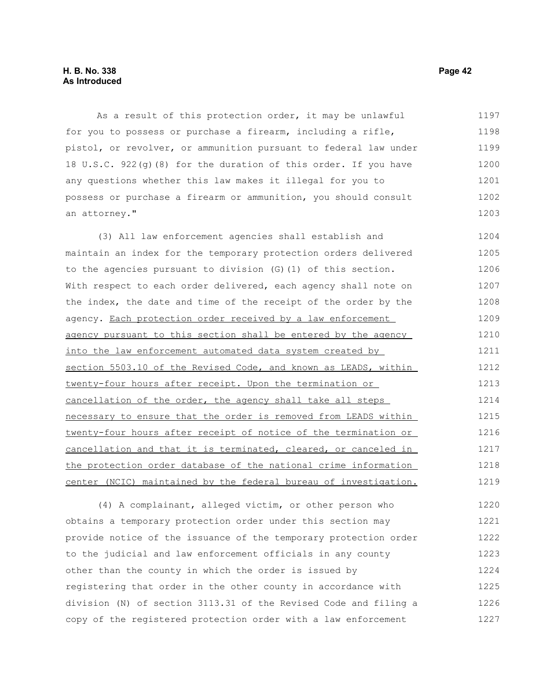As a result of this protection order, it may be unlawful for you to possess or purchase a firearm, including a rifle, pistol, or revolver, or ammunition pursuant to federal law under 18 U.S.C. 922( $q$ )(8) for the duration of this order. If you have any questions whether this law makes it illegal for you to possess or purchase a firearm or ammunition, you should consult an attorney." 1197 1198 1199 1200 1201 1202 1203

(3) All law enforcement agencies shall establish and maintain an index for the temporary protection orders delivered to the agencies pursuant to division (G)(1) of this section. With respect to each order delivered, each agency shall note on the index, the date and time of the receipt of the order by the agency. Each protection order received by a law enforcement agency pursuant to this section shall be entered by the agency into the law enforcement automated data system created by section 5503.10 of the Revised Code, and known as LEADS, within twenty-four hours after receipt. Upon the termination or cancellation of the order, the agency shall take all steps necessary to ensure that the order is removed from LEADS within twenty-four hours after receipt of notice of the termination or cancellation and that it is terminated, cleared, or canceled in the protection order database of the national crime information center (NCIC) maintained by the federal bureau of investigation. 1204 1205 1206 1207 1208 1209 1210 1211 1212 1213 1214 1215 1216 1217 1218 1219

(4) A complainant, alleged victim, or other person who obtains a temporary protection order under this section may provide notice of the issuance of the temporary protection order to the judicial and law enforcement officials in any county other than the county in which the order is issued by registering that order in the other county in accordance with division (N) of section 3113.31 of the Revised Code and filing a copy of the registered protection order with a law enforcement 1220 1221 1222 1223 1224 1225 1226 1227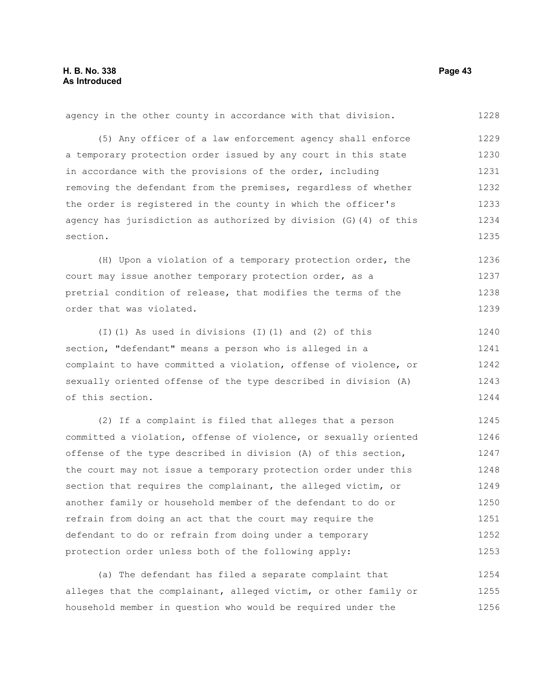agency in the other county in accordance with that division. 1228

(5) Any officer of a law enforcement agency shall enforce a temporary protection order issued by any court in this state in accordance with the provisions of the order, including removing the defendant from the premises, regardless of whether the order is registered in the county in which the officer's agency has jurisdiction as authorized by division (G)(4) of this section. 1229 1230 1231 1232 1233 1234 1235

(H) Upon a violation of a temporary protection order, the court may issue another temporary protection order, as a pretrial condition of release, that modifies the terms of the order that was violated. 1236 1237 1238 1239

(I)(1) As used in divisions (I)(1) and (2) of this section, "defendant" means a person who is alleged in a complaint to have committed a violation, offense of violence, or sexually oriented offense of the type described in division (A) of this section. 1240 1241 1242 1243 1244

(2) If a complaint is filed that alleges that a person committed a violation, offense of violence, or sexually oriented offense of the type described in division (A) of this section, the court may not issue a temporary protection order under this section that requires the complainant, the alleged victim, or another family or household member of the defendant to do or refrain from doing an act that the court may require the defendant to do or refrain from doing under a temporary protection order unless both of the following apply: 1245 1246 1247 1248 1249 1250 1251 1252 1253

(a) The defendant has filed a separate complaint that alleges that the complainant, alleged victim, or other family or household member in question who would be required under the 1254 1255 1256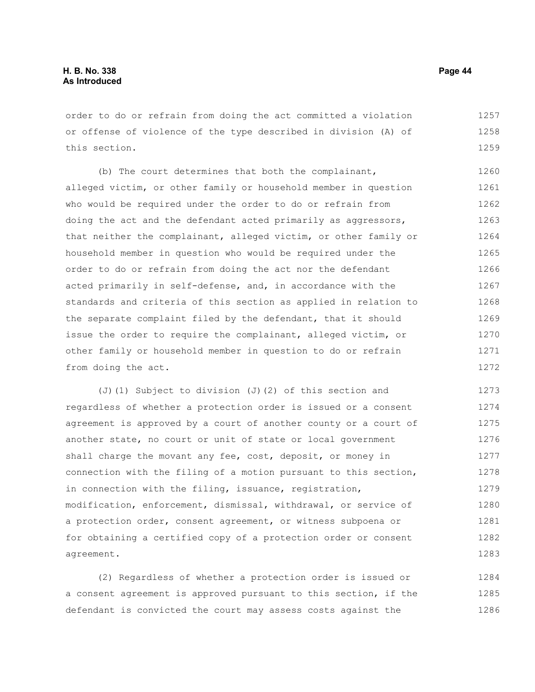order to do or refrain from doing the act committed a violation or offense of violence of the type described in division (A) of this section. 1257 1258 1259

(b) The court determines that both the complainant, alleged victim, or other family or household member in question who would be required under the order to do or refrain from doing the act and the defendant acted primarily as aggressors, that neither the complainant, alleged victim, or other family or household member in question who would be required under the order to do or refrain from doing the act nor the defendant acted primarily in self-defense, and, in accordance with the standards and criteria of this section as applied in relation to the separate complaint filed by the defendant, that it should issue the order to require the complainant, alleged victim, or other family or household member in question to do or refrain from doing the act. 1260 1261 1262 1263 1264 1265 1266 1267 1268 1269 1270 1271 1272

(J)(1) Subject to division (J)(2) of this section and regardless of whether a protection order is issued or a consent agreement is approved by a court of another county or a court of another state, no court or unit of state or local government shall charge the movant any fee, cost, deposit, or money in connection with the filing of a motion pursuant to this section, in connection with the filing, issuance, registration, modification, enforcement, dismissal, withdrawal, or service of a protection order, consent agreement, or witness subpoena or for obtaining a certified copy of a protection order or consent agreement. 1273 1274 1275 1276 1277 1278 1279 1280 1281 1282 1283

(2) Regardless of whether a protection order is issued or a consent agreement is approved pursuant to this section, if the defendant is convicted the court may assess costs against the 1284 1285 1286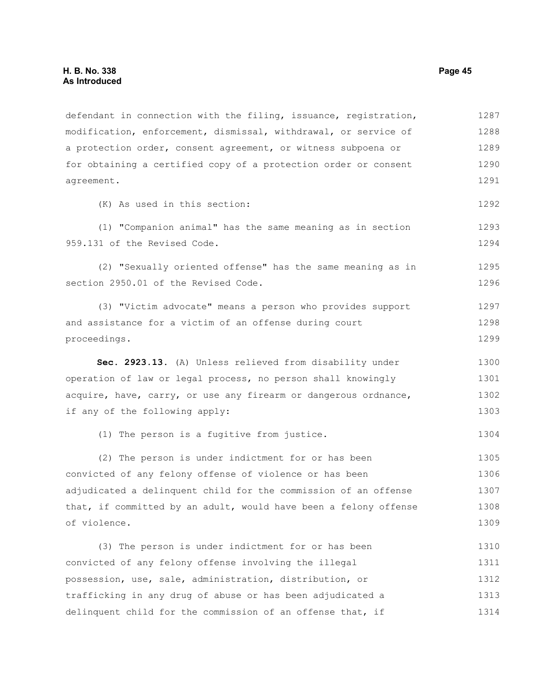defendant in connection with the filing, issuance, registration, modification, enforcement, dismissal, withdrawal, or service of a protection order, consent agreement, or witness subpoena or for obtaining a certified copy of a protection order or consent agreement. 1287 1288 1289 1290 1291

(K) As used in this section:

(1) "Companion animal" has the same meaning as in section 959.131 of the Revised Code. 1293 1294

(2) "Sexually oriented offense" has the same meaning as in section 2950.01 of the Revised Code. 1295 1296

(3) "Victim advocate" means a person who provides support and assistance for a victim of an offense during court proceedings. 1297 1298 1299

**Sec. 2923.13.** (A) Unless relieved from disability under operation of law or legal process, no person shall knowingly acquire, have, carry, or use any firearm or dangerous ordnance, if any of the following apply: 1300 1301 1302 1303

(1) The person is a fugitive from justice. 1304

(2) The person is under indictment for or has been convicted of any felony offense of violence or has been adjudicated a delinquent child for the commission of an offense that, if committed by an adult, would have been a felony offense of violence. 1305 1306 1307 1308 1309

(3) The person is under indictment for or has been convicted of any felony offense involving the illegal possession, use, sale, administration, distribution, or trafficking in any drug of abuse or has been adjudicated a delinquent child for the commission of an offense that, if 1310 1311 1312 1313 1314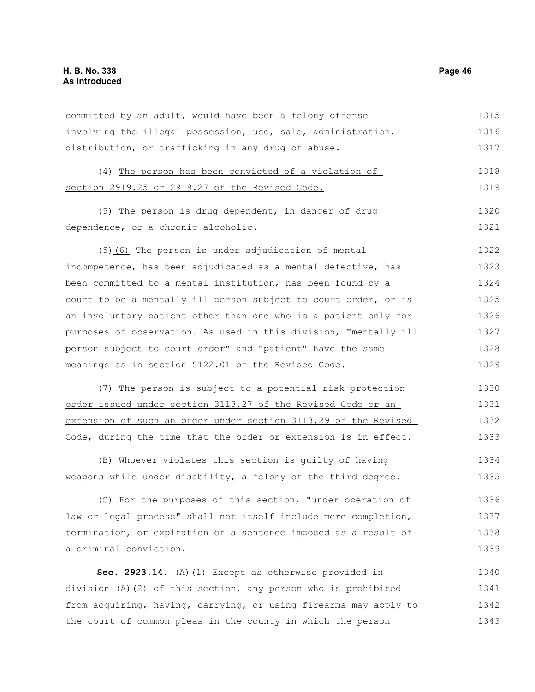committed by an adult, would have been a felony offense involving the illegal possession, use, sale, administration, distribution, or trafficking in any drug of abuse. (4) The person has been convicted of a violation of section 2919.25 or 2919.27 of the Revised Code. (5) The person is drug dependent, in danger of drug dependence, or a chronic alcoholic.  $(5)$  (6) The person is under adjudication of mental incompetence, has been adjudicated as a mental defective, has been committed to a mental institution, has been found by a court to be a mentally ill person subject to court order, or is an involuntary patient other than one who is a patient only for purposes of observation. As used in this division, "mentally ill person subject to court order" and "patient" have the same 1315 1316 1317 1318 1319 1320 1321 1322 1323 1324 1325 1326 1327 1328

 (7) The person is subject to a potential risk protection order issued under section 3113.27 of the Revised Code or an extension of such an order under section 3113.29 of the Revised Code, during the time that the order or extension is in effect. 1330 1331 1332 1333

meanings as in section 5122.01 of the Revised Code.

(B) Whoever violates this section is guilty of having weapons while under disability, a felony of the third degree. 1334 1335

(C) For the purposes of this section, "under operation of law or legal process" shall not itself include mere completion, termination, or expiration of a sentence imposed as a result of a criminal conviction. 1336 1337 1338 1339

**Sec. 2923.14.** (A)(1) Except as otherwise provided in division (A)(2) of this section, any person who is prohibited from acquiring, having, carrying, or using firearms may apply to the court of common pleas in the county in which the person 1340 1341 1342 1343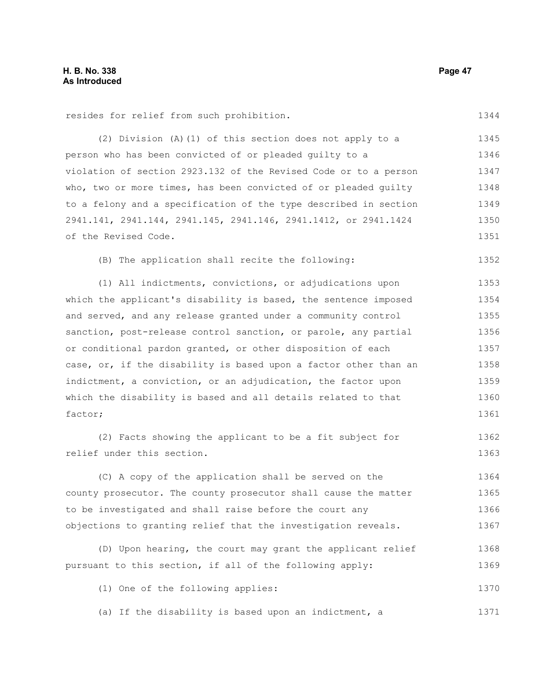1344

1352

resides for relief from such prohibition.

(2) Division (A)(1) of this section does not apply to a person who has been convicted of or pleaded guilty to a violation of section 2923.132 of the Revised Code or to a person who, two or more times, has been convicted of or pleaded guilty to a felony and a specification of the type described in section 2941.141, 2941.144, 2941.145, 2941.146, 2941.1412, or 2941.1424 of the Revised Code. 1345 1346 1347 1348 1349 1350 1351

(B) The application shall recite the following:

(1) All indictments, convictions, or adjudications upon which the applicant's disability is based, the sentence imposed and served, and any release granted under a community control sanction, post-release control sanction, or parole, any partial or conditional pardon granted, or other disposition of each case, or, if the disability is based upon a factor other than an indictment, a conviction, or an adjudication, the factor upon which the disability is based and all details related to that factor; 1353 1354 1355 1356 1357 1358 1359 1360 1361

(2) Facts showing the applicant to be a fit subject for relief under this section. 1362 1363

(C) A copy of the application shall be served on the county prosecutor. The county prosecutor shall cause the matter to be investigated and shall raise before the court any objections to granting relief that the investigation reveals. 1364 1365 1366 1367

(D) Upon hearing, the court may grant the applicant relief pursuant to this section, if all of the following apply: 1368 1369

(1) One of the following applies: 1370

(a) If the disability is based upon an indictment, a 1371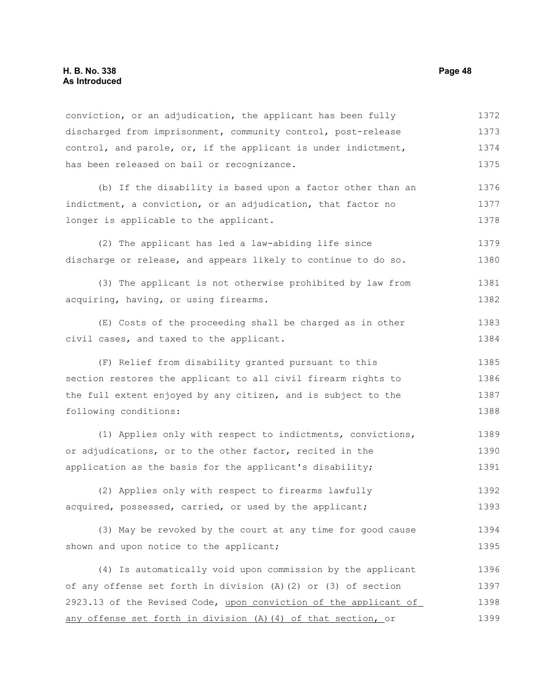conviction, or an adjudication, the applicant has been fully discharged from imprisonment, community control, post-release control, and parole, or, if the applicant is under indictment, has been released on bail or recognizance. 1372 1373 1374 1375

(b) If the disability is based upon a factor other than an indictment, a conviction, or an adjudication, that factor no longer is applicable to the applicant. 1376 1377 1378

(2) The applicant has led a law-abiding life since discharge or release, and appears likely to continue to do so. 1379 1380

(3) The applicant is not otherwise prohibited by law from acquiring, having, or using firearms. 1381 1382

(E) Costs of the proceeding shall be charged as in other civil cases, and taxed to the applicant. 1383 1384

(F) Relief from disability granted pursuant to this section restores the applicant to all civil firearm rights to the full extent enjoyed by any citizen, and is subject to the following conditions: 1385 1386 1387 1388

(1) Applies only with respect to indictments, convictions, or adjudications, or to the other factor, recited in the application as the basis for the applicant's disability; 1389 1390 1391

(2) Applies only with respect to firearms lawfully acquired, possessed, carried, or used by the applicant; 1392 1393

(3) May be revoked by the court at any time for good cause shown and upon notice to the applicant; 1394 1395

(4) Is automatically void upon commission by the applicant of any offense set forth in division (A)(2) or (3) of section 2923.13 of the Revised Code, upon conviction of the applicant of any offense set forth in division (A)(4) of that section, or 1396 1397 1398 1399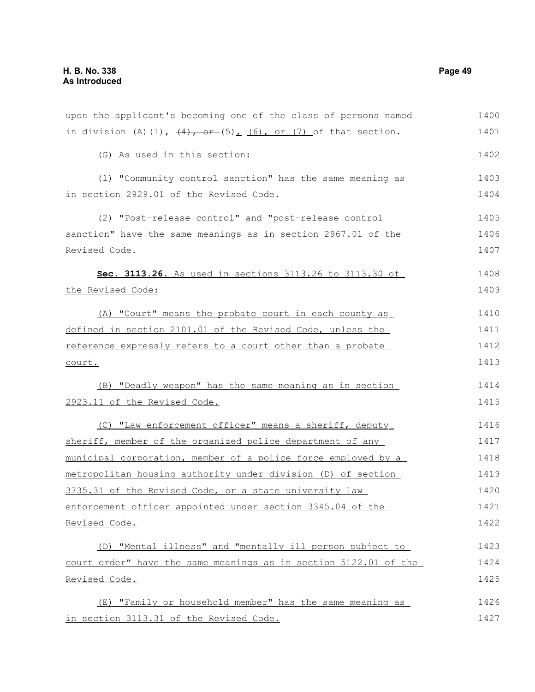| upon the applicant's becoming one of the class of persons named  | 1400 |
|------------------------------------------------------------------|------|
| in division (A)(1), $(4)$ , or (5), (6), or (7) of that section. | 1401 |
| (G) As used in this section:                                     | 1402 |
| (1) "Community control sanction" has the same meaning as         | 1403 |
| in section 2929.01 of the Revised Code.                          | 1404 |
| (2) "Post-release control" and "post-release control             | 1405 |
| sanction" have the same meanings as in section 2967.01 of the    | 1406 |
| Revised Code.                                                    | 1407 |
| Sec. 3113.26. As used in sections 3113.26 to 3113.30 of          | 1408 |
| the Revised Code:                                                | 1409 |
| (A) "Court" means the probate court in each county as            | 1410 |
| defined in section 2101.01 of the Revised Code, unless the       | 1411 |
| reference expressly refers to a court other than a probate       | 1412 |
| court.                                                           | 1413 |
| (B) "Deadly weapon" has the same meaning as in section           | 1414 |
| 2923.11 of the Revised Code.                                     | 1415 |
| (C) "Law enforcement officer" means a sheriff, deputy            | 1416 |
| sheriff, member of the organized police department of any        | 1417 |
| municipal corporation, member of a police force employed by a    | 1418 |
| metropolitan housing authority under division (D) of section     | 1419 |
| 3735.31 of the Revised Code, or a state university law           | 1420 |
| enforcement officer appointed under section 3345.04 of the       | 1421 |
| Revised Code.                                                    | 1422 |
| (D) "Mental illness" and "mentally ill person subject to         | 1423 |
| court order" have the same meanings as in section 5122.01 of the | 1424 |
| Revised Code.                                                    | 1425 |
| (E) "Family or household member" has the same meaning as         | 1426 |
| in section 3113.31 of the Revised Code.                          | 1427 |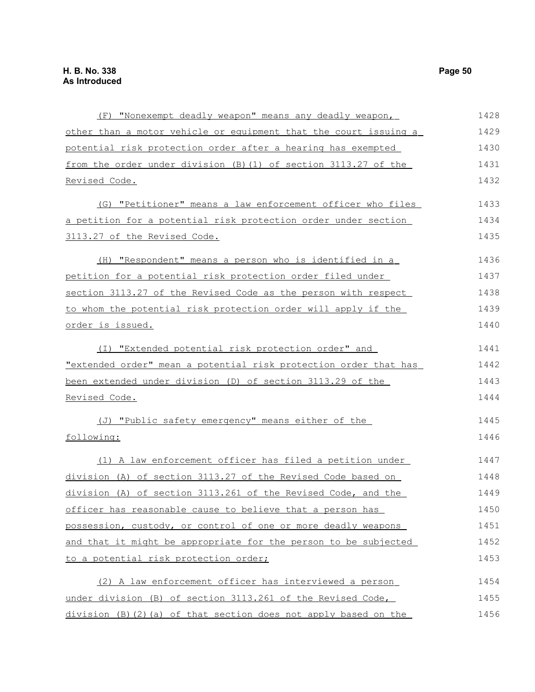| (F) "Nonexempt deadly weapon" means any deadly weapon,                  | 1428 |
|-------------------------------------------------------------------------|------|
| other than a motor vehicle or equipment that the court issuing a        | 1429 |
| potential risk protection order after a hearing has exempted            | 1430 |
| from the order under division (B) (1) of section 3113.27 of the         | 1431 |
| Revised Code.                                                           | 1432 |
| (G) "Petitioner" means a law enforcement officer who files              | 1433 |
| a petition for a potential risk protection order under section          | 1434 |
| 3113.27 of the Revised Code.                                            | 1435 |
| (H) "Respondent" means a person who is identified in a                  | 1436 |
| petition for a potential risk protection order filed under              | 1437 |
| section 3113.27 of the Revised Code as the person with respect          | 1438 |
| to whom the potential risk protection order will apply if the           | 1439 |
| <u>order is issued.</u>                                                 | 1440 |
| (I) "Extended potential risk protection order" and                      | 1441 |
| <u>"extended order" mean a potential risk protection order that has</u> | 1442 |
| been extended under division (D) of section 3113.29 of the              | 1443 |
| Revised Code.                                                           | 1444 |
| (J) "Public safety emergency" means either of the                       | 1445 |
| following:                                                              | 1446 |
| (1) A law enforcement officer has filed a petition under                | 1447 |
| division (A) of section 3113.27 of the Revised Code based on            | 1448 |
| division (A) of section 3113.261 of the Revised Code, and the           | 1449 |
| officer has reasonable cause to believe that a person has               | 1450 |
| possession, custody, or control of one or more deadly weapons           | 1451 |
| and that it might be appropriate for the person to be subjected         | 1452 |
| to a potential risk protection order;                                   | 1453 |
| (2) A law enforcement officer has interviewed a person                  | 1454 |
| under division (B) of section 3113.261 of the Revised Code,             | 1455 |
| division (B) $(2)$ (a) of that section does not apply based on the      | 1456 |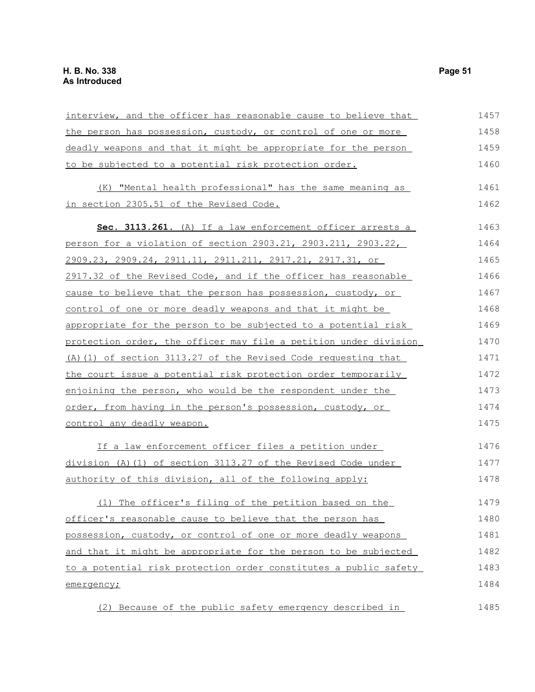| interview, and the officer has reasonable cause to believe that  | 1457 |
|------------------------------------------------------------------|------|
| the person has possession, custody, or control of one or more    | 1458 |
| deadly weapons and that it might be appropriate for the person   | 1459 |
| to be subjected to a potential risk protection order.            | 1460 |
| (K) "Mental health professional" has the same meaning as         | 1461 |
| in section 2305.51 of the Revised Code.                          | 1462 |
| Sec. 3113.261. (A) If a law enforcement officer arrests a        | 1463 |
| person for a violation of section 2903.21, 2903.211, 2903.22,    | 1464 |
| 2909.23, 2909.24, 2911.11, 2911.211, 2917.21, 2917.31, or        | 1465 |
| 2917.32 of the Revised Code, and if the officer has reasonable   | 1466 |
| cause to believe that the person has possession, custody, or     | 1467 |
| control of one or more deadly weapons and that it might be       | 1468 |
| appropriate for the person to be subjected to a potential risk   | 1469 |
| protection order, the officer may file a petition under division | 1470 |
| (A) (1) of section 3113.27 of the Revised Code requesting that   | 1471 |
| the court issue a potential risk protection order temporarily    | 1472 |
| enjoining the person, who would be the respondent under the      | 1473 |
| order, from having in the person's possession, custody, or       | 1474 |
| control any deadly weapon.                                       | 1475 |
| If a law enforcement officer files a petition under              | 1476 |
| division (A)(1) of section 3113.27 of the Revised Code under     | 1477 |
| authority of this division, all of the following apply:          | 1478 |
| The officer's filing of the petition based on the                | 1479 |
| officer's reasonable cause to believe that the person has        | 1480 |
| possession, custody, or control of one or more deadly weapons    | 1481 |
| and that it might be appropriate for the person to be subjected  | 1482 |
| to a potential risk protection order constitutes a public safety | 1483 |
| emergency;                                                       | 1484 |
| (2) Because of the public safety emergency described in          | 1485 |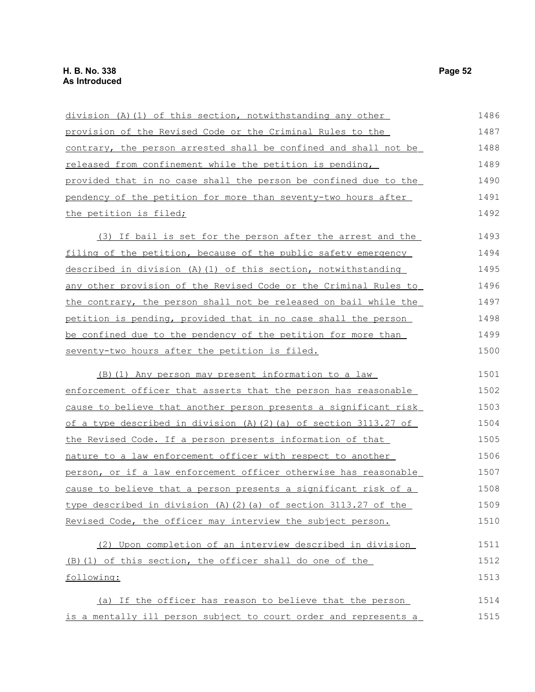| division (A) (1) of this section, notwithstanding any other         | 1486 |
|---------------------------------------------------------------------|------|
| provision of the Revised Code or the Criminal Rules to the          | 1487 |
| contrary, the person arrested shall be confined and shall not be    | 1488 |
| released from confinement while the petition is pending,            | 1489 |
| provided that in no case shall the person be confined due to the    | 1490 |
| pendency of the petition for more than seventy-two hours after      | 1491 |
| the petition is filed;                                              | 1492 |
| (3) If bail is set for the person after the arrest and the          | 1493 |
| filing of the petition, because of the public safety emergency      | 1494 |
| described in division (A)(1) of this section, notwithstanding       | 1495 |
| any other provision of the Revised Code or the Criminal Rules to    | 1496 |
| the contrary, the person shall not be released on bail while the    | 1497 |
| petition is pending, provided that in no case shall the person      | 1498 |
| be confined due to the pendency of the petition for more than       | 1499 |
| seventy-two hours after the petition is filed.                      | 1500 |
| (B) (1) Any person may present information to a law                 | 1501 |
| enforcement officer that asserts that the person has reasonable     | 1502 |
| cause to believe that another person presents a significant risk    | 1503 |
| of a type described in division (A) $(2)$ (a) of section 3113.27 of | 1504 |
| the Revised Code. If a person presents information of that          | 1505 |
| nature to a law enforcement officer with respect to another         | 1506 |
| person, or if a law enforcement officer otherwise has reasonable    | 1507 |
| cause to believe that a person presents a significant risk of a     | 1508 |
| type described in division (A)(2)(a) of section 3113.27 of the      | 1509 |
| Revised Code, the officer may interview the subject person.         | 1510 |
| (2) Upon completion of an interview described in division           | 1511 |
| (B) (1) of this section, the officer shall do one of the            | 1512 |
| following:                                                          | 1513 |
| (a) If the officer has reason to believe that the person            | 1514 |
| is a mentally ill person subject to court order and represents a    | 1515 |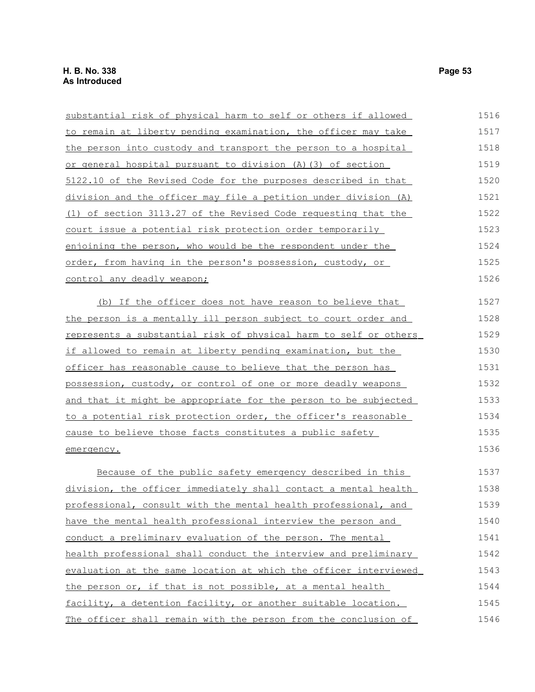| substantial risk of physical harm to self or others if allowed   | 1516 |
|------------------------------------------------------------------|------|
| to remain at liberty pending examination, the officer may take   | 1517 |
| the person into custody and transport the person to a hospital   | 1518 |
| or general hospital pursuant to division (A) (3) of section      | 1519 |
| 5122.10 of the Revised Code for the purposes described in that   | 1520 |
| division and the officer may file a petition under division (A)  | 1521 |
| (1) of section 3113.27 of the Revised Code requesting that the   | 1522 |
| court issue a potential risk protection order temporarily        | 1523 |
| enjoining the person, who would be the respondent under the      | 1524 |
| order, from having in the person's possession, custody, or       | 1525 |
| control any deadly weapon;                                       | 1526 |
| (b) If the officer does not have reason to believe that          | 1527 |
| the person is a mentally ill person subject to court order and   | 1528 |
| represents a substantial risk of physical harm to self or others | 1529 |
| if allowed to remain at liberty pending examination, but the     | 1530 |
| officer has reasonable cause to believe that the person has      | 1531 |
| possession, custody, or control of one or more deadly weapons    | 1532 |
| and that it might be appropriate for the person to be subjected  | 1533 |
| to a potential risk protection order, the officer's reasonable   | 1534 |
| cause to believe those facts constitutes a public safety         | 1535 |
| emergency.                                                       | 1536 |
| Because of the public safety emergency described in this         | 1537 |
| division, the officer immediately shall contact a mental health  | 1538 |
| professional, consult with the mental health professional, and   | 1539 |
| have the mental health professional interview the person and     | 1540 |
| conduct a preliminary evaluation of the person. The mental       | 1541 |
| health professional shall conduct the interview and preliminary  | 1542 |
| evaluation at the same location at which the officer interviewed | 1543 |
| the person or, if that is not possible, at a mental health       | 1544 |
| facility, a detention facility, or another suitable location.    | 1545 |
| The officer shall remain with the person from the conclusion of  | 1546 |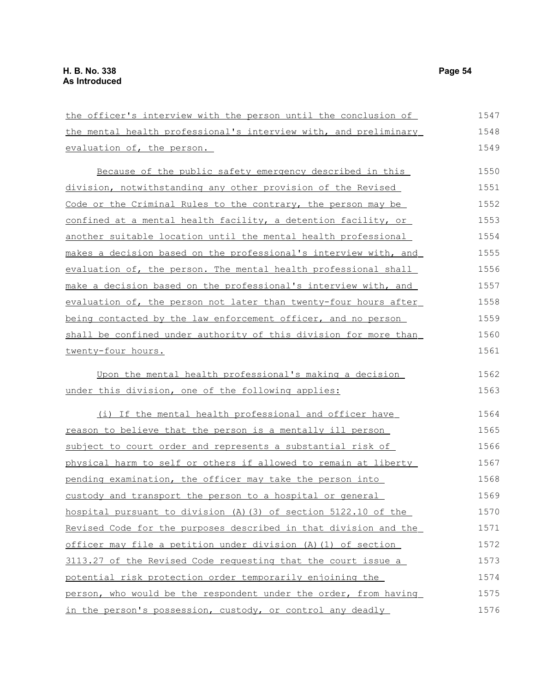| the officer's interview with the person until the conclusion of  | 1547 |
|------------------------------------------------------------------|------|
| the mental health professional's interview with, and preliminary | 1548 |
| evaluation of, the person.                                       | 1549 |
| Because of the public safety emergency described in this         | 1550 |
| division, notwithstanding any other provision of the Revised     | 1551 |
| Code or the Criminal Rules to the contrary, the person may be    | 1552 |
| confined at a mental health facility, a detention facility, or   | 1553 |
| another suitable location until the mental health professional   | 1554 |
| makes a decision based on the professional's interview with, and | 1555 |
| evaluation of, the person. The mental health professional shall  | 1556 |
| make a decision based on the professional's interview with, and  | 1557 |
| evaluation of, the person not later than twenty-four hours after | 1558 |
| being contacted by the law enforcement officer, and no person    | 1559 |
| shall be confined under authority of this division for more than | 1560 |
| twenty-four hours.                                               | 1561 |
| Upon the mental health professional's making a decision          | 1562 |
| under this division, one of the following applies:               | 1563 |
| (i) If the mental health professional and officer have           | 1564 |
| reason to believe that the person is a mentally ill person       | 1565 |
| subject to court order and represents a substantial risk of      | 1566 |
| physical harm to self or others if allowed to remain at liberty  | 1567 |
| pending examination, the officer may take the person into        | 1568 |
| custody and transport the person to a hospital or general        | 1569 |
| hospital pursuant to division (A) (3) of section 5122.10 of the  | 1570 |
| Revised Code for the purposes described in that division and the | 1571 |
| officer may file a petition under division (A) (1) of section    | 1572 |
| 3113.27 of the Revised Code requesting that the court issue a    | 1573 |
| potential risk protection order temporarily enjoining the        | 1574 |
| person, who would be the respondent under the order, from having | 1575 |
| in the person's possession, custody, or control any deadly       | 1576 |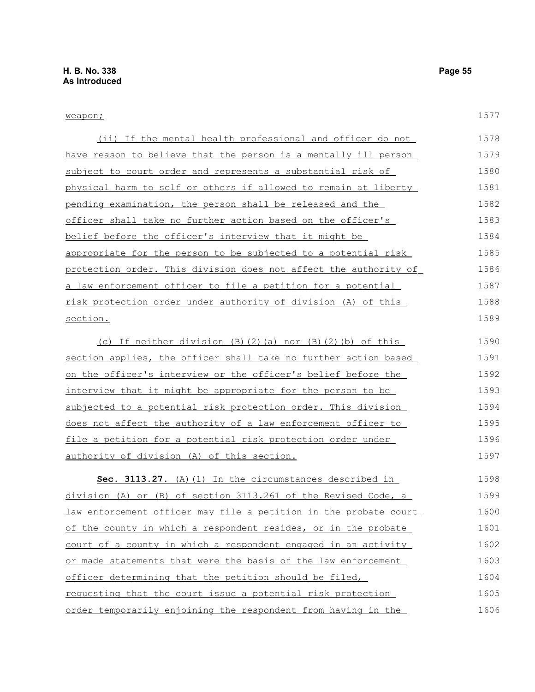## weapon;

| (ii) If the mental health professional and officer do not        | 1578 |
|------------------------------------------------------------------|------|
| have reason to believe that the person is a mentally ill person  | 1579 |
| subject to court order and represents a substantial risk of      | 1580 |
| physical harm to self or others if allowed to remain at liberty  | 1581 |
| pending examination, the person shall be released and the        | 1582 |
| officer shall take no further action based on the officer's      | 1583 |
| belief before the officer's interview that it might be           | 1584 |
| appropriate for the person to be subjected to a potential risk   | 1585 |
| protection order. This division does not affect the authority of | 1586 |
| a law enforcement officer to file a petition for a potential     | 1587 |
| risk protection order under authority of division (A) of this    | 1588 |
| section.                                                         | 1589 |
| (c) If neither division (B) $(2)$ (a) nor (B) $(2)$ (b) of this  | 1590 |
| section applies, the officer shall take no further action based  | 1591 |
| on the officer's interview or the officer's belief before the    | 1592 |
| interview that it might be appropriate for the person to be      | 1593 |
| subjected to a potential risk protection order. This division    | 1594 |
| does not affect the authority of a law enforcement officer to    | 1595 |
| file a petition for a potential risk protection order under      | 1596 |
| authority of division (A) of this section.                       | 1597 |
| Sec. 3113.27. (A) (1) In the circumstances described in          | 1598 |
| division (A) or (B) of section 3113.261 of the Revised Code, a   | 1599 |
| law enforcement officer may file a petition in the probate court | 1600 |
| of the county in which a respondent resides, or in the probate   | 1601 |
| court of a county in which a respondent engaged in an activity   | 1602 |
| or made statements that were the basis of the law enforcement    | 1603 |
| officer determining that the petition should be filed,           | 1604 |
| requesting that the court issue a potential risk protection      | 1605 |
| order temporarily enjoining the respondent from having in the    | 1606 |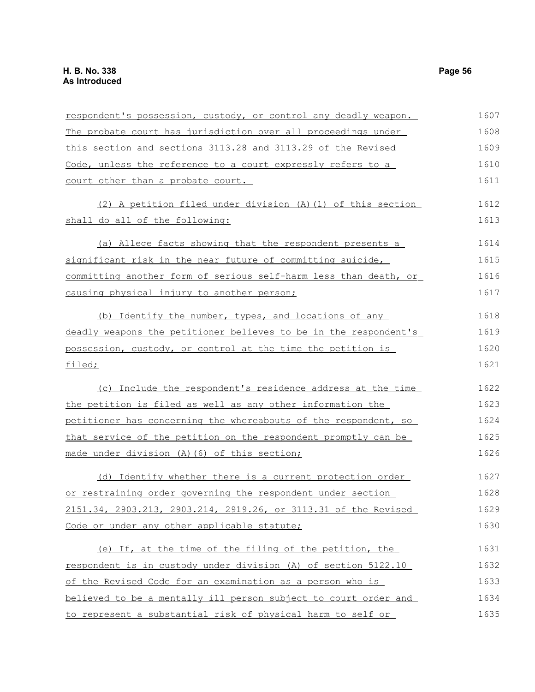| respondent's possession, custody, or control any deadly weapon.   | 1607 |
|-------------------------------------------------------------------|------|
| The probate court has jurisdiction over all proceedings under     | 1608 |
| this section and sections 3113.28 and 3113.29 of the Revised      | 1609 |
| Code, unless the reference to a court expressly refers to a       | 1610 |
| court other than a probate court.                                 | 1611 |
| $(2)$ A petition filed under division $(A)$ $(1)$ of this section | 1612 |
| shall do all of the following:                                    | 1613 |
| (a) Allege facts showing that the respondent presents a           | 1614 |
| significant risk in the near future of committing suicide,        | 1615 |
| committing another form of serious self-harm less than death, or  | 1616 |
| causing physical injury to another person;                        | 1617 |
| (b) Identify the number, types, and locations of any              | 1618 |
| deadly weapons the petitioner believes to be in the respondent's  | 1619 |
| possession, custody, or control at the time the petition is       | 1620 |
| filed;                                                            | 1621 |
| (c) Include the respondent's residence address at the time        | 1622 |
| the petition is filed as well as any other information the        | 1623 |
| petitioner has concerning the whereabouts of the respondent, so   | 1624 |
| that service of the petition on the respondent promptly can be    | 1625 |
| made under division (A) (6) of this section;                      | 1626 |
| (d) Identify whether there is a current protection order          | 1627 |
| or restraining order governing the respondent under section       | 1628 |
| 2151.34, 2903.213, 2903.214, 2919.26, or 3113.31 of the Revised   | 1629 |
| Code or under any other applicable statute;                       | 1630 |
| (e) If, at the time of the filing of the petition, the            | 1631 |
| respondent is in custody under division (A) of section 5122.10    | 1632 |
| of the Revised Code for an examination as a person who is         | 1633 |
| believed to be a mentally ill person subject to court order and   | 1634 |
| to represent a substantial risk of physical harm to self or       | 1635 |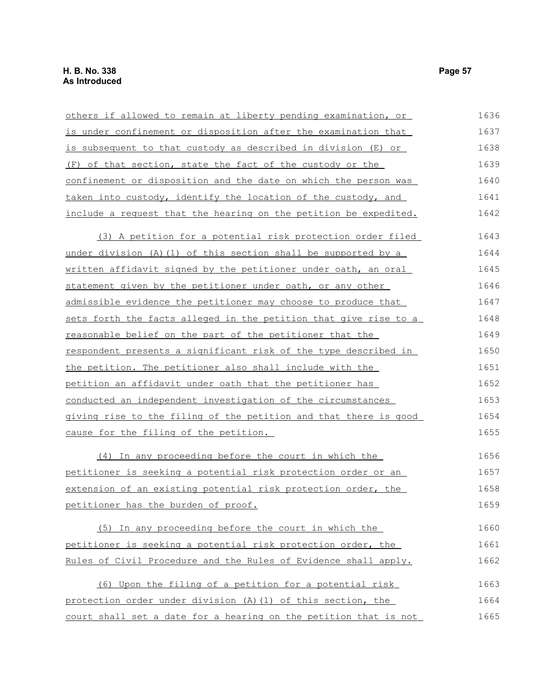| others if allowed to remain at liberty pending examination, or   | 1636 |
|------------------------------------------------------------------|------|
| is under confinement or disposition after the examination that   | 1637 |
| is subsequent to that custody as described in division (E) or    | 1638 |
| (F) of that section, state the fact of the custody or the        | 1639 |
| confinement or disposition and the date on which the person was  | 1640 |
| taken into custody, identify the location of the custody, and    | 1641 |
| include a request that the hearing on the petition be expedited. | 1642 |
| (3) A petition for a potential risk protection order filed       | 1643 |
| under division (A) (1) of this section shall be supported by $a$ | 1644 |
| written affidavit signed by the petitioner under oath, an oral   | 1645 |
| statement given by the petitioner under oath, or any other       | 1646 |
| admissible evidence the petitioner may choose to produce that    | 1647 |
| sets forth the facts alleged in the petition that give rise to a | 1648 |
| reasonable belief on the part of the petitioner that the         | 1649 |
| respondent presents a significant risk of the type described in  | 1650 |
| the petition. The petitioner also shall include with the         | 1651 |
| petition an affidavit under oath that the petitioner has         | 1652 |
| conducted an independent investigation of the circumstances      | 1653 |
| giving rise to the filing of the petition and that there is good | 1654 |
| cause for the filing of the petition.                            | 1655 |
| (4) In any proceeding before the court in which the              | 1656 |
| petitioner is seeking a potential risk protection order or an    | 1657 |
| extension of an existing potential risk protection order, the    | 1658 |
| petitioner has the burden of proof.                              | 1659 |
| (5) In any proceeding before the court in which the              | 1660 |
| petitioner is seeking a potential risk protection order, the     | 1661 |
| Rules of Civil Procedure and the Rules of Evidence shall apply.  | 1662 |
| (6) Upon the filing of a petition for a potential risk           | 1663 |
| protection order under division (A) (1) of this section, the     | 1664 |
| court shall set a date for a hearing on the petition that is not | 1665 |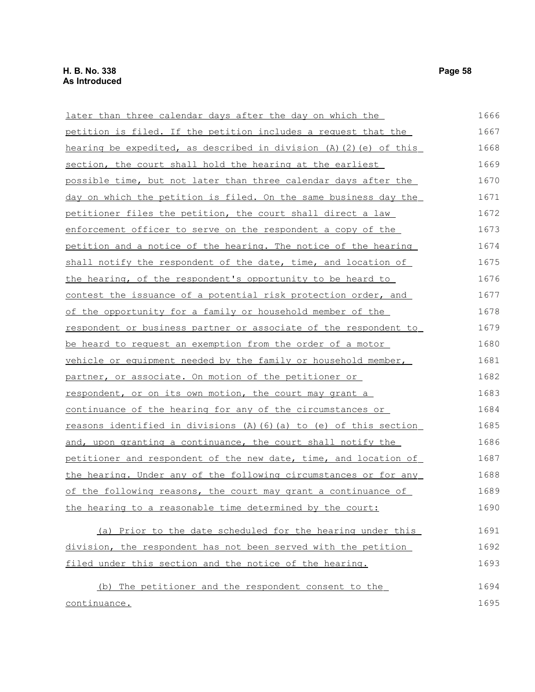later than three calendar days after the day on which the petition is filed. If the petition includes a request that the hearing be expedited, as described in division (A)(2)(e) of this section, the court shall hold the hearing at the earliest possible time, but not later than three calendar days after the day on which the petition is filed. On the same business day the petitioner files the petition, the court shall direct a law enforcement officer to serve on the respondent a copy of the petition and a notice of the hearing. The notice of the hearing shall notify the respondent of the date, time, and location of the hearing, of the respondent's opportunity to be heard to contest the issuance of a potential risk protection order, and of the opportunity for a family or household member of the respondent or business partner or associate of the respondent to be heard to request an exemption from the order of a motor vehicle or equipment needed by the family or household member, partner, or associate. On motion of the petitioner or respondent, or on its own motion, the court may grant a continuance of the hearing for any of the circumstances or reasons identified in divisions (A)(6)(a) to (e) of this section and, upon granting a continuance, the court shall notify the petitioner and respondent of the new date, time, and location of the hearing. Under any of the following circumstances or for any of the following reasons, the court may grant a continuance of the hearing to a reasonable time determined by the court: (a) Prior to the date scheduled for the hearing under this 1666 1667 1668 1669 1670 1671 1672 1673 1674 1675 1676 1677 1678 1679 1680 1681 1682 1683 1684 1685 1686 1687 1688 1689 1690 1691

 division, the respondent has not been served with the petition filed under this section and the notice of the hearing. (b) The petitioner and the respondent consent to the 1692 1693 1694

continuance.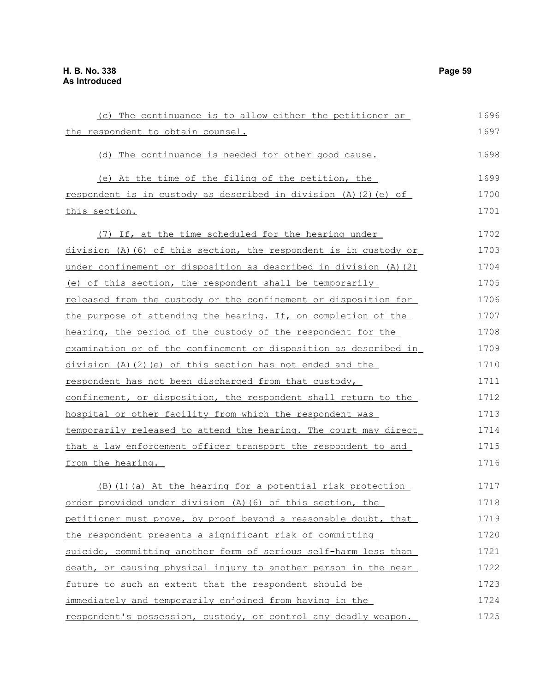| (c) The continuance is to allow either the petitioner or          | 1696 |
|-------------------------------------------------------------------|------|
| the respondent to obtain counsel.                                 | 1697 |
| (d) The continuance is needed for other good cause.               | 1698 |
| (e) At the time of the filing of the petition, the                | 1699 |
| respondent is in custody as described in division (A)(2)(e) of    | 1700 |
| this section.                                                     | 1701 |
| (7) If, at the time scheduled for the hearing under               | 1702 |
| division (A) (6) of this section, the respondent is in custody or | 1703 |
| under confinement or disposition as described in division (A) (2) | 1704 |
| (e) of this section, the respondent shall be temporarily          | 1705 |
| released from the custody or the confinement or disposition for   | 1706 |
| the purpose of attending the hearing. If, on completion of the    | 1707 |
| hearing, the period of the custody of the respondent for the      | 1708 |
| examination or of the confinement or disposition as described in  | 1709 |
| division (A) (2) (e) of this section has not ended and the        | 1710 |
| respondent has not been discharged from that custody,             | 1711 |
| confinement, or disposition, the respondent shall return to the   | 1712 |
| hospital or other facility from which the respondent was          | 1713 |
| temporarily released to attend the hearing. The court may direct  | 1714 |
| that a law enforcement officer transport the respondent to and    | 1715 |
| from the hearing.                                                 | 1716 |
| (B) (1) (a) At the hearing for a potential risk protection        | 1717 |
| order provided under division (A) (6) of this section, the        | 1718 |
| petitioner must prove, by proof beyond a reasonable doubt, that   | 1719 |
| the respondent presents a significant risk of committing          | 1720 |
| suicide, committing another form of serious self-harm less than   | 1721 |
| death, or causing physical injury to another person in the near   | 1722 |
| future to such an extent that the respondent should be            | 1723 |
| immediately and temporarily enjoined from having in the           | 1724 |
| respondent's possession, custody, or control any deadly weapon.   | 1725 |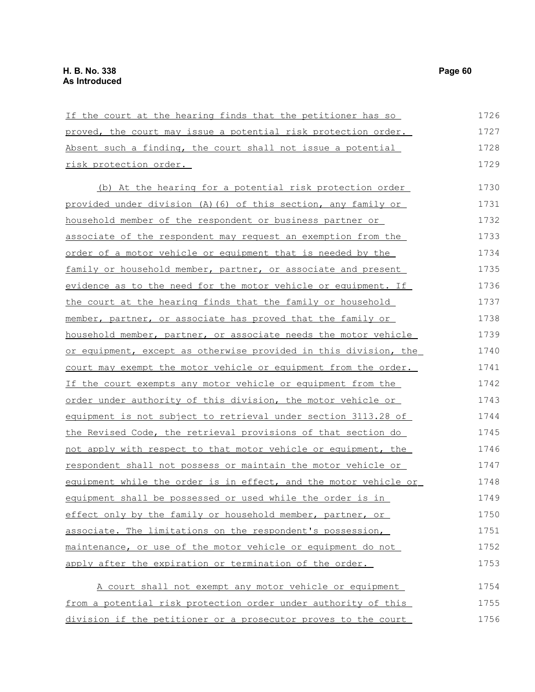| If the court at the hearing finds that the petitioner has so         | 1726 |
|----------------------------------------------------------------------|------|
| proved, the court may issue a potential risk protection order.       | 1727 |
| Absent such a finding, the court shall not issue a potential         | 1728 |
| risk protection order.                                               | 1729 |
| (b) At the hearing for a potential risk protection order             | 1730 |
| provided under division (A) (6) of this section, any family or       | 1731 |
| household member of the respondent or business partner or            | 1732 |
| associate of the respondent may request an exemption from the        | 1733 |
| order of a motor vehicle or equipment that is needed by the          | 1734 |
| family or household member, partner, or associate and present        | 1735 |
| evidence as to the need for the motor vehicle or equipment. If       | 1736 |
| the court at the hearing finds that the family or household          | 1737 |
| member, partner, or associate has proved that the family or          | 1738 |
| household member, partner, or associate needs the motor vehicle      | 1739 |
| or equipment, except as otherwise provided in this division, the     | 1740 |
| court may exempt the motor vehicle or equipment from the order.      | 1741 |
| If the court exempts any motor vehicle or equipment from the         | 1742 |
| order under authority of this division, the motor vehicle or         | 1743 |
| equipment is not subject to retrieval under section 3113.28 of       | 1744 |
| the Revised Code, the retrieval provisions of that section do        | 1745 |
| not apply with respect to that motor vehicle or equipment, the       | 1746 |
| <u>respondent shall not possess or maintain the motor vehicle or</u> | 1747 |
| equipment while the order is in effect, and the motor vehicle or     | 1748 |
| equipment shall be possessed or used while the order is in           | 1749 |
| effect only by the family or household member, partner, or           | 1750 |
| associate. The limitations on the respondent's possession,           | 1751 |
| maintenance, or use of the motor vehicle or equipment do not         | 1752 |
| apply after the expiration or termination of the order.              | 1753 |
| A court shall not exempt any motor vehicle or equipment              | 1754 |
| from a potential risk protection order under authority of this       | 1755 |

division if the petitioner or a prosecutor proves to the court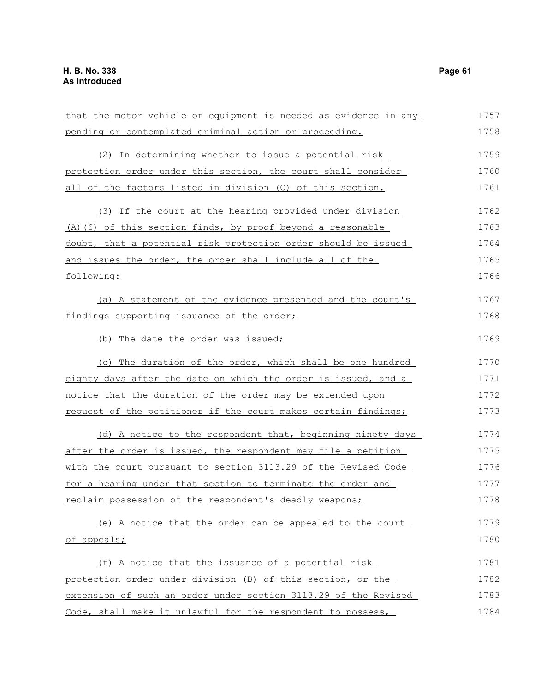| that the motor vehicle or equipment is needed as evidence in any | 1757 |
|------------------------------------------------------------------|------|
| pending or contemplated criminal action or proceeding.           | 1758 |
| (2) In determining whether to issue a potential risk             | 1759 |
| protection order under this section, the court shall consider    | 1760 |
| all of the factors listed in division (C) of this section.       | 1761 |
| (3) If the court at the hearing provided under division          | 1762 |
| (A) (6) of this section finds, by proof beyond a reasonable      | 1763 |
| doubt, that a potential risk protection order should be issued   | 1764 |
| and issues the order, the order shall include all of the         | 1765 |
| following:                                                       | 1766 |
| (a) A statement of the evidence presented and the court's        | 1767 |
| findings supporting issuance of the order;                       | 1768 |
| (b) The date the order was issued;                               | 1769 |
| (c) The duration of the order, which shall be one hundred        | 1770 |
| eighty days after the date on which the order is issued, and a   | 1771 |
| notice that the duration of the order may be extended upon       | 1772 |
| request of the petitioner if the court makes certain findings;   | 1773 |
| (d) A notice to the respondent that, beginning ninety days       | 1774 |
| after the order is issued, the respondent may file a petition    | 1775 |
| with the court pursuant to section 3113.29 of the Revised Code   | 1776 |
| for a hearing under that section to terminate the order and      | 1777 |
| reclaim possession of the respondent's deadly weapons;           | 1778 |
| (e) A notice that the order can be appealed to the court         | 1779 |
| of appeals;                                                      | 1780 |
| (f) A notice that the issuance of a potential risk               | 1781 |
| protection order under division (B) of this section, or the      | 1782 |
| extension of such an order under section 3113.29 of the Revised  | 1783 |
| Code, shall make it unlawful for the respondent to possess,      | 1784 |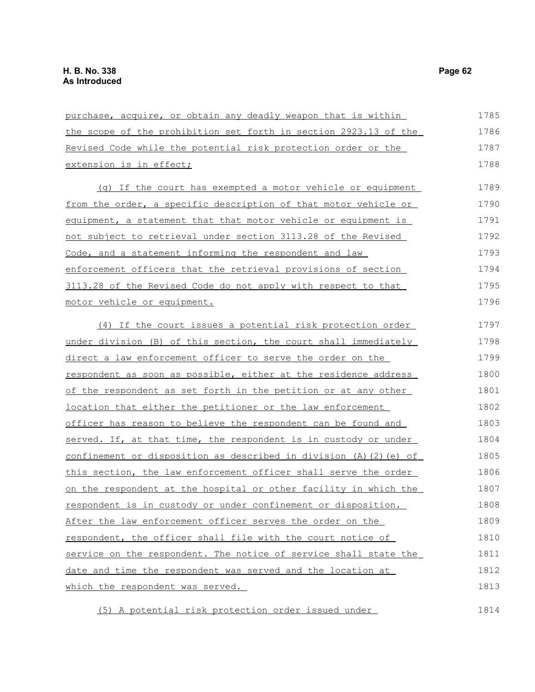| purchase, acquire, or obtain any deadly weapon that is within    | 1785 |
|------------------------------------------------------------------|------|
| the scope of the prohibition set forth in section 2923.13 of the | 1786 |
| Revised Code while the potential risk protection order or the    | 1787 |
| extension is in effect;                                          | 1788 |
| (q) If the court has exempted a motor vehicle or equipment       | 1789 |
| from the order, a specific description of that motor vehicle or  | 1790 |
| equipment, a statement that that motor vehicle or equipment is   | 1791 |
| not subject to retrieval under section 3113.28 of the Revised    | 1792 |
| Code, and a statement informing the respondent and law           | 1793 |
| enforcement officers that the retrieval provisions of section    | 1794 |
| 3113.28 of the Revised Code do not apply with respect to that    | 1795 |
| motor vehicle or equipment.                                      | 1796 |
| (4) If the court issues a potential risk protection order        | 1797 |
| under division (B) of this section, the court shall immediately  | 1798 |
| direct a law enforcement officer to serve the order on the       | 1799 |
| respondent as soon as possible, either at the residence address  | 1800 |
| of the respondent as set forth in the petition or at any other   | 1801 |
| location that either the petitioner or the law enforcement       | 1802 |
| officer has reason to believe the respondent can be found and    | 1803 |
| served. If, at that time, the respondent is in custody or under  | 1804 |
| confinement or disposition as described in division (A)(2)(e) of | 1805 |
| this section, the law enforcement officer shall serve the order  | 1806 |
| on the respondent at the hospital or other facility in which the | 1807 |
| respondent is in custody or under confinement or disposition.    | 1808 |
| After the law enforcement officer serves the order on the        | 1809 |
| respondent, the officer shall file with the court notice of      | 1810 |
| service on the respondent. The notice of service shall state the | 1811 |
| date and time the respondent was served and the location at      | 1812 |
| which the respondent was served.                                 | 1813 |
| (5) A potential risk protection order issued under               | 1814 |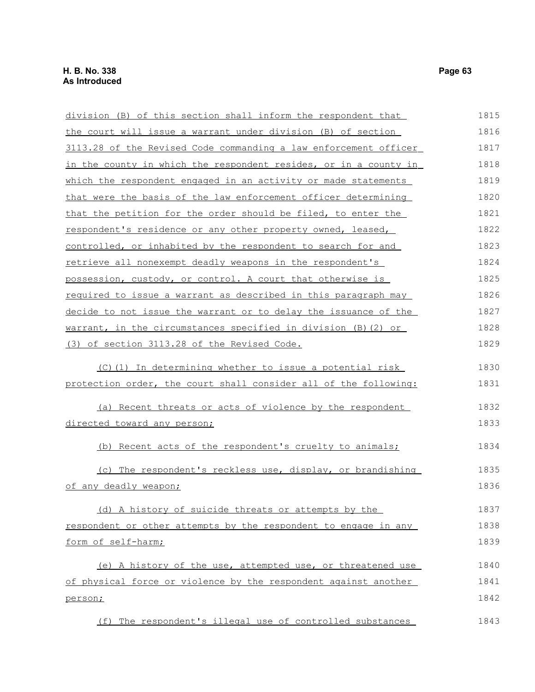| division (B) of this section shall inform the respondent that    | 1815 |
|------------------------------------------------------------------|------|
| the court will issue a warrant under division (B) of section     | 1816 |
| 3113.28 of the Revised Code commanding a law enforcement officer | 1817 |
| in the county in which the respondent resides, or in a county in | 1818 |
| which the respondent engaged in an activity or made statements   | 1819 |
| that were the basis of the law enforcement officer determining   | 1820 |
| that the petition for the order should be filed, to enter the    | 1821 |
| respondent's residence or any other property owned, leased,      | 1822 |
| controlled, or inhabited by the respondent to search for and     | 1823 |
| retrieve all nonexempt deadly weapons in the respondent's        | 1824 |
| possession, custody, or control. A court that otherwise is       | 1825 |
| required to issue a warrant as described in this paragraph may   | 1826 |
| decide to not issue the warrant or to delay the issuance of the  | 1827 |
| warrant, in the circumstances specified in division (B) (2) or   | 1828 |
| (3) of section 3113.28 of the Revised Code.                      | 1829 |
| (C)(1) In determining whether to issue a potential risk          | 1830 |
| protection order, the court shall consider all of the following: | 1831 |
| (a) Recent threats or acts of violence by the respondent         | 1832 |
| directed toward any person;                                      | 1833 |
| (b) Recent acts of the respondent's cruelty to animals;          | 1834 |
| (c) The respondent's reckless use, display, or brandishing       | 1835 |
| of any deadly weapon;                                            | 1836 |
| (d) A history of suicide threats or attempts by the              | 1837 |
| respondent or other attempts by the respondent to engage in any  | 1838 |
| form of self-harm;                                               | 1839 |
| (e) A history of the use, attempted use, or threatened use       | 1840 |
| of physical force or violence by the respondent against another  | 1841 |
| person;                                                          | 1842 |
| (f) The respondent's illegal use of controlled substances        | 1843 |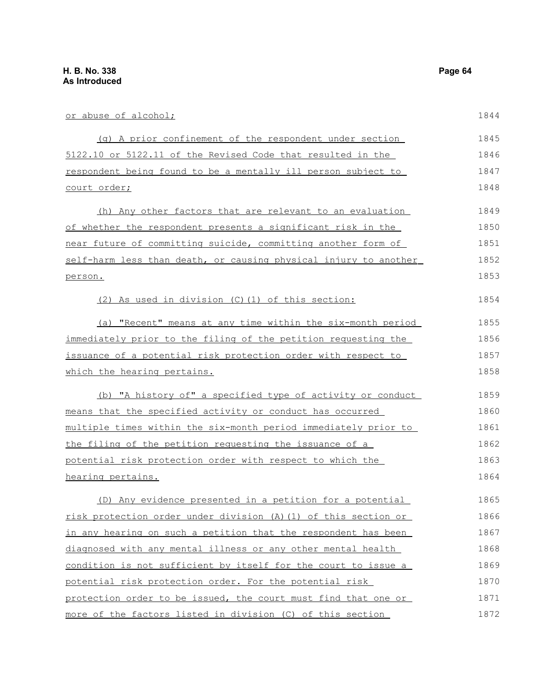or abuse of alcohol; (g) A prior confinement of the respondent under section 5122.10 or 5122.11 of the Revised Code that resulted in the respondent being found to be a mentally ill person subject to court order; (h) Any other factors that are relevant to an evaluation of whether the respondent presents a significant risk in the near future of committing suicide, committing another form of self-harm less than death, or causing physical injury to another person. (2) As used in division (C)(1) of this section: (a) "Recent" means at any time within the six-month period immediately prior to the filing of the petition requesting the issuance of a potential risk protection order with respect to which the hearing pertains. (b) "A history of" a specified type of activity or conduct means that the specified activity or conduct has occurred multiple times within the six-month period immediately prior to the filing of the petition requesting the issuance of a potential risk protection order with respect to which the hearing pertains. (D) Any evidence presented in a petition for a potential risk protection order under division (A)(1) of this section or in any hearing on such a petition that the respondent has been diagnosed with any mental illness or any other mental health condition is not sufficient by itself for the court to issue a potential risk protection order. For the potential risk protection order to be issued, the court must find that one or more of the factors listed in division (C) of this section 1844 1845 1846 1847 1848 1849 1850 1851 1852 1853 1854 1855 1856 1857 1858 1859 1860 1861 1862 1863 1864 1865 1866 1867 1868 1869 1870 1871 1872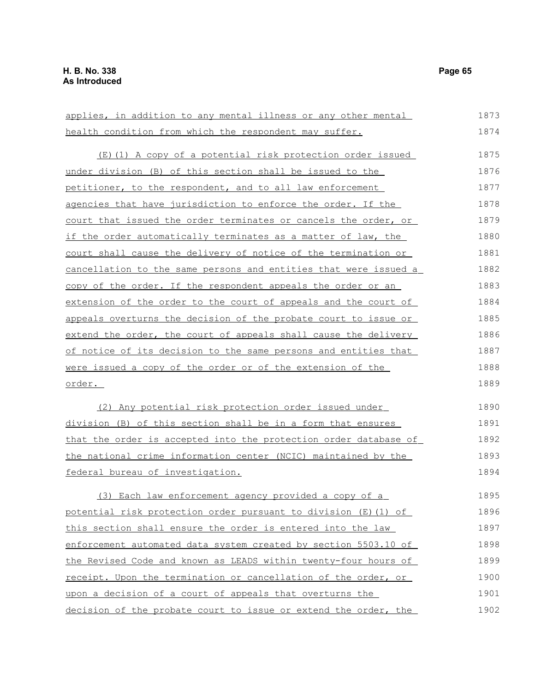| applies, in addition to any mental illness or any other mental       | 1873 |
|----------------------------------------------------------------------|------|
| health condition from which the respondent may suffer.               | 1874 |
| (E)(1) A copy of a potential risk protection order issued            | 1875 |
| under division (B) of this section shall be issued to the            | 1876 |
| petitioner, to the respondent, and to all law enforcement            | 1877 |
| agencies that have jurisdiction to enforce the order. If the         | 1878 |
| court that issued the order terminates or cancels the order, or      | 1879 |
| <u>if the order automatically terminates as a matter of law, the</u> | 1880 |
| court shall cause the delivery of notice of the termination or       | 1881 |
| cancellation to the same persons and entities that were issued a     | 1882 |
| copy of the order. If the respondent appeals the order or an         | 1883 |
| extension of the order to the court of appeals and the court of      | 1884 |
| appeals overturns the decision of the probate court to issue or      | 1885 |
| extend the order, the court of appeals shall cause the delivery      | 1886 |
| of notice of its decision to the same persons and entities that      | 1887 |
| <u>were issued a copy of the order or of the extension of the</u>    | 1888 |
| <u>order.</u>                                                        | 1889 |
| (2) Any potential risk protection order issued under                 | 1890 |
| division (B) of this section shall be in a form that ensures         | 1891 |
| that the order is accepted into the protection order database of     | 1892 |
| the national crime information center (NCIC) maintained by the       | 1893 |
| federal bureau of investigation.                                     | 1894 |
| (3) Each law enforcement agency provided a copy of a                 | 1895 |
| potential risk protection order pursuant to division (E) (1) of      | 1896 |
| this section shall ensure the order is entered into the law          | 1897 |
| enforcement automated data system created by section 5503.10 of      | 1898 |
| the Revised Code and known as LEADS within twenty-four hours of      | 1899 |
| receipt. Upon the termination or cancellation of the order, or       | 1900 |
| upon a decision of a court of appeals that overturns the             | 1901 |
| decision of the probate court to issue or extend the order, the      | 1902 |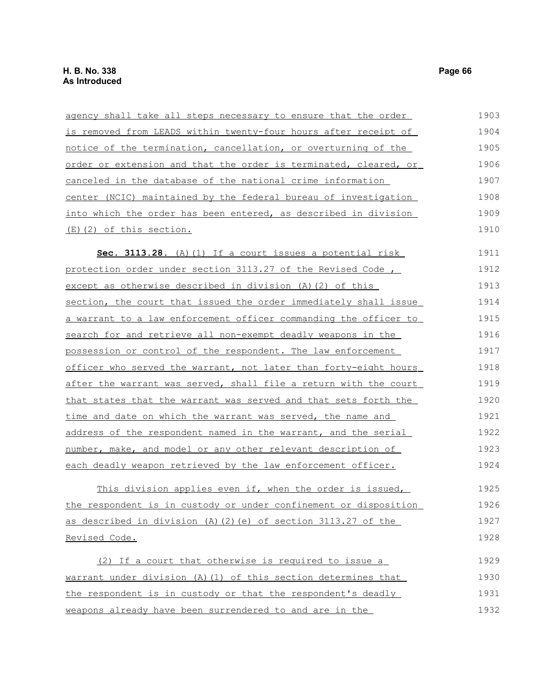| agency shall take all steps necessary to ensure that the order   | 1903 |
|------------------------------------------------------------------|------|
| is removed from LEADS within twenty-four hours after receipt of  | 1904 |
| notice of the termination, cancellation, or overturning of the   | 1905 |
| order or extension and that the order is terminated, cleared, or | 1906 |
| canceled in the database of the national crime information       | 1907 |
| center (NCIC) maintained by the federal bureau of investigation  | 1908 |
| into which the order has been entered, as described in division  | 1909 |
| (E)(2) of this section.                                          | 1910 |
| Sec. 3113.28. (A) (1) If a court issues a potential risk         | 1911 |
| protection order under section 3113.27 of the Revised Code,      | 1912 |
| except as otherwise described in division (A) (2) of this        | 1913 |
| section, the court that issued the order immediately shall issue | 1914 |
| a warrant to a law enforcement officer commanding the officer to | 1915 |
| search for and retrieve all non-exempt deadly weapons in the     | 1916 |
| possession or control of the respondent. The law enforcement     | 1917 |
| officer who served the warrant, not later than forty-eight hours | 1918 |
| after the warrant was served, shall file a return with the court | 1919 |
| that states that the warrant was served and that sets forth the  | 1920 |
| time and date on which the warrant was served, the name and      | 1921 |
| address of the respondent named in the warrant, and the serial   | 1922 |
| number, make, and model or any other relevant description of     | 1923 |
| each deadly weapon retrieved by the law enforcement officer.     | 1924 |
| This division applies even if, when the order is issued,         | 1925 |
| the respondent is in custody or under confinement or disposition | 1926 |
| as described in division (A)(2)(e) of section 3113.27 of the     | 1927 |
| Revised Code.                                                    | 1928 |
| (2) If a court that otherwise is required to issue a             | 1929 |
| warrant under division (A) (1) of this section determines that   | 1930 |
| the respondent is in custody or that the respondent's deadly     | 1931 |
| weapons already have been surrendered to and are in the          | 1932 |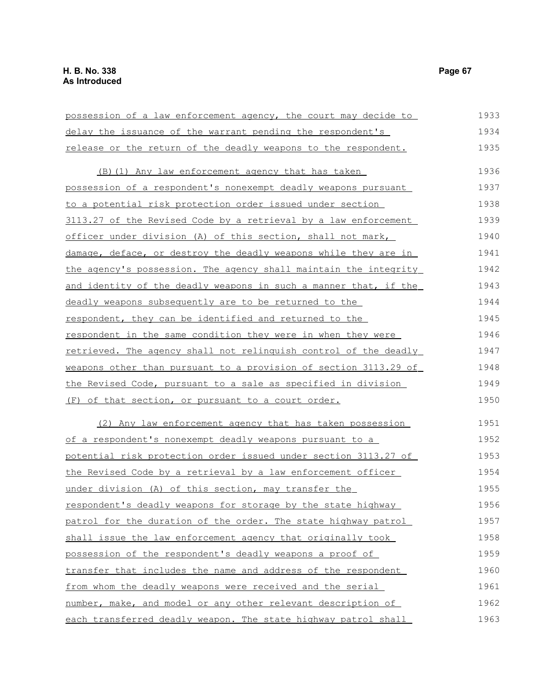| possession of a law enforcement agency, the court may decide to  | 1933 |
|------------------------------------------------------------------|------|
| delay the issuance of the warrant pending the respondent's       | 1934 |
| release or the return of the deadly weapons to the respondent.   | 1935 |
| (B) (1) Any law enforcement agency that has taken                | 1936 |
| possession of a respondent's nonexempt deadly weapons pursuant   | 1937 |
| to a potential risk protection order issued under section        | 1938 |
| 3113.27 of the Revised Code by a retrieval by a law enforcement  | 1939 |
| officer under division (A) of this section, shall not mark,      | 1940 |
| damage, deface, or destroy the deadly weapons while they are in  | 1941 |
| the agency's possession. The agency shall maintain the integrity | 1942 |
| and identity of the deadly weapons in such a manner that, if the | 1943 |
| deadly weapons subsequently are to be returned to the            | 1944 |
| respondent, they can be identified and returned to the           | 1945 |
| respondent in the same condition they were in when they were     | 1946 |
| retrieved. The agency shall not relinguish control of the deadly | 1947 |
| weapons other than pursuant to a provision of section 3113.29 of | 1948 |
| the Revised Code, pursuant to a sale as specified in division    | 1949 |
| (F) of that section, or pursuant to a court order.               | 1950 |
| (2) Any law enforcement agency that has taken possession         | 1951 |
| of a respondent's nonexempt deadly weapons pursuant to a         | 1952 |
| potential risk protection order issued under section 3113.27 of  | 1953 |
| the Revised Code by a retrieval by a law enforcement officer     | 1954 |
| under division (A) of this section, may transfer the             | 1955 |
| respondent's deadly weapons for storage by the state highway     | 1956 |
| patrol for the duration of the order. The state highway patrol   | 1957 |
| shall issue the law enforcement agency that originally took      | 1958 |
| possession of the respondent's deadly weapons a proof of         | 1959 |
| transfer that includes the name and address of the respondent    | 1960 |
| from whom the deadly weapons were received and the serial        | 1961 |
| number, make, and model or any other relevant description of     | 1962 |
| each transferred deadly weapon. The state highway patrol shall   | 1963 |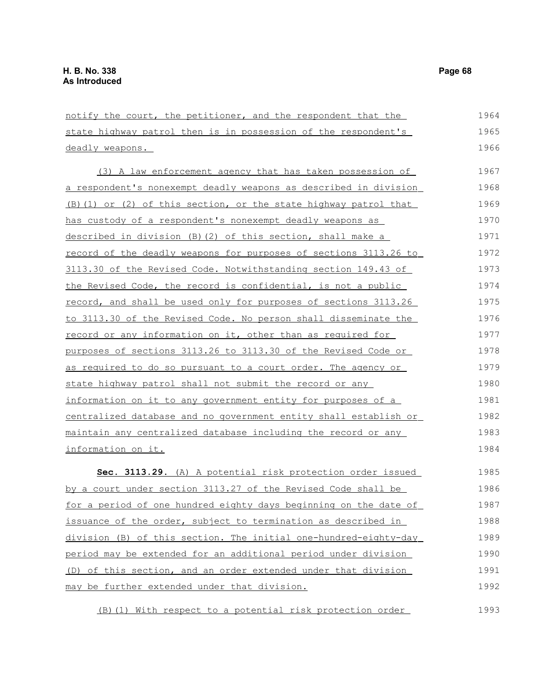notify the court, the petitioner, and the respondent that the state highway patrol then is in possession of the respondent's deadly weapons. (3) A law enforcement agency that has taken possession of a respondent's nonexempt deadly weapons as described in division (B)(1) or (2) of this section, or the state highway patrol that has custody of a respondent's nonexempt deadly weapons as described in division (B)(2) of this section, shall makea record of the deadly weapons for purposes of sections 3113.26 to 3113.30 of the Revised Code. Notwithstanding section 149.43 of the Revised Code, the record is confidential, is not a public record, and shall be used only for purposes of sections 3113.26 to 3113.30 of the Revised Code. No person shall disseminate the record or any information on it, other than as required for purposes of sections 3113.26 to 3113.30 of the Revised Code or as required to do so pursuant to a court order. The agency or state highway patrol shall not submit the record or any information on it to any government entity for purposes of a centralized database and no government entity shall establish or maintain any centralized database including the record or any information on it. **Sec. 3113.29.** (A) A potential risk protection order issued by a court under section 3113.27 of the Revised Code shall be for a period of one hundred eighty days beginning on the date of issuance of the order, subject to termination as described in 1964 1965 1966 1967 1968 1969 1970 1971 1972 1973 1974 1975 1976 1977 1978 1979 1980 1981 1982 1983 1984 1985 1986 1987 1988

 division (B) of this section. The initial one-hundred-eighty-day period may be extended for an additional period under division (D) of this section, and an order extended under that division may be further extended under that division. 1989 1990 1991 1992

(B)(1) With respect to a potential risk protection order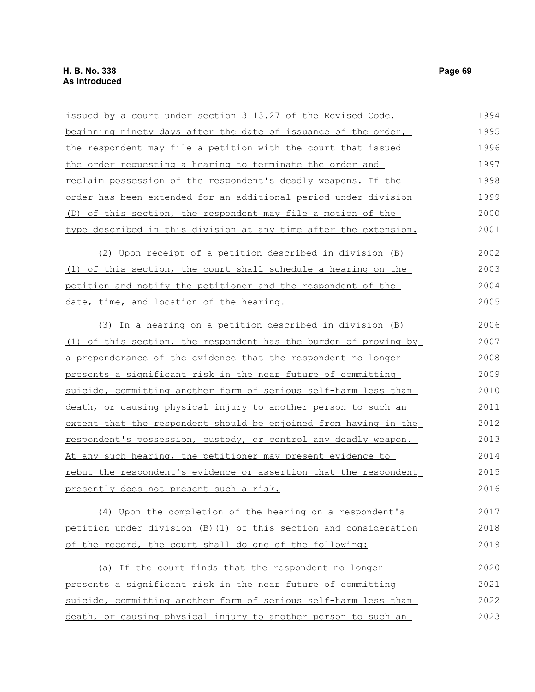| issued by a court under section 3113.27 of the Revised Code,            | 1994 |
|-------------------------------------------------------------------------|------|
| beginning ninety days after the date of issuance of the order,          | 1995 |
| the respondent may file a petition with the court that issued           | 1996 |
| the order requesting a hearing to terminate the order and               | 1997 |
| reclaim possession of the respondent's deadly weapons. If the           | 1998 |
| order has been extended for an additional period under division         | 1999 |
| (D) of this section, the respondent may file a motion of the            | 2000 |
| type described in this division at any time after the extension.        | 2001 |
| (2) Upon receipt of a petition described in division (B)                | 2002 |
| (1) of this section, the court shall schedule a hearing on the          | 2003 |
| petition and notify the petitioner and the respondent of the            | 2004 |
| date, time, and location of the hearing.                                | 2005 |
| (3) In a hearing on a petition described in division (B)                | 2006 |
| (1) of this section, the respondent has the burden of proving by        | 2007 |
| a preponderance of the evidence that the respondent no longer           | 2008 |
| presents a significant risk in the near future of committing            | 2009 |
| suicide, committing another form of serious self-harm less than         | 2010 |
| death, or causing physical injury to another person to such an          | 2011 |
| extent that the respondent should be enjoined from having in the        | 2012 |
| respondent's possession, custody, or control any deadly weapon.         | 2013 |
| At any such hearing, the petitioner may present evidence to             | 2014 |
| <u>rebut the respondent's evidence or assertion that the respondent</u> | 2015 |
| presently does not present such a risk.                                 | 2016 |
| (4) Upon the completion of the hearing on a respondent's                | 2017 |
| petition under division (B) (1) of this section and consideration       | 2018 |
| of the record, the court shall do one of the following:                 | 2019 |
| (a) If the court finds that the respondent no longer                    | 2020 |
| presents a significant risk in the near future of committing            | 2021 |
| suicide, committing another form of serious self-harm less than         | 2022 |
| death, or causing physical injury to another person to such an          | 2023 |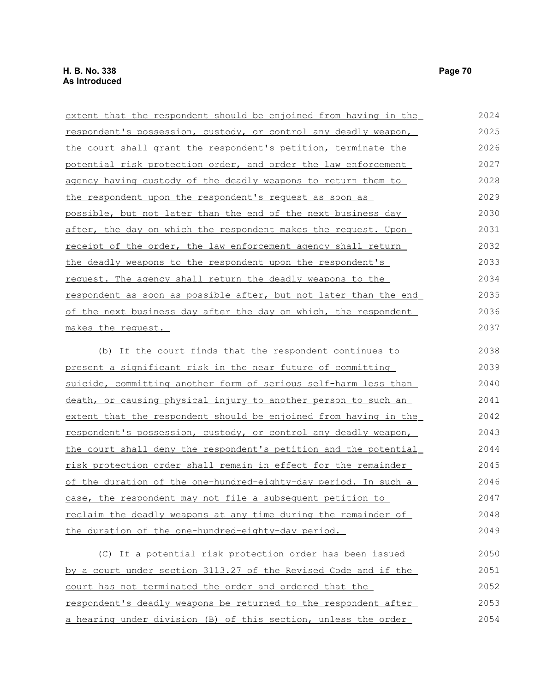| extent that the respondent should be enjoined from having in the | 2024 |
|------------------------------------------------------------------|------|
| respondent's possession, custody, or control any deadly weapon,  | 2025 |
| the court shall grant the respondent's petition, terminate the   | 2026 |
| potential risk protection order, and order the law enforcement   | 2027 |
| agency having custody of the deadly weapons to return them to    | 2028 |
| the respondent upon the respondent's request as soon as          | 2029 |
| possible, but not later than the end of the next business day    | 2030 |
| after, the day on which the respondent makes the request. Upon   | 2031 |
| receipt of the order, the law enforcement agency shall return    | 2032 |
| the deadly weapons to the respondent upon the respondent's       | 2033 |
| request. The agency shall return the deadly weapons to the       | 2034 |
| respondent as soon as possible after, but not later than the end | 2035 |
| of the next business day after the day on which, the respondent  | 2036 |
| makes the request.                                               | 2037 |
| (b) If the court finds that the respondent continues to          | 2038 |
| present a significant risk in the near future of committing      | 2039 |
| suicide, committing another form of serious self-harm less than  | 2040 |
| death, or causing physical injury to another person to such an   | 2041 |
|                                                                  |      |
| extent that the respondent should be enjoined from having in the | 2042 |
| respondent's possession, custody, or control any deadly weapon,  | 2043 |
| the court shall deny the respondent's petition and the potential | 2044 |
| risk protection order shall remain in effect for the remainder   | 2045 |
| of the duration of the one-hundred-eighty-day period. In such a  | 2046 |
| case, the respondent may not file a subsequent petition to       | 2047 |
| reclaim the deadly weapons at any time during the remainder of   | 2048 |
| the duration of the one-hundred-eighty-day period.               | 2049 |
| (C) If a potential risk protection order has been issued         | 2050 |
| by a court under section 3113.27 of the Revised Code and if the  | 2051 |
|                                                                  | 2052 |
|                                                                  |      |
| court has not terminated the order and ordered that the          |      |

a hearing under division (B) of this section, unless the order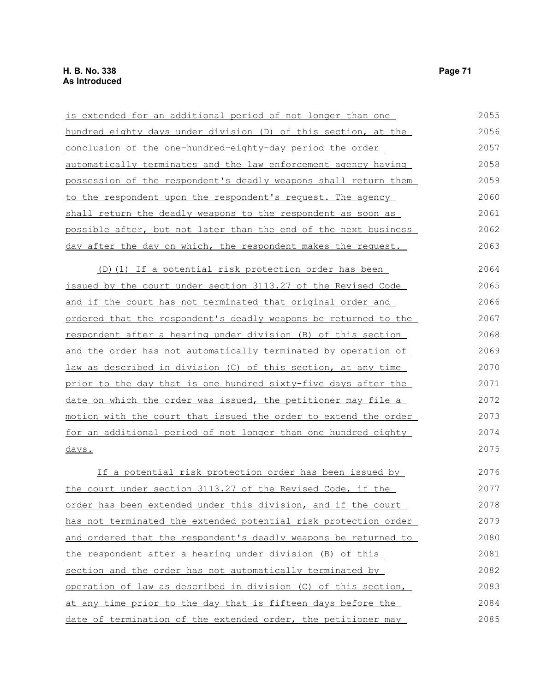| is extended for an additional period of not longer than one     | 2055 |
|-----------------------------------------------------------------|------|
| hundred eighty days under division (D) of this section, at the  | 2056 |
| conclusion of the one-hundred-eighty-day period the order       | 2057 |
| automatically terminates and the law enforcement agency having  | 2058 |
| possession of the respondent's deadly weapons shall return them | 2059 |
| to the respondent upon the respondent's request. The agency     | 2060 |
| shall return the deadly weapons to the respondent as soon as    | 2061 |
| possible after, but not later than the end of the next business | 2062 |
| day after the day on which, the respondent makes the request.   | 2063 |
| (D) (1) If a potential risk protection order has been           | 2064 |
| issued by the court under section 3113.27 of the Revised Code   | 2065 |
| and if the court has not terminated that original order and     | 2066 |
| ordered that the respondent's deadly weapons be returned to the | 2067 |
| respondent after a hearing under division (B) of this section   | 2068 |
| and the order has not automatically terminated by operation of  | 2069 |
| law as described in division (C) of this section, at any time   | 2070 |
| prior to the day that is one hundred sixty-five days after the  | 2071 |
| date on which the order was issued, the petitioner may file a   | 2072 |
| motion with the court that issued the order to extend the order | 2073 |
| for an additional period of not longer than one hundred eighty  | 2074 |
| <u>days.</u>                                                    | 2075 |
| If a potential risk protection order has been issued by         | 2076 |
| the court under section 3113.27 of the Revised Code, if the     | 2077 |
| order has been extended under this division, and if the court   | 2078 |
| has not terminated the extended potential risk protection order | 2079 |
| and ordered that the respondent's deadly weapons be returned to | 2080 |
| the respondent after a hearing under division (B) of this       | 2081 |
| section and the order has not automatically terminated by       | 2082 |
| operation of law as described in division (C) of this section,  | 2083 |
| at any time prior to the day that is fifteen days before the    | 2084 |
| date of termination of the extended order, the petitioner may   | 2085 |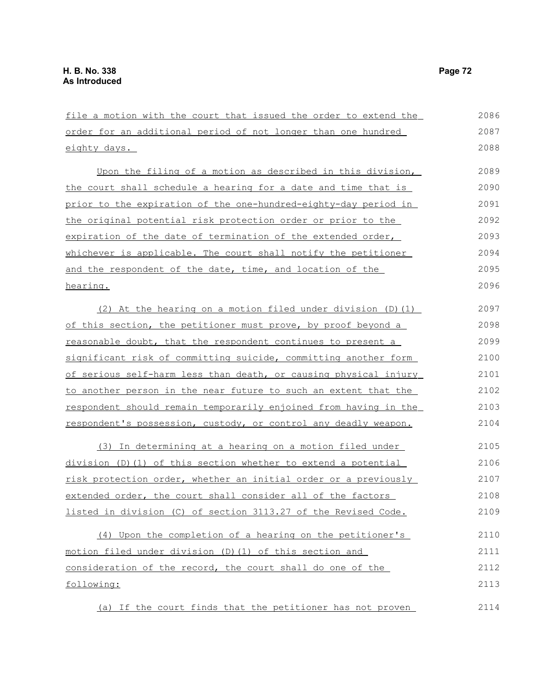file a motion with the court that issued the order to extend the order for an additional period of not longer than one hundred eighty days. Upon the filing of a motion as described in this division, the court shall schedule a hearing for a date and time that is prior to the expiration of the one-hundred-eighty-day period in the original potential risk protection order or prior to the expiration of the date of termination of the extended order, whichever is applicable. The court shall notify the petitioner and the respondent of the date, time, and location of the hearing. (2) At the hearing on a motion filed under division (D)(1) of this section, the petitioner must prove, by proof beyonda reasonable doubt, that the respondent continues to present a significant risk of committing suicide, committing another form of serious self-harm less than death, or causing physical injury to another person in the near future to such an extent that the respondent should remain temporarily enjoined from having in the respondent's possession, custody, or control any deadly weapon. (3) In determining at a hearing on a motion filed under division (D)(1) of this section whether to extend a potential risk protection order, whether an initial order or a previously extended order, the court shall consider all of the factors listed in division (C) of section 3113.27 of the Revised Code. (4) Upon the completion of a hearing on the petitioner's motion filed under division (D)(1) of this section and consideration of the record, the court shall do one of the following: 2086 2087 2088 2089 2090 2091 2092 2093 2094 2095 2096 2097 2098 2099 2100 2101 2102 2103 2104 2105 2106 2107 2108 2109 2110 2111 2112 2113

 (a) If the court finds that the petitioner has not proven 2114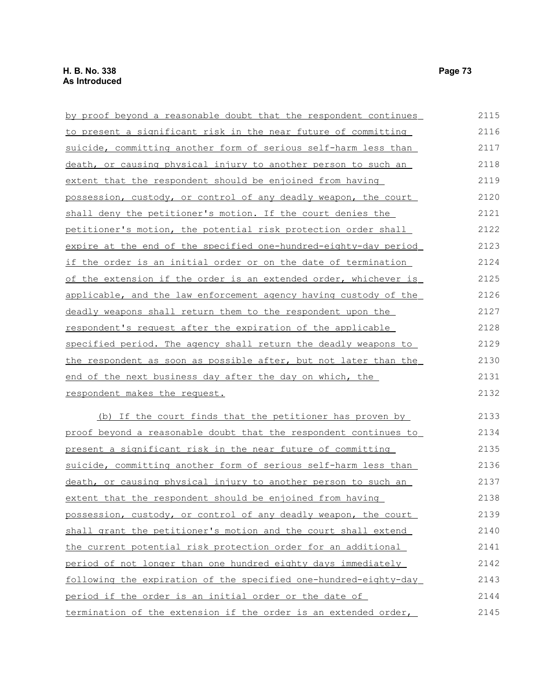| by proof beyond a reasonable doubt that the respondent continues | 2115 |
|------------------------------------------------------------------|------|
| to present a significant risk in the near future of committing   | 2116 |
| suicide, committing another form of serious self-harm less than  | 2117 |
| death, or causing physical injury to another person to such an   | 2118 |
| extent that the respondent should be enjoined from having        | 2119 |
| possession, custody, or control of any deadly weapon, the court  | 2120 |
| shall deny the petitioner's motion. If the court denies the      | 2121 |
| petitioner's motion, the potential risk protection order shall   | 2122 |
| expire at the end of the specified one-hundred-eighty-day period | 2123 |
| if the order is an initial order or on the date of termination   | 2124 |
| of the extension if the order is an extended order, whichever is | 2125 |
| applicable, and the law enforcement agency having custody of the | 2126 |
| deadly weapons shall return them to the respondent upon the      | 2127 |
| respondent's request after the expiration of the applicable      | 2128 |
| specified period. The agency shall return the deadly weapons to  | 2129 |
| the respondent as soon as possible after, but not later than the | 2130 |
| end of the next business day after the day on which, the         | 2131 |
| respondent makes the request.                                    | 2132 |
| (b) If the court finds that the petitioner has proven by         | 2133 |
| proof beyond a reasonable doubt that the respondent continues to | 2134 |
| present a significant risk in the near future of committing      | 2135 |
| suicide, committing another form of serious self-harm less than  | 2136 |
| death, or causing physical injury to another person to such an   | 2137 |
| extent that the respondent should be enjoined from having        | 2138 |
| possession, custody, or control of any deadly weapon, the court  | 2139 |
| shall grant the petitioner's motion and the court shall extend   | 2140 |
| the current potential risk protection order for an additional    | 2141 |
| period of not longer than one hundred eighty days immediately    | 2142 |
| following the expiration of the specified one-hundred-eighty-day | 2143 |
| period if the order is an initial order or the date of           | 2144 |
| termination of the extension if the order is an extended order,  | 2145 |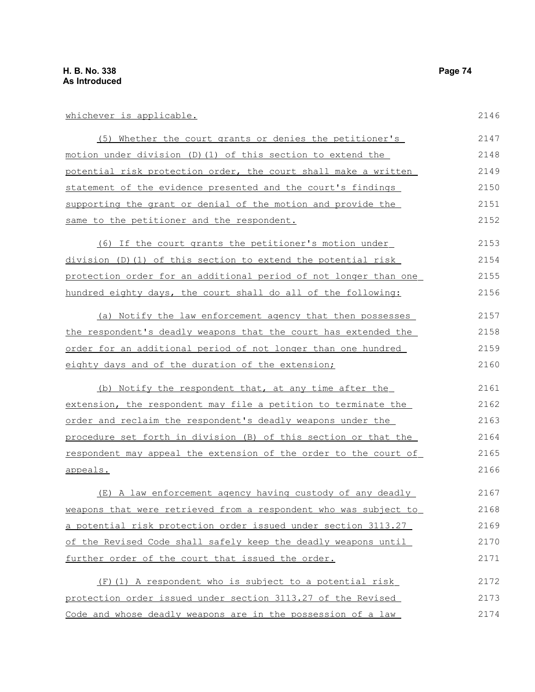| whichever is applicable.                                         | 2146 |
|------------------------------------------------------------------|------|
| (5) Whether the court grants or denies the petitioner's          | 2147 |
| motion under division (D)(1) of this section to extend the       | 2148 |
| potential risk protection order, the court shall make a written  | 2149 |
| statement of the evidence presented and the court's findings     | 2150 |
| supporting the grant or denial of the motion and provide the     | 2151 |
| same to the petitioner and the respondent.                       | 2152 |
| (6) If the court grants the petitioner's motion under            | 2153 |
| division (D)(1) of this section to extend the potential risk     | 2154 |
| protection order for an additional period of not longer than one | 2155 |
| hundred eighty days, the court shall do all of the following:    | 2156 |
| (a) Notify the law enforcement agency that then possesses        | 2157 |
| the respondent's deadly weapons that the court has extended the  | 2158 |
| order for an additional period of not longer than one hundred    | 2159 |
| eighty days and of the duration of the extension;                | 2160 |
| (b) Notify the respondent that, at any time after the            | 2161 |
| extension, the respondent may file a petition to terminate the   | 2162 |
| order and reclaim the respondent's deadly weapons under the      | 2163 |
| procedure set forth in division (B) of this section or that the  | 2164 |
| respondent may appeal the extension of the order to the court of | 2165 |
| appeals.                                                         | 2166 |
| (E) A law enforcement agency having custody of any deadly        | 2167 |
| weapons that were retrieved from a respondent who was subject to | 2168 |
| a potential risk protection order issued under section 3113.27   | 2169 |
| of the Revised Code shall safely keep the deadly weapons until   | 2170 |
| further order of the court that issued the order.                | 2171 |
| (F) (1) A respondent who is subject to a potential risk          | 2172 |
| protection order issued under section 3113.27 of the Revised     | 2173 |
| Code and whose deadly weapons are in the possession of a law     | 2174 |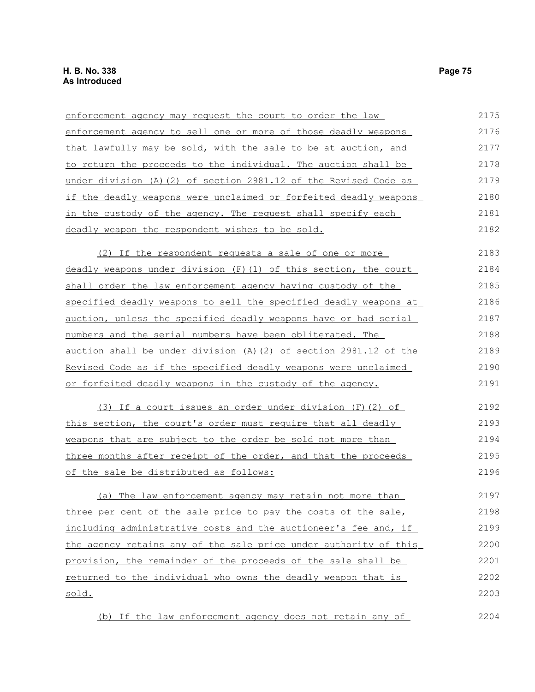| enforcement agency may request the court to order the law         | 2175 |
|-------------------------------------------------------------------|------|
| enforcement agency to sell one or more of those deadly weapons    | 2176 |
| that lawfully may be sold, with the sale to be at auction, and    | 2177 |
| to return the proceeds to the individual. The auction shall be    | 2178 |
| under division (A) (2) of section 2981.12 of the Revised Code as  | 2179 |
| if the deadly weapons were unclaimed or forfeited deadly weapons  | 2180 |
| in the custody of the agency. The request shall specify each      | 2181 |
| deadly weapon the respondent wishes to be sold.                   | 2182 |
| (2) If the respondent requests a sale of one or more              | 2183 |
| deadly weapons under division (F) (1) of this section, the court  | 2184 |
| shall order the law enforcement agency having custody of the      | 2185 |
| specified deadly weapons to sell the specified deadly weapons at  | 2186 |
| auction, unless the specified deadly weapons have or had serial   | 2187 |
| numbers and the serial numbers have been obliterated. The         | 2188 |
| auction shall be under division (A) (2) of section 2981.12 of the | 2189 |
| Revised Code as if the specified deadly weapons were unclaimed    | 2190 |
| or forfeited deadly weapons in the custody of the agency.         | 2191 |
| (3) If a court issues an order under division (F) (2) of          | 2192 |
| this section, the court's order must require that all deadly      | 2193 |
| weapons that are subject to the order be sold not more than       | 2194 |
| three months after receipt of the order, and that the proceeds    | 2195 |
| of the sale be distributed as follows:                            | 2196 |
| (a) The law enforcement agency may retain not more than           | 2197 |
| three per cent of the sale price to pay the costs of the sale,    | 2198 |
| including administrative costs and the auctioneer's fee and, if   | 2199 |
| the agency retains any of the sale price under authority of this  | 2200 |
| provision, the remainder of the proceeds of the sale shall be     | 2201 |
| returned to the individual who owns the deadly weapon that is     | 2202 |
| <u>sold.</u>                                                      | 2203 |
| (b) If the law enforcement agency does not retain any of          | 2204 |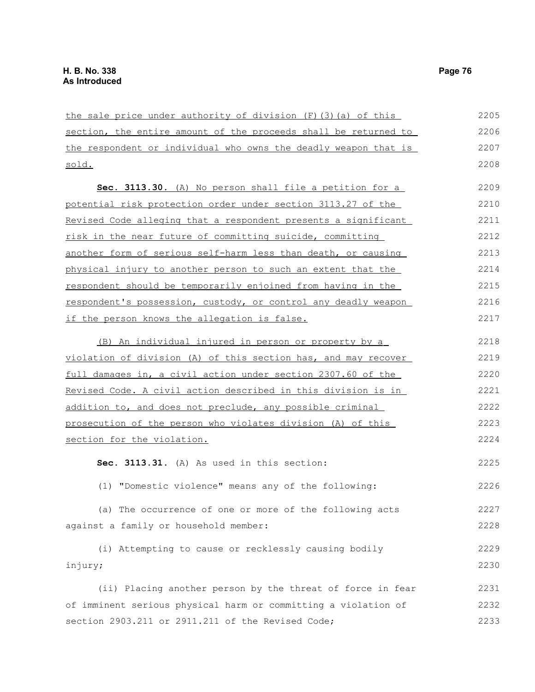| the sale price under authority of division (F) (3) (a) of this  | 2205 |
|-----------------------------------------------------------------|------|
| section, the entire amount of the proceeds shall be returned to | 2206 |
| the respondent or individual who owns the deadly weapon that is | 2207 |
| sold.                                                           | 2208 |
| Sec. 3113.30. (A) No person shall file a petition for a         | 2209 |
| potential risk protection order under section 3113.27 of the    | 2210 |
| Revised Code alleging that a respondent presents a significant  | 2211 |
| risk in the near future of committing suicide, committing       | 2212 |
| another form of serious self-harm less than death, or causing   | 2213 |
| physical injury to another person to such an extent that the    | 2214 |
| respondent should be temporarily enjoined from having in the    | 2215 |
| respondent's possession, custody, or control any deadly weapon  | 2216 |
| if the person knows the allegation is false.                    | 2217 |
| (B) An individual injured in person or property by a            | 2218 |
| violation of division (A) of this section has, and may recover  | 2219 |
| full damages in, a civil action under section 2307.60 of the    | 2220 |
| Revised Code. A civil action described in this division is in   | 2221 |
| addition to, and does not preclude, any possible criminal       | 2222 |
| prosecution of the person who violates division (A) of this     | 2223 |
| section for the violation.                                      | 2224 |
| Sec. 3113.31. (A) As used in this section:                      | 2225 |
| (1) "Domestic violence" means any of the following:             | 2226 |
| (a) The occurrence of one or more of the following acts         | 2227 |
| against a family or household member:                           | 2228 |
| (i) Attempting to cause or recklessly causing bodily            | 2229 |
| injury;                                                         | 2230 |
| (ii) Placing another person by the threat of force in fear      | 2231 |
| of imminent serious physical harm or committing a violation of  | 2232 |
| section 2903.211 or 2911.211 of the Revised Code;               | 2233 |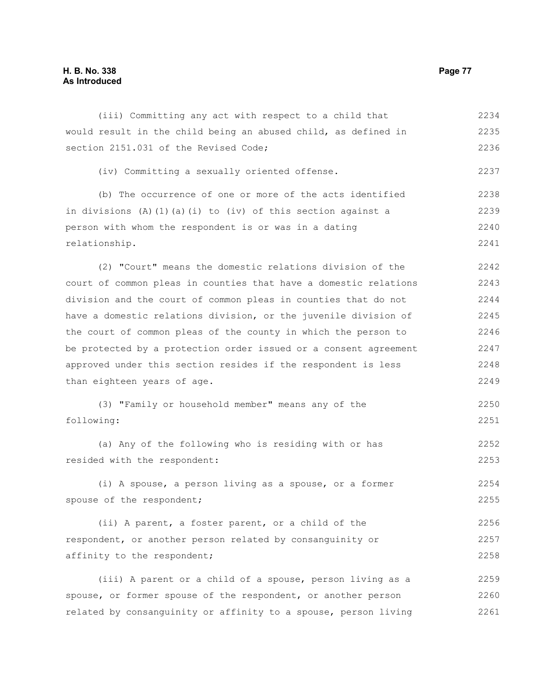#### **H. B. No. 338 Page 77 As Introduced**

(iii) Committing any act with respect to a child that would result in the child being an abused child, as defined in section 2151.031 of the Revised Code; (iv) Committing a sexually oriented offense. (b) The occurrence of one or more of the acts identified in divisions (A)(1)(a)(i) to (iv) of this section against a person with whom the respondent is or was in a dating relationship. (2) "Court" means the domestic relations division of the court of common pleas in counties that have a domestic relations division and the court of common pleas in counties that do not have a domestic relations division, or the juvenile division of the court of common pleas of the county in which the person to be protected by a protection order issued or a consent agreement approved under this section resides if the respondent is less than eighteen years of age. (3) "Family or household member" means any of the following: (a) Any of the following who is residing with or has resided with the respondent: (i) A spouse, a person living as a spouse, or a former spouse of the respondent; 2234 2235 2236 2237 2238 2239 2240 2241 2242 2243 2244 2245 2246 2247 2248 2249 2250 2251 2252 2253 2254 2255

(ii) A parent, a foster parent, or a child of the respondent, or another person related by consanguinity or affinity to the respondent; 2256 2257 2258

(iii) A parent or a child of a spouse, person living as a spouse, or former spouse of the respondent, or another person related by consanguinity or affinity to a spouse, person living 2259 2260 2261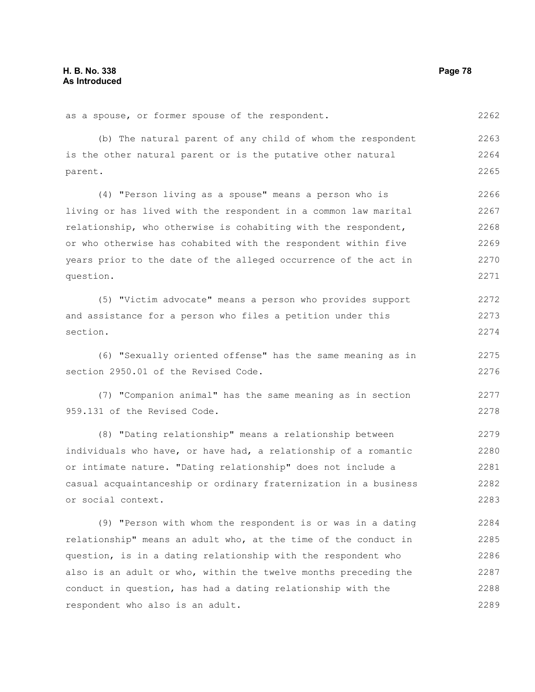as a spouse, or former spouse of the respondent. (b) The natural parent of any child of whom the respondent is the other natural parent or is the putative other natural parent. (4) "Person living as a spouse" means a person who is living or has lived with the respondent in a common law marital relationship, who otherwise is cohabiting with the respondent, or who otherwise has cohabited with the respondent within five years prior to the date of the alleged occurrence of the act in question. (5) "Victim advocate" means a person who provides support and assistance for a person who files a petition under this section. 2262 2263 2264 2265 2266 2267 2268 2269 2270 2271 2272 2273 2274

(6) "Sexually oriented offense" has the same meaning as in section 2950.01 of the Revised Code. 2275 2276

(7) "Companion animal" has the same meaning as in section 959.131 of the Revised Code. 2277 2278

(8) "Dating relationship" means a relationship between individuals who have, or have had, a relationship of a romantic or intimate nature. "Dating relationship" does not include a casual acquaintanceship or ordinary fraternization in a business or social context. 2279 2280 2281 2282 2283

(9) "Person with whom the respondent is or was in a dating relationship" means an adult who, at the time of the conduct in question, is in a dating relationship with the respondent who also is an adult or who, within the twelve months preceding the conduct in question, has had a dating relationship with the respondent who also is an adult. 2284 2285 2286 2287 2288 2289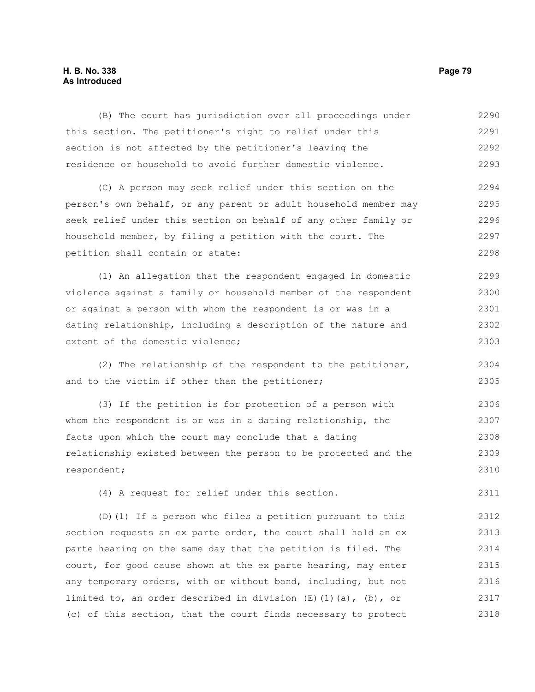# **H. B. No. 338 Page 79 As Introduced**

(B) The court has jurisdiction over all proceedings under this section. The petitioner's right to relief under this section is not affected by the petitioner's leaving the residence or household to avoid further domestic violence. (C) A person may seek relief under this section on the person's own behalf, or any parent or adult household member may seek relief under this section on behalf of any other family or household member, by filing a petition with the court. The petition shall contain or state: (1) An allegation that the respondent engaged in domestic violence against a family or household member of the respondent or against a person with whom the respondent is or was in a dating relationship, including a description of the nature and extent of the domestic violence; 2290 2291 2292 2293 2294 2295 2296 2297 2298 2299 2300 2301 2302 2303

(2) The relationship of the respondent to the petitioner, and to the victim if other than the petitioner; 2304 2305

(3) If the petition is for protection of a person with whom the respondent is or was in a dating relationship, the facts upon which the court may conclude that a dating relationship existed between the person to be protected and the respondent; 2306 2307 2308 2309 2310

(4) A request for relief under this section.

(D)(1) If a person who files a petition pursuant to this section requests an ex parte order, the court shall hold an ex parte hearing on the same day that the petition is filed. The court, for good cause shown at the ex parte hearing, may enter any temporary orders, with or without bond, including, but not limited to, an order described in division  $(E)$  (1)(a), (b), or (c) of this section, that the court finds necessary to protect 2312 2313 2314 2315 2316 2317 2318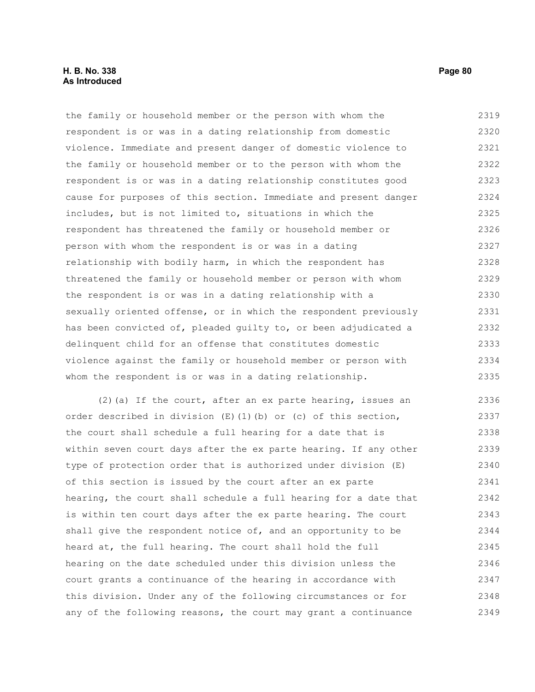## **H. B. No. 338 Page 80 As Introduced**

the family or household member or the person with whom the respondent is or was in a dating relationship from domestic violence. Immediate and present danger of domestic violence to the family or household member or to the person with whom the respondent is or was in a dating relationship constitutes good cause for purposes of this section. Immediate and present danger includes, but is not limited to, situations in which the respondent has threatened the family or household member or person with whom the respondent is or was in a dating relationship with bodily harm, in which the respondent has threatened the family or household member or person with whom the respondent is or was in a dating relationship with a sexually oriented offense, or in which the respondent previously has been convicted of, pleaded guilty to, or been adjudicated a delinquent child for an offense that constitutes domestic violence against the family or household member or person with whom the respondent is or was in a dating relationship. 2319 2320 2321 2322 2323 2324 2325 2326 2327 2328 2329 2330 2331 2332 2333 2334 2335

(2)(a) If the court, after an ex parte hearing, issues an order described in division  $(E)(1)(b)$  or (c) of this section, the court shall schedule a full hearing for a date that is within seven court days after the ex parte hearing. If any other type of protection order that is authorized under division (E) of this section is issued by the court after an ex parte hearing, the court shall schedule a full hearing for a date that is within ten court days after the ex parte hearing. The court shall give the respondent notice of, and an opportunity to be heard at, the full hearing. The court shall hold the full hearing on the date scheduled under this division unless the court grants a continuance of the hearing in accordance with this division. Under any of the following circumstances or for any of the following reasons, the court may grant a continuance 2336 2337 2338 2339 2340 2341 2342 2343 2344 2345 2346 2347 2348 2349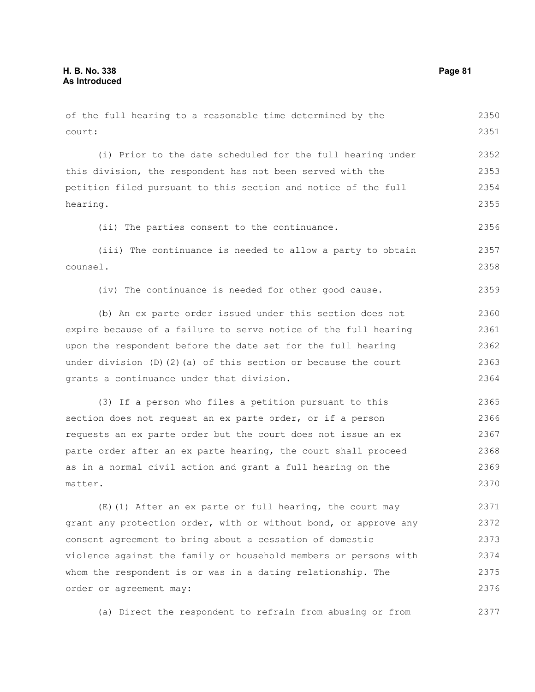of the full hearing to a reasonable time determined by the court: (i) Prior to the date scheduled for the full hearing under this division, the respondent has not been served with the petition filed pursuant to this section and notice of the full hearing. (ii) The parties consent to the continuance. (iii) The continuance is needed to allow a party to obtain counsel. (iv) The continuance is needed for other good cause. (b) An ex parte order issued under this section does not expire because of a failure to serve notice of the full hearing upon the respondent before the date set for the full hearing under division (D)(2)(a) of this section or because the court grants a continuance under that division. (3) If a person who files a petition pursuant to this section does not request an ex parte order, or if a person requests an ex parte order but the court does not issue an ex parte order after an ex parte hearing, the court shall proceed as in a normal civil action and grant a full hearing on the matter. (E)(1) After an ex parte or full hearing, the court may 2350 2351 2352 2353 2354 2355 2356 2357 2358 2359 2360 2361 2362 2363 2364 2365 2366 2367 2368 2369 2370 2371

grant any protection order, with or without bond, or approve any consent agreement to bring about a cessation of domestic violence against the family or household members or persons with whom the respondent is or was in a dating relationship. The order or agreement may: 2372 2373 2374 2375 2376

(a) Direct the respondent to refrain from abusing or from 2377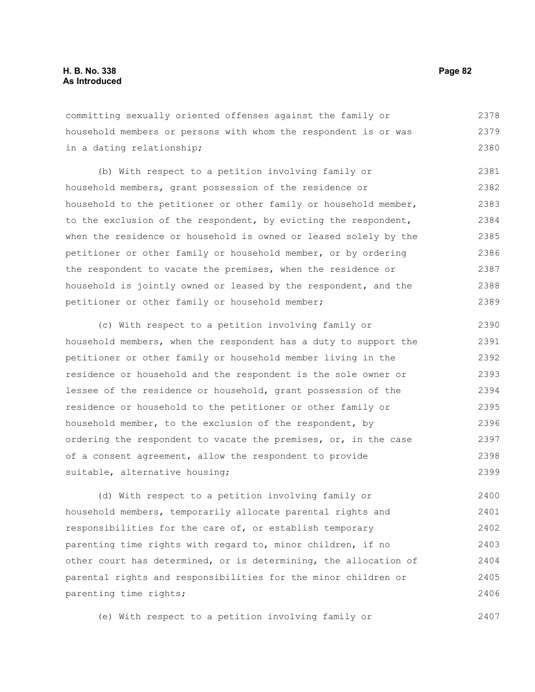committing sexually oriented offenses against the family or household members or persons with whom the respondent is or was in a dating relationship; 2378 2379 2380

(b) With respect to a petition involving family or household members, grant possession of the residence or household to the petitioner or other family or household member, to the exclusion of the respondent, by evicting the respondent, when the residence or household is owned or leased solely by the petitioner or other family or household member, or by ordering the respondent to vacate the premises, when the residence or household is jointly owned or leased by the respondent, and the petitioner or other family or household member; 2381 2382 2383 2384 2385 2386 2387 2388 2389

(c) With respect to a petition involving family or household members, when the respondent has a duty to support the petitioner or other family or household member living in the residence or household and the respondent is the sole owner or lessee of the residence or household, grant possession of the residence or household to the petitioner or other family or household member, to the exclusion of the respondent, by ordering the respondent to vacate the premises, or, in the case of a consent agreement, allow the respondent to provide suitable, alternative housing; 2390 2391 2392 2393 2394 2395 2396 2397 2398 2399

(d) With respect to a petition involving family or household members, temporarily allocate parental rights and responsibilities for the care of, or establish temporary parenting time rights with regard to, minor children, if no other court has determined, or is determining, the allocation of parental rights and responsibilities for the minor children or parenting time rights; 2400 2401 2402 2403 2404 2405 2406

(e) With respect to a petition involving family or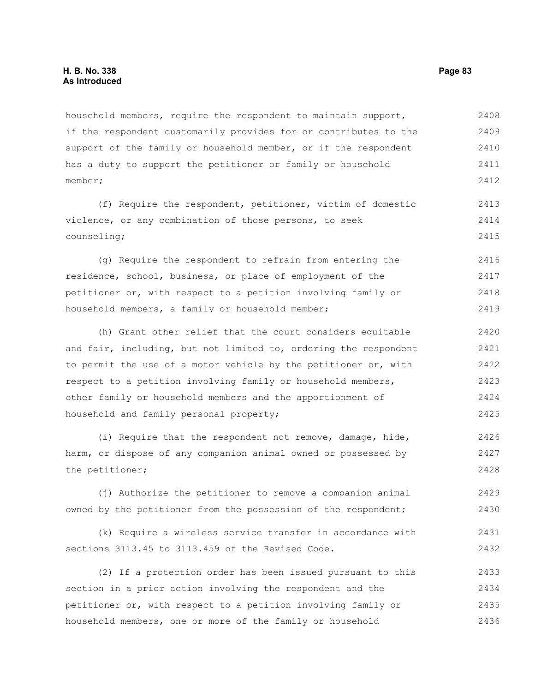household members, require the respondent to maintain support, if the respondent customarily provides for or contributes to the support of the family or household member, or if the respondent has a duty to support the petitioner or family or household member; 2408 2409 2410 2411 2412

(f) Require the respondent, petitioner, victim of domestic violence, or any combination of those persons, to seek counseling; 2413 2414 2415

(g) Require the respondent to refrain from entering the residence, school, business, or place of employment of the petitioner or, with respect to a petition involving family or household members, a family or household member; 2416 2417 2418 2419

(h) Grant other relief that the court considers equitable and fair, including, but not limited to, ordering the respondent to permit the use of a motor vehicle by the petitioner or, with respect to a petition involving family or household members, other family or household members and the apportionment of household and family personal property; 2420 2421 2422 2423 2424 2425

(i) Require that the respondent not remove, damage, hide, harm, or dispose of any companion animal owned or possessed by the petitioner; 2426 2427 2428

(j) Authorize the petitioner to remove a companion animal owned by the petitioner from the possession of the respondent; 2429 2430

(k) Require a wireless service transfer in accordance with sections 3113.45 to 3113.459 of the Revised Code. 2431 2432

(2) If a protection order has been issued pursuant to this section in a prior action involving the respondent and the petitioner or, with respect to a petition involving family or household members, one or more of the family or household 2433 2434 2435 2436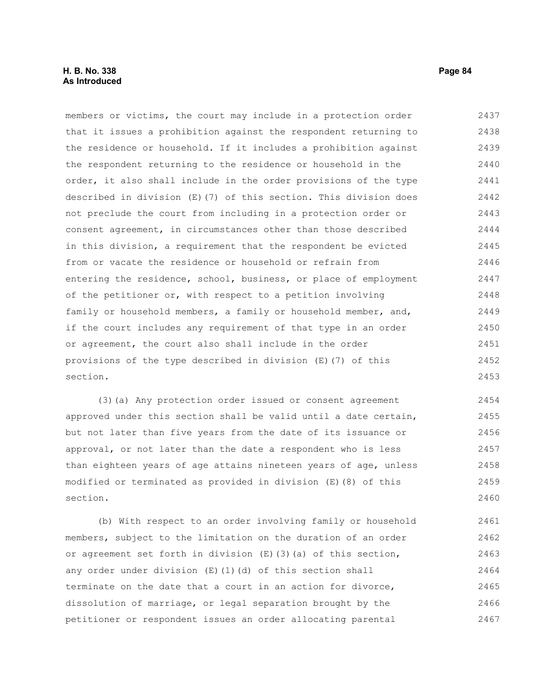## **H. B. No. 338 Page 84 As Introduced**

members or victims, the court may include in a protection order that it issues a prohibition against the respondent returning to the residence or household. If it includes a prohibition against the respondent returning to the residence or household in the order, it also shall include in the order provisions of the type described in division (E)(7) of this section. This division does not preclude the court from including in a protection order or consent agreement, in circumstances other than those described in this division, a requirement that the respondent be evicted from or vacate the residence or household or refrain from entering the residence, school, business, or place of employment of the petitioner or, with respect to a petition involving family or household members, a family or household member, and, if the court includes any requirement of that type in an order or agreement, the court also shall include in the order provisions of the type described in division (E)(7) of this section. 2437 2438 2439 2440 2441 2442 2443 2444 2445 2446 2447 2448 2449 2450 2451 2452 2453

(3)(a) Any protection order issued or consent agreement approved under this section shall be valid until a date certain, but not later than five years from the date of its issuance or approval, or not later than the date a respondent who is less than eighteen years of age attains nineteen years of age, unless modified or terminated as provided in division (E)(8) of this section. 2454 2455 2456 2457 2458 2459 2460

(b) With respect to an order involving family or household members, subject to the limitation on the duration of an order or agreement set forth in division  $(E)$  (3)(a) of this section, any order under division (E)(1)(d) of this section shall terminate on the date that a court in an action for divorce, dissolution of marriage, or legal separation brought by the petitioner or respondent issues an order allocating parental 2461 2462 2463 2464 2465 2466 2467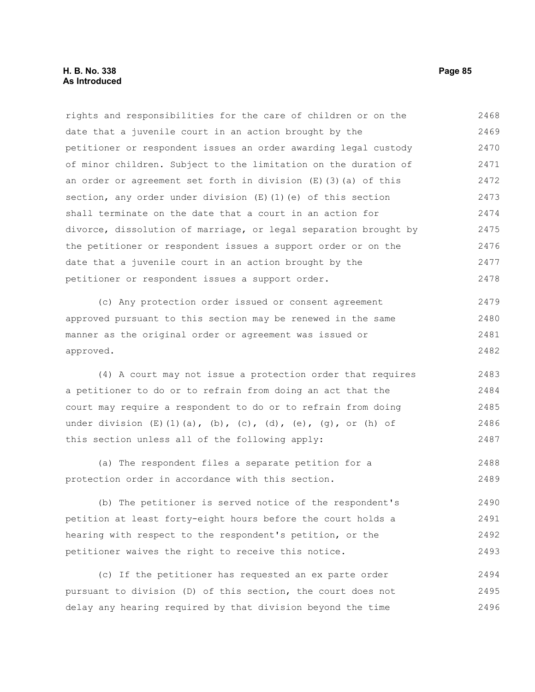#### **H. B. No. 338 Page 85 As Introduced**

rights and responsibilities for the care of children or on the date that a juvenile court in an action brought by the petitioner or respondent issues an order awarding legal custody of minor children. Subject to the limitation on the duration of an order or agreement set forth in division  $(E)$  (3)(a) of this section, any order under division (E)(1)(e) of this section shall terminate on the date that a court in an action for divorce, dissolution of marriage, or legal separation brought by the petitioner or respondent issues a support order or on the date that a juvenile court in an action brought by the petitioner or respondent issues a support order. 2468 2469 2470 2471 2472 2473 2474 2475 2476 2477 2478

(c) Any protection order issued or consent agreement approved pursuant to this section may be renewed in the same manner as the original order or agreement was issued or approved. 2479 2480 2481 2482

(4) A court may not issue a protection order that requires a petitioner to do or to refrain from doing an act that the court may require a respondent to do or to refrain from doing under division  $(E)(1)(a)$ ,  $(b)$ ,  $(c)$ ,  $(d)$ ,  $(e)$ ,  $(q)$ , or  $(h)$  of this section unless all of the following apply: 2483 2484 2485 2486 2487

(a) The respondent files a separate petition for a protection order in accordance with this section. 2488 2489

(b) The petitioner is served notice of the respondent's petition at least forty-eight hours before the court holds a hearing with respect to the respondent's petition, or the petitioner waives the right to receive this notice. 2490 2491 2492 2493

(c) If the petitioner has requested an ex parte order pursuant to division (D) of this section, the court does not delay any hearing required by that division beyond the time 2494 2495 2496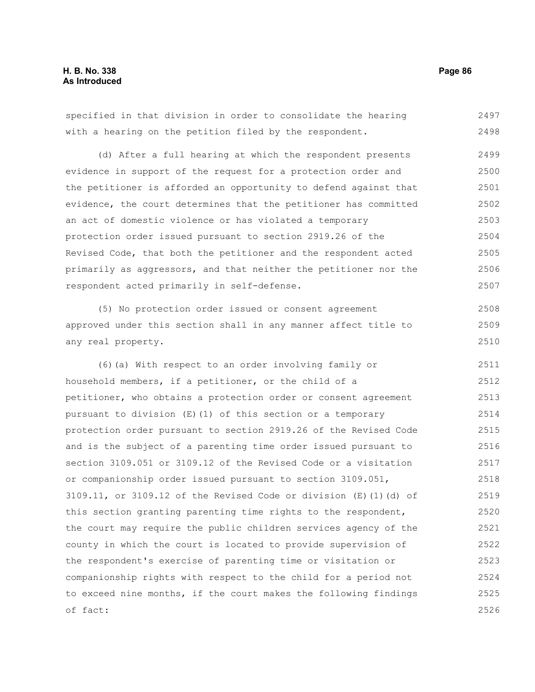# **H. B. No. 338 Page 86 As Introduced**

specified in that division in order to consolidate the hearing with a hearing on the petition filed by the respondent. 2497 2498

(d) After a full hearing at which the respondent presents evidence in support of the request for a protection order and the petitioner is afforded an opportunity to defend against that evidence, the court determines that the petitioner has committed an act of domestic violence or has violated a temporary protection order issued pursuant to section 2919.26 of the Revised Code, that both the petitioner and the respondent acted primarily as aggressors, and that neither the petitioner nor the respondent acted primarily in self-defense. 2499 2500 2501 2502 2503 2504 2505 2506 2507

(5) No protection order issued or consent agreement approved under this section shall in any manner affect title to any real property.

(6)(a) With respect to an order involving family or household members, if a petitioner, or the child of a petitioner, who obtains a protection order or consent agreement pursuant to division (E)(1) of this section or a temporary protection order pursuant to section 2919.26 of the Revised Code and is the subject of a parenting time order issued pursuant to section 3109.051 or 3109.12 of the Revised Code or a visitation or companionship order issued pursuant to section 3109.051,  $3109.11$ , or  $3109.12$  of the Revised Code or division (E)(1)(d) of this section granting parenting time rights to the respondent, the court may require the public children services agency of the county in which the court is located to provide supervision of the respondent's exercise of parenting time or visitation or companionship rights with respect to the child for a period not to exceed nine months, if the court makes the following findings of fact: 2511 2512 2513 2514 2515 2516 2517 2518 2519 2520 2521 2522 2523 2524 2525 2526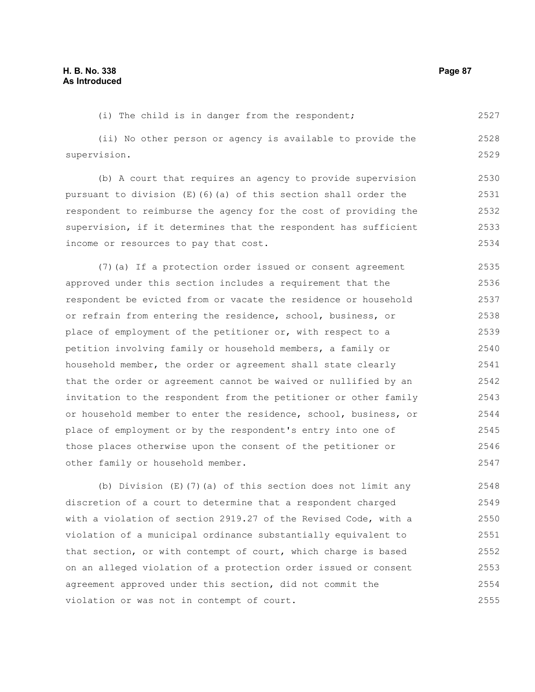(i) The child is in danger from the respondent; 2527

(ii) No other person or agency is available to provide the supervision. 2528 2529

(b) A court that requires an agency to provide supervision pursuant to division (E)(6)(a) of this section shall order the respondent to reimburse the agency for the cost of providing the supervision, if it determines that the respondent has sufficient income or resources to pay that cost. 2530 2531 2532 2533 2534

(7)(a) If a protection order issued or consent agreement approved under this section includes a requirement that the respondent be evicted from or vacate the residence or household or refrain from entering the residence, school, business, or place of employment of the petitioner or, with respect to a petition involving family or household members, a family or household member, the order or agreement shall state clearly that the order or agreement cannot be waived or nullified by an invitation to the respondent from the petitioner or other family or household member to enter the residence, school, business, or place of employment or by the respondent's entry into one of those places otherwise upon the consent of the petitioner or other family or household member. 2535 2536 2537 2538 2539 2540 2541 2542 2543 2544 2545 2546 2547

(b) Division (E)(7)(a) of this section does not limit any discretion of a court to determine that a respondent charged with a violation of section 2919.27 of the Revised Code, with a violation of a municipal ordinance substantially equivalent to that section, or with contempt of court, which charge is based on an alleged violation of a protection order issued or consent agreement approved under this section, did not commit the violation or was not in contempt of court. 2548 2549 2550 2551 2552 2553 2554 2555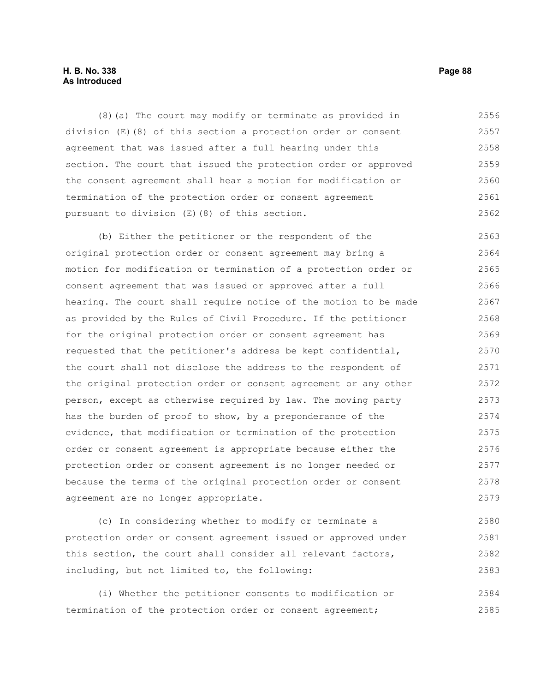## **H. B. No. 338 Page 88 As Introduced**

(8)(a) The court may modify or terminate as provided in division (E)(8) of this section a protection order or consent agreement that was issued after a full hearing under this section. The court that issued the protection order or approved the consent agreement shall hear a motion for modification or termination of the protection order or consent agreement pursuant to division (E)(8) of this section. 2556 2557 2558 2559 2560 2561 2562

(b) Either the petitioner or the respondent of the original protection order or consent agreement may bring a motion for modification or termination of a protection order or consent agreement that was issued or approved after a full hearing. The court shall require notice of the motion to be made as provided by the Rules of Civil Procedure. If the petitioner for the original protection order or consent agreement has requested that the petitioner's address be kept confidential, the court shall not disclose the address to the respondent of the original protection order or consent agreement or any other person, except as otherwise required by law. The moving party has the burden of proof to show, by a preponderance of the evidence, that modification or termination of the protection order or consent agreement is appropriate because either the protection order or consent agreement is no longer needed or because the terms of the original protection order or consent agreement are no longer appropriate. 2563 2564 2565 2566 2567 2568 2569 2570 2571 2572 2573 2574 2575 2576 2577 2578 2579

(c) In considering whether to modify or terminate a protection order or consent agreement issued or approved under this section, the court shall consider all relevant factors, including, but not limited to, the following: 2580 2581 2582 2583

(i) Whether the petitioner consents to modification or termination of the protection order or consent agreement; 2584 2585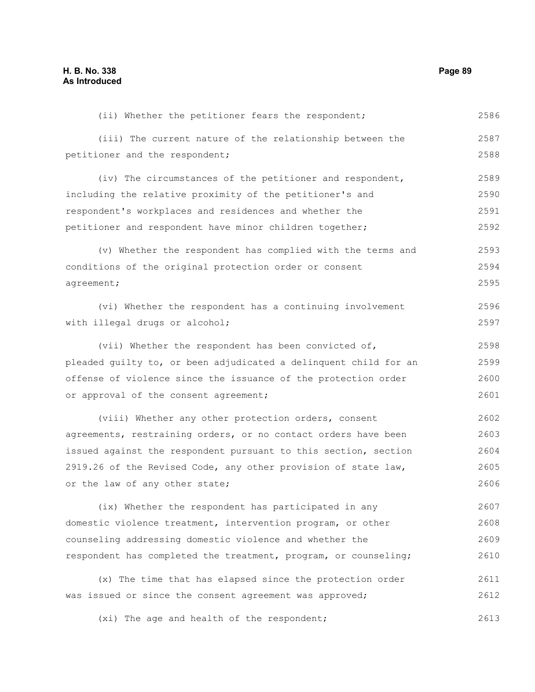(ii) Whether the petitioner fears the respondent; (iii) The current nature of the relationship between the petitioner and the respondent; (iv) The circumstances of the petitioner and respondent, including the relative proximity of the petitioner's and respondent's workplaces and residences and whether the petitioner and respondent have minor children together; (v) Whether the respondent has complied with the terms and conditions of the original protection order or consent agreement; (vi) Whether the respondent has a continuing involvement with illegal drugs or alcohol; (vii) Whether the respondent has been convicted of, pleaded guilty to, or been adjudicated a delinquent child for an offense of violence since the issuance of the protection order or approval of the consent agreement; (viii) Whether any other protection orders, consent agreements, restraining orders, or no contact orders have been issued against the respondent pursuant to this section, section 2919.26 of the Revised Code, any other provision of state law, or the law of any other state; (ix) Whether the respondent has participated in any domestic violence treatment, intervention program, or other counseling addressing domestic violence and whether the respondent has completed the treatment, program, or counseling; (x) The time that has elapsed since the protection order was issued or since the consent agreement was approved; (xi) The age and health of the respondent; 2586 2587 2588 2589 2590 2591 2592 2593 2594 2595 2596 2597 2598 2599 2600 2601 2602 2603 2604 2605 2606 2607 2608 2609 2610 2611 2612 2613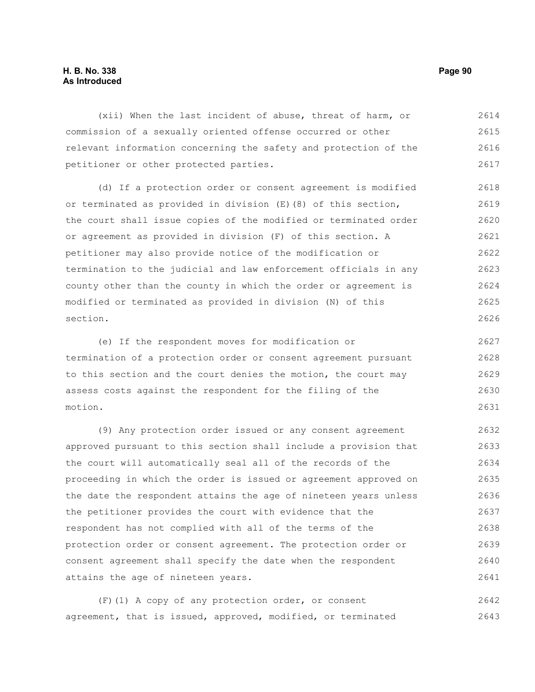# **H. B. No. 338 Page 90 As Introduced**

(xii) When the last incident of abuse, threat of harm, or commission of a sexually oriented offense occurred or other relevant information concerning the safety and protection of the petitioner or other protected parties. 2614 2615 2616 2617

(d) If a protection order or consent agreement is modified or terminated as provided in division  $(E)$  (8) of this section, the court shall issue copies of the modified or terminated order or agreement as provided in division (F) of this section. A petitioner may also provide notice of the modification or termination to the judicial and law enforcement officials in any county other than the county in which the order or agreement is modified or terminated as provided in division (N) of this section. 2618 2619 2620 2621 2622 2623 2624 2625 2626

(e) If the respondent moves for modification or termination of a protection order or consent agreement pursuant to this section and the court denies the motion, the court may assess costs against the respondent for the filing of the motion. 2627 2628 2629 2630 2631

(9) Any protection order issued or any consent agreement approved pursuant to this section shall include a provision that the court will automatically seal all of the records of the proceeding in which the order is issued or agreement approved on the date the respondent attains the age of nineteen years unless the petitioner provides the court with evidence that the respondent has not complied with all of the terms of the protection order or consent agreement. The protection order or consent agreement shall specify the date when the respondent attains the age of nineteen years. 2632 2633 2634 2635 2636 2637 2638 2639 2640 2641

(F)(1) A copy of any protection order, or consent agreement, that is issued, approved, modified, or terminated 2642 2643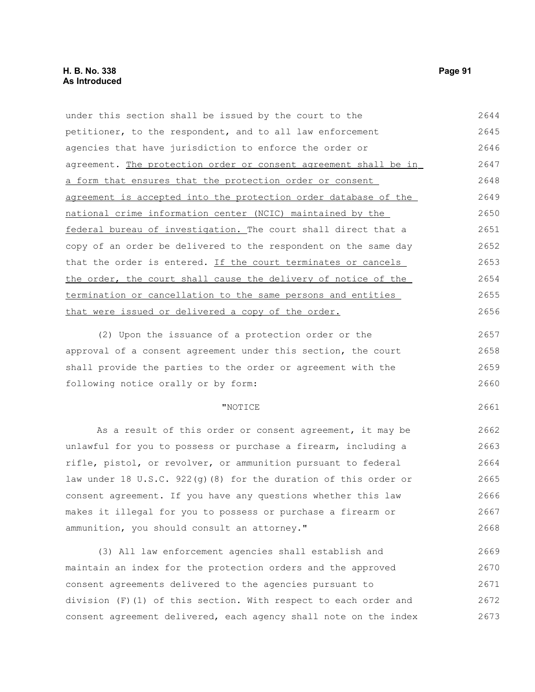| under this section shall be issued by the court to the                 | 2644 |
|------------------------------------------------------------------------|------|
| petitioner, to the respondent, and to all law enforcement              | 2645 |
| agencies that have jurisdiction to enforce the order or                | 2646 |
| agreement. The protection order or consent agreement shall be in       | 2647 |
| a form that ensures that the protection order or consent               | 2648 |
| <u>agreement is accepted into the protection order database of the</u> | 2649 |
| national crime information center (NCIC) maintained by the             | 2650 |
| federal bureau of investigation. The court shall direct that a         | 2651 |
| copy of an order be delivered to the respondent on the same day        | 2652 |
| that the order is entered. If the court terminates or cancels          | 2653 |
| the order, the court shall cause the delivery of notice of the         | 2654 |
| termination or cancellation to the same persons and entities           | 2655 |
| that were issued or delivered a copy of the order.                     | 2656 |
| (2) Upon the issuance of a protection order or the                     | 2657 |
| approval of a consent agreement under this section, the court          | 2658 |

|                                     |  |  |  | shall provide the parties to the order or agreement with the |  | 2659 |
|-------------------------------------|--|--|--|--------------------------------------------------------------|--|------|
| following notice orally or by form: |  |  |  |                                                              |  | 2660 |

#### "NOTICE

As a result of this order or consent agreement, it may be unlawful for you to possess or purchase a firearm, including a rifle, pistol, or revolver, or ammunition pursuant to federal law under 18 U.S.C. 922(g)(8) for the duration of this order or consent agreement. If you have any questions whether this law makes it illegal for you to possess or purchase a firearm or ammunition, you should consult an attorney." 2662 2663 2664 2665 2666 2667 2668

(3) All law enforcement agencies shall establish and maintain an index for the protection orders and the approved consent agreements delivered to the agencies pursuant to division (F)(1) of this section. With respect to each order and consent agreement delivered, each agency shall note on the index 2669 2670 2671 2672 2673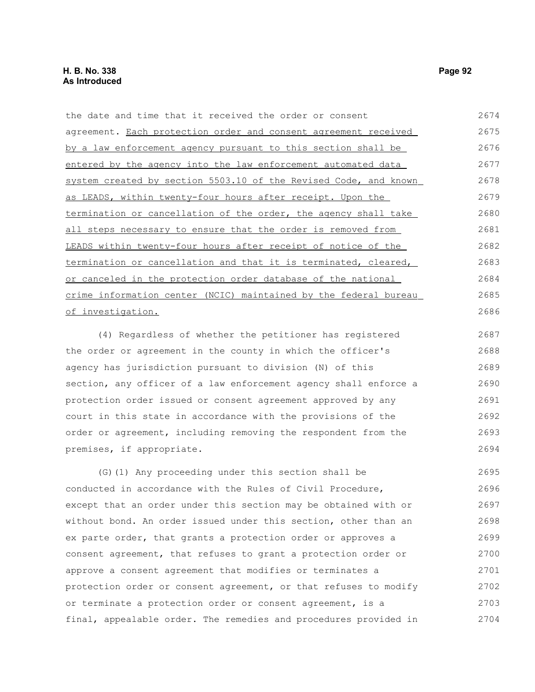| the date and time that it received the order or consent          | 2674 |
|------------------------------------------------------------------|------|
| agreement. Each protection order and consent agreement received  | 2675 |
| by a law enforcement agency pursuant to this section shall be    | 2676 |
| entered by the agency into the law enforcement automated data    | 2677 |
| system created by section 5503.10 of the Revised Code, and known | 2678 |
| as LEADS, within twenty-four hours after receipt. Upon the       | 2679 |
| termination or cancellation of the order, the agency shall take  | 2680 |
| all steps necessary to ensure that the order is removed from     | 2681 |
| LEADS within twenty-four hours after receipt of notice of the    | 2682 |
| termination or cancellation and that it is terminated, cleared,  | 2683 |
| or canceled in the protection order database of the national     | 2684 |
| crime information center (NCIC) maintained by the federal bureau | 2685 |
| of investigation.                                                | 2686 |
| (4) Regardless of whether the petitioner has registered          | 2687 |
| the order or agreement in the county in which the officer's      | 2688 |

agency has jurisdiction pursuant to division (N) of this section, any officer of a law enforcement agency shall enforce a protection order issued or consent agreement approved by any court in this state in accordance with the provisions of the order or agreement, including removing the respondent from the premises, if appropriate. 2689 2690 2691 2692 2693 2694

(G)(1) Any proceeding under this section shall be conducted in accordance with the Rules of Civil Procedure, except that an order under this section may be obtained with or without bond. An order issued under this section, other than an ex parte order, that grants a protection order or approves a consent agreement, that refuses to grant a protection order or approve a consent agreement that modifies or terminates a protection order or consent agreement, or that refuses to modify or terminate a protection order or consent agreement, is a final, appealable order. The remedies and procedures provided in 2695 2696 2697 2698 2699 2700 2701 2702 2703 2704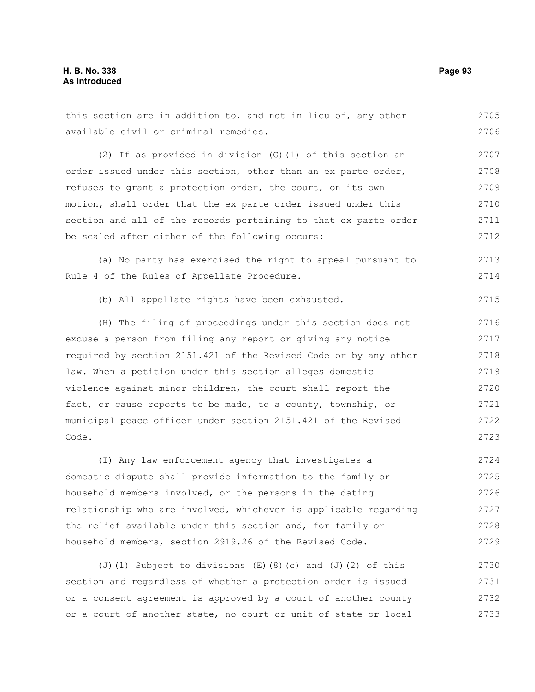this section are in addition to, and not in lieu of, any other available civil or criminal remedies. 2705 2706

(2) If as provided in division (G)(1) of this section an order issued under this section, other than an ex parte order, refuses to grant a protection order, the court, on its own motion, shall order that the ex parte order issued under this section and all of the records pertaining to that ex parte order be sealed after either of the following occurs: 2707 2708 2709 2710 2711 2712

(a) No party has exercised the right to appeal pursuant to Rule 4 of the Rules of Appellate Procedure. 2713 2714

(b) All appellate rights have been exhausted.

(H) The filing of proceedings under this section does not excuse a person from filing any report or giving any notice required by section 2151.421 of the Revised Code or by any other law. When a petition under this section alleges domestic violence against minor children, the court shall report the fact, or cause reports to be made, to a county, township, or municipal peace officer under section 2151.421 of the Revised Code. 2716 2717 2718 2719 2720 2721 2722 2723

(I) Any law enforcement agency that investigates a domestic dispute shall provide information to the family or household members involved, or the persons in the dating relationship who are involved, whichever is applicable regarding the relief available under this section and, for family or household members, section 2919.26 of the Revised Code. 2724 2725 2726 2727 2728 2729

(J)(1) Subject to divisions  $(E)$ (8)(e) and (J)(2) of this section and regardless of whether a protection order is issued or a consent agreement is approved by a court of another county or a court of another state, no court or unit of state or local 2730 2731 2732 2733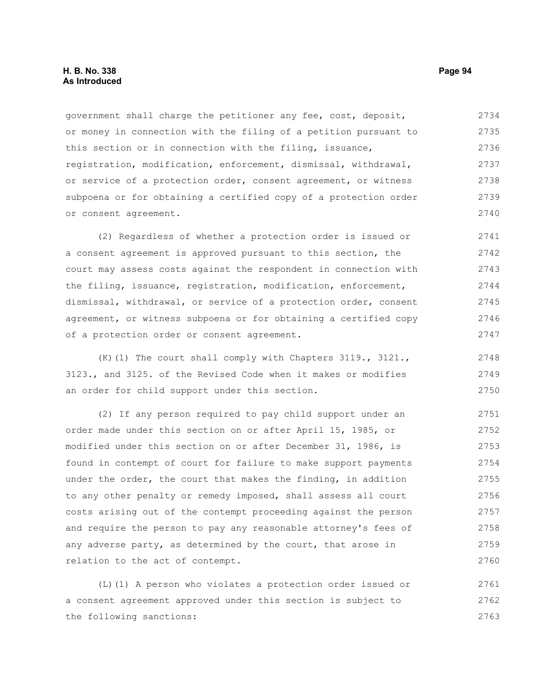government shall charge the petitioner any fee, cost, deposit, or money in connection with the filing of a petition pursuant to this section or in connection with the filing, issuance, registration, modification, enforcement, dismissal, withdrawal, or service of a protection order, consent agreement, or witness subpoena or for obtaining a certified copy of a protection order or consent agreement. 2734 2735 2736 2737 2738 2739 2740

(2) Regardless of whether a protection order is issued or a consent agreement is approved pursuant to this section, the court may assess costs against the respondent in connection with the filing, issuance, registration, modification, enforcement, dismissal, withdrawal, or service of a protection order, consent agreement, or witness subpoena or for obtaining a certified copy of a protection order or consent agreement. 2741 2742 2743 2744 2745 2746 2747

(K)(1) The court shall comply with Chapters 3119., 3121., 3123., and 3125. of the Revised Code when it makes or modifies an order for child support under this section. 2748 2749 2750

(2) If any person required to pay child support under an order made under this section on or after April 15, 1985, or modified under this section on or after December 31, 1986, is found in contempt of court for failure to make support payments under the order, the court that makes the finding, in addition to any other penalty or remedy imposed, shall assess all court costs arising out of the contempt proceeding against the person and require the person to pay any reasonable attorney's fees of any adverse party, as determined by the court, that arose in relation to the act of contempt. 2751 2752 2753 2754 2755 2756 2757 2758 2759 2760

(L)(1) A person who violates a protection order issued or a consent agreement approved under this section is subject to the following sanctions: 2761 2762 2763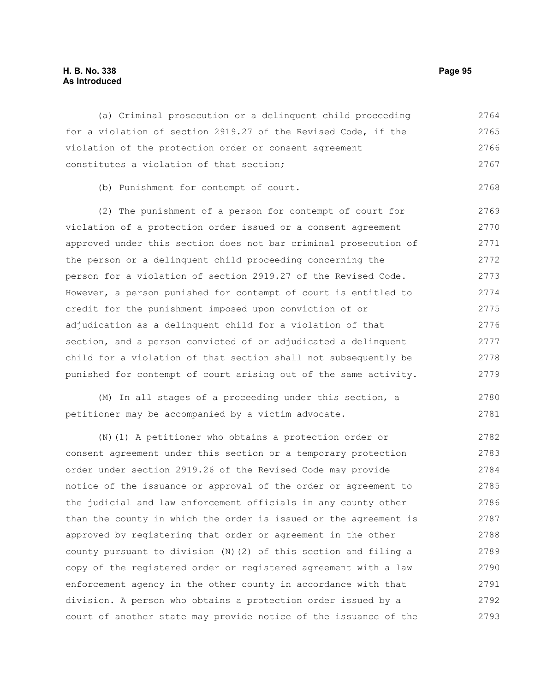## **H. B. No. 338 Page 95 As Introduced**

(a) Criminal prosecution or a delinquent child proceeding for a violation of section 2919.27 of the Revised Code, if the violation of the protection order or consent agreement constitutes a violation of that section; 2764 2765 2766 2767

(b) Punishment for contempt of court. 2768

(2) The punishment of a person for contempt of court for violation of a protection order issued or a consent agreement approved under this section does not bar criminal prosecution of the person or a delinquent child proceeding concerning the person for a violation of section 2919.27 of the Revised Code. However, a person punished for contempt of court is entitled to credit for the punishment imposed upon conviction of or adjudication as a delinquent child for a violation of that section, and a person convicted of or adjudicated a delinquent child for a violation of that section shall not subsequently be punished for contempt of court arising out of the same activity. 2769 2770 2771 2772 2773 2774 2775 2776 2777 2778 2779

(M) In all stages of a proceeding under this section, a petitioner may be accompanied by a victim advocate. 2780 2781

(N)(1) A petitioner who obtains a protection order or consent agreement under this section or a temporary protection order under section 2919.26 of the Revised Code may provide notice of the issuance or approval of the order or agreement to the judicial and law enforcement officials in any county other than the county in which the order is issued or the agreement is approved by registering that order or agreement in the other county pursuant to division (N)(2) of this section and filing a copy of the registered order or registered agreement with a law enforcement agency in the other county in accordance with that division. A person who obtains a protection order issued by a court of another state may provide notice of the issuance of the 2782 2783 2784 2785 2786 2787 2788 2789 2790 2791 2792 2793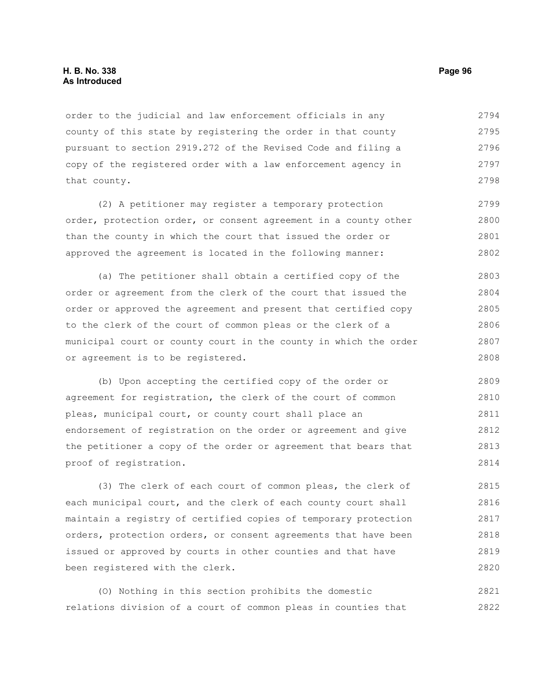order to the judicial and law enforcement officials in any county of this state by registering the order in that county pursuant to section 2919.272 of the Revised Code and filing a copy of the registered order with a law enforcement agency in that county. 2794 2795 2796 2797 2798

(2) A petitioner may register a temporary protection order, protection order, or consent agreement in a county other than the county in which the court that issued the order or approved the agreement is located in the following manner: 2799 2800 2801 2802

(a) The petitioner shall obtain a certified copy of the order or agreement from the clerk of the court that issued the order or approved the agreement and present that certified copy to the clerk of the court of common pleas or the clerk of a municipal court or county court in the county in which the order or agreement is to be registered. 2803 2804 2805 2806 2807 2808

(b) Upon accepting the certified copy of the order or agreement for registration, the clerk of the court of common pleas, municipal court, or county court shall place an endorsement of registration on the order or agreement and give the petitioner a copy of the order or agreement that bears that proof of registration. 2809 2810 2811 2812 2813 2814

(3) The clerk of each court of common pleas, the clerk of each municipal court, and the clerk of each county court shall maintain a registry of certified copies of temporary protection orders, protection orders, or consent agreements that have been issued or approved by courts in other counties and that have been registered with the clerk. 2815 2816 2817 2818 2819 2820

(O) Nothing in this section prohibits the domestic relations division of a court of common pleas in counties that 2821 2822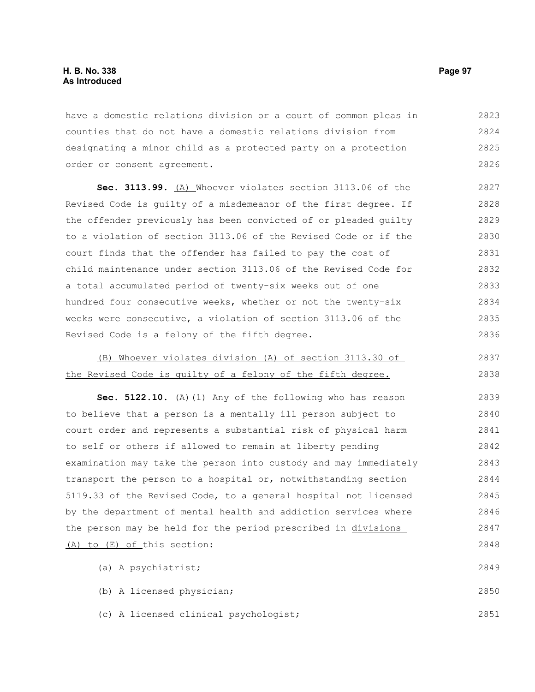have a domestic relations division or a court of common pleas in counties that do not have a domestic relations division from designating a minor child as a protected party on a protection order or consent agreement. 2823 2824 2825 2826

**Sec. 3113.99.** (A) Whoever violates section 3113.06 of the Revised Code is guilty of a misdemeanor of the first degree. If the offender previously has been convicted of or pleaded guilty to a violation of section 3113.06 of the Revised Code or if the court finds that the offender has failed to pay the cost of child maintenance under section 3113.06 of the Revised Code for a total accumulated period of twenty-six weeks out of one hundred four consecutive weeks, whether or not the twenty-six weeks were consecutive, a violation of section 3113.06 of the Revised Code is a felony of the fifth degree. 2827 2828 2829 2830 2831 2832 2833 2834 2835 2836

#### (B) Whoever violates division (A) of section 3113.30 of the Revised Code is guilty of a felony of the fifth degree. 2837 2838

**Sec. 5122.10.** (A)(1) Any of the following who has reason to believe that a person is a mentally ill person subject to court order and represents a substantial risk of physical harm to self or others if allowed to remain at liberty pending examination may take the person into custody and may immediately transport the person to a hospital or, notwithstanding section 5119.33 of the Revised Code, to a general hospital not licensed by the department of mental health and addiction services where the person may be held for the period prescribed in divisions  $(A)$  to  $(E)$  of this section: 2839 2840 2841 2842 2843 2844 2845 2846 2847 2848

(a) A psychiatrist; 2849

(b) A licensed physician; 2850

(c) A licensed clinical psychologist;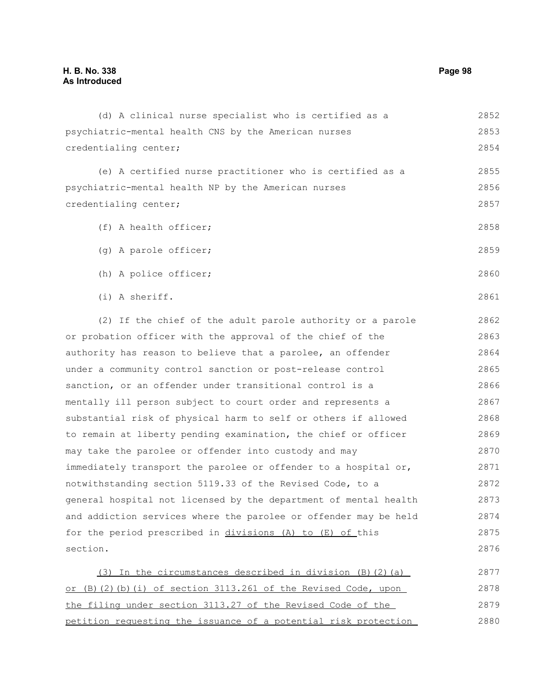| (d) A clinical nurse specialist who is certified as a            | 2852 |
|------------------------------------------------------------------|------|
| psychiatric-mental health CNS by the American nurses             | 2853 |
| credentialing center;                                            | 2854 |
| (e) A certified nurse practitioner who is certified as a         | 2855 |
| psychiatric-mental health NP by the American nurses              | 2856 |
| credentialing center;                                            | 2857 |
| (f) A health officer;                                            | 2858 |
| (g) A parole officer;                                            | 2859 |
| (h) A police officer;                                            | 2860 |
| (i) A sheriff.                                                   | 2861 |
| (2) If the chief of the adult parole authority or a parole       | 2862 |
| or probation officer with the approval of the chief of the       | 2863 |
| authority has reason to believe that a parolee, an offender      | 2864 |
| under a community control sanction or post-release control       | 2865 |
| sanction, or an offender under transitional control is a         | 2866 |
| mentally ill person subject to court order and represents a      | 2867 |
| substantial risk of physical harm to self or others if allowed   | 2868 |
| to remain at liberty pending examination, the chief or officer   | 2869 |
| may take the parolee or offender into custody and may            | 2870 |
| immediately transport the parolee or offender to a hospital or,  | 2871 |
| notwithstanding section 5119.33 of the Revised Code, to a        | 2872 |
| general hospital not licensed by the department of mental health | 2873 |
| and addiction services where the parolee or offender may be held | 2874 |
| for the period prescribed in divisions (A) to (E) of this        | 2875 |
| section.                                                         | 2876 |
| (3) In the circumstances described in division (B) (2) (a)       | 2877 |
| or (B) (2) (b) (i) of section 3113.261 of the Revised Code, upon | 2878 |
| the filing under section 3113.27 of the Revised Code of the      | 2879 |
| petition requesting the issuance of a potential risk protection  | 2880 |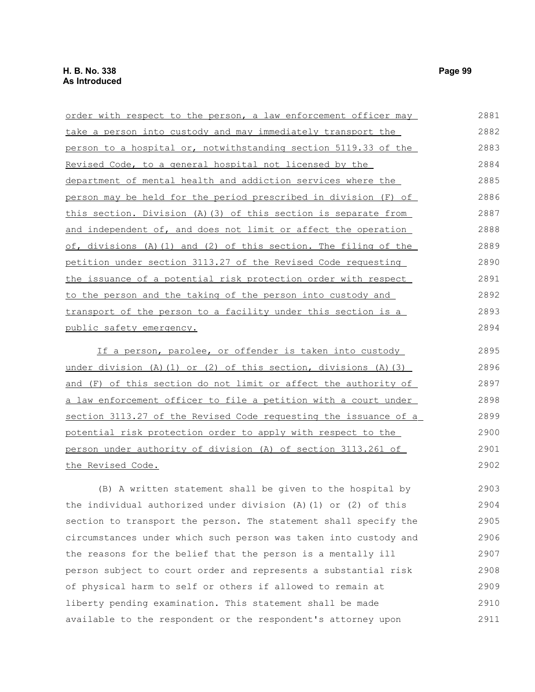| order with respect to the person, a law enforcement officer may      | 2881 |
|----------------------------------------------------------------------|------|
| take a person into custody and may immediately transport the         | 2882 |
| person to a hospital or, notwithstanding section 5119.33 of the      | 2883 |
| Revised Code, to a general hospital not licensed by the              | 2884 |
| department of mental health and addiction services where the         | 2885 |
| person may be held for the period prescribed in division (F) of      | 2886 |
| this section. Division (A) (3) of this section is separate from      | 2887 |
| and independent of, and does not limit or affect the operation       | 2888 |
| of, divisions $(A) (1)$ and $(2)$ of this section. The filing of the | 2889 |
| petition under section 3113.27 of the Revised Code requesting        | 2890 |
| the issuance of a potential risk protection order with respect       | 2891 |
| to the person and the taking of the person into custody and          | 2892 |
| transport of the person to a facility under this section is a        | 2893 |
| public safety emergency.                                             | 2894 |
| If a person, parolee, or offender is taken into custody              | 2895 |

 under division (A)(1) or (2) of this section, divisions (A)(3) and (F) of this section do not limit or affect the authority of a law enforcement officer to file a petition with a court under section 3113.27 of the Revised Code requesting the issuance of a potential risk protection order to apply with respect to the person under authority of division (A) of section 3113.261 of the Revised Code. 2896 2897 2898 2899 2900 2901 2902

(B) A written statement shall be given to the hospital by the individual authorized under division (A)(1) or (2) of this section to transport the person. The statement shall specify the circumstances under which such person was taken into custody and the reasons for the belief that the person is a mentally ill person subject to court order and represents a substantial risk of physical harm to self or others if allowed to remain at liberty pending examination. This statement shall be made available to the respondent or the respondent's attorney upon 2903 2904 2905 2906 2907 2908 2909 2910 2911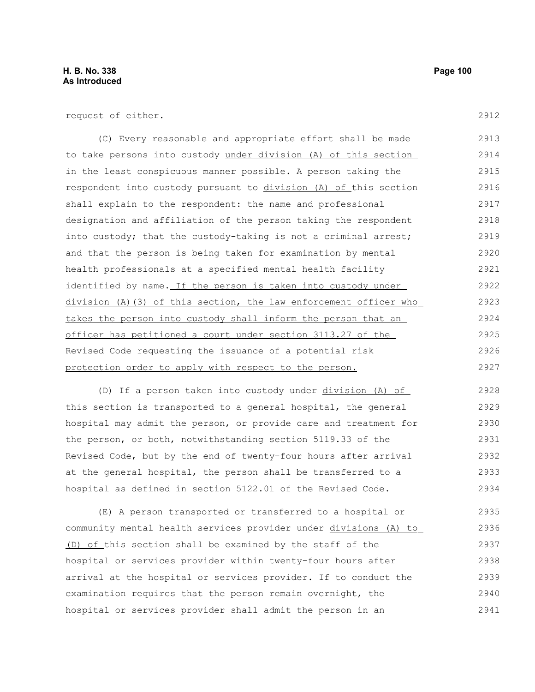request of either.

(C) Every reasonable and appropriate effort shall be made to take persons into custody under division (A) of this section in the least conspicuous manner possible. A person taking the respondent into custody pursuant to division (A) of this section shall explain to the respondent: the name and professional designation and affiliation of the person taking the respondent into custody; that the custody-taking is not a criminal arrest; and that the person is being taken for examination by mental health professionals at a specified mental health facility identified by name. If the person is taken into custody under division (A)(3) of this section, the law enforcement officer who takes the person into custody shall inform the person that an officer has petitioned a court under section 3113.27 of the Revised Code requesting the issuance of a potential risk protection order to apply with respect to the person. 2913 2914 2915 2916 2917 2918 2919 2920 2921 2922 2923 2924 2925 2926 2927

(D) If a person taken into custody under division (A) of this section is transported to a general hospital, the general hospital may admit the person, or provide care and treatment for the person, or both, notwithstanding section 5119.33 of the Revised Code, but by the end of twenty-four hours after arrival at the general hospital, the person shall be transferred to a hospital as defined in section 5122.01 of the Revised Code. 2928 2929 2930 2931 2932 2933 2934

(E) A person transported or transferred to a hospital or community mental health services provider under divisions (A) to (D) of this section shall be examined by the staff of the hospital or services provider within twenty-four hours after arrival at the hospital or services provider. If to conduct the examination requires that the person remain overnight, the hospital or services provider shall admit the person in an 2935 2936 2937 2938 2939 2940 2941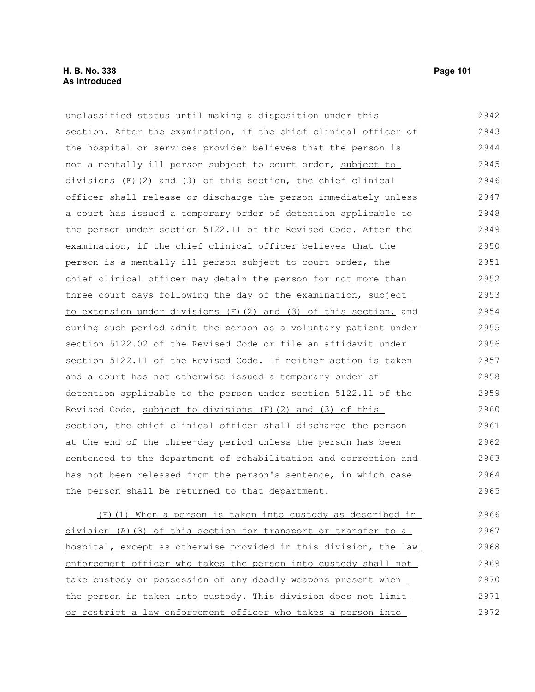## **H. B. No. 338 Page 101 As Introduced**

unclassified status until making a disposition under this section. After the examination, if the chief clinical officer of the hospital or services provider believes that the person is not a mentally ill person subject to court order, subject to divisions (F)(2) and (3) of this section, the chief clinical officer shall release or discharge the person immediately unless a court has issued a temporary order of detention applicable to the person under section 5122.11 of the Revised Code. After the examination, if the chief clinical officer believes that the person is a mentally ill person subject to court order, the chief clinical officer may detain the person for not more than three court days following the day of the examination, subject to extension under divisions (F)(2) and (3) of this section, and during such period admit the person as a voluntary patient under section 5122.02 of the Revised Code or file an affidavit under section 5122.11 of the Revised Code. If neither action is taken and a court has not otherwise issued a temporary order of detention applicable to the person under section 5122.11 of the Revised Code, subject to divisions (F)(2) and (3) of this section, the chief clinical officer shall discharge the person at the end of the three-day period unless the person has been sentenced to the department of rehabilitation and correction and has not been released from the person's sentence, in which case the person shall be returned to that department. (F)(1) When a person is taken into custody as described in 2942 2943 2944 2945 2946 2947 2948 2949 2950 2951 2952 2953 2954 2955 2956 2957 2958 2959 2960 2961 2962 2963 2964 2965 2966

division (A)(3) of this section for transport or transfer to a hospital, except as otherwise provided in this division, the law enforcement officer who takes the person into custody shall not take custody or possession of any deadly weapons present when the person is taken into custody. This division does not limit or restrict a law enforcement officer who takes a person into 2967 2968 2969 2970 2971 2972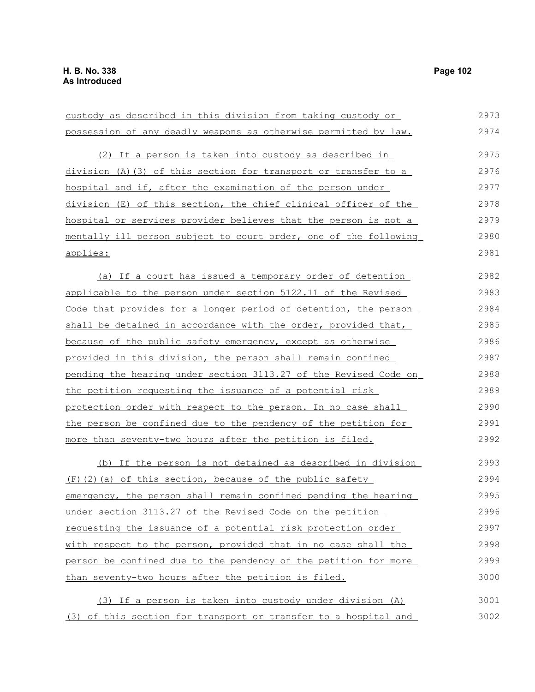| custody as described in this division from taking custody or     | 2973 |
|------------------------------------------------------------------|------|
| possession of any deadly weapons as otherwise permitted by law.  | 2974 |
| (2) If a person is taken into custody as described in            | 2975 |
| division (A) (3) of this section for transport or transfer to a  | 2976 |
| hospital and if, after the examination of the person under       | 2977 |
| division (E) of this section, the chief clinical officer of the  | 2978 |
| hospital or services provider believes that the person is not a  | 2979 |
| mentally ill person subject to court order, one of the following | 2980 |
| applies:                                                         | 2981 |
| (a) If a court has issued a temporary order of detention         | 2982 |
| applicable to the person under section 5122.11 of the Revised    | 2983 |
| Code that provides for a longer period of detention, the person  | 2984 |
| shall be detained in accordance with the order, provided that,   | 2985 |
| because of the public safety emergency, except as otherwise      | 2986 |
| provided in this division, the person shall remain confined      | 2987 |
| pending the hearing under section 3113.27 of the Revised Code on | 2988 |
| the petition requesting the issuance of a potential risk         | 2989 |
| protection order with respect to the person. In no case shall    | 2990 |
| the person be confined due to the pendency of the petition for   | 2991 |
| more than seventy-two hours after the petition is filed.         | 2992 |
| If the person is not detained as described in division<br>(b)    | 2993 |
| $(F)$ (2) (a) of this section, because of the public safety      | 2994 |
| emergency, the person shall remain confined pending the hearing  | 2995 |
| under section 3113.27 of the Revised Code on the petition        | 2996 |
| requesting the issuance of a potential risk protection order     | 2997 |
| with respect to the person, provided that in no case shall the   | 2998 |
| person be confined due to the pendency of the petition for more  | 2999 |
| than seventy-two hours after the petition is filed.              | 3000 |
| (3) If a person is taken into custody under division (A)         | 3001 |
| (3) of this section for transport or transfer to a hospital and  | 3002 |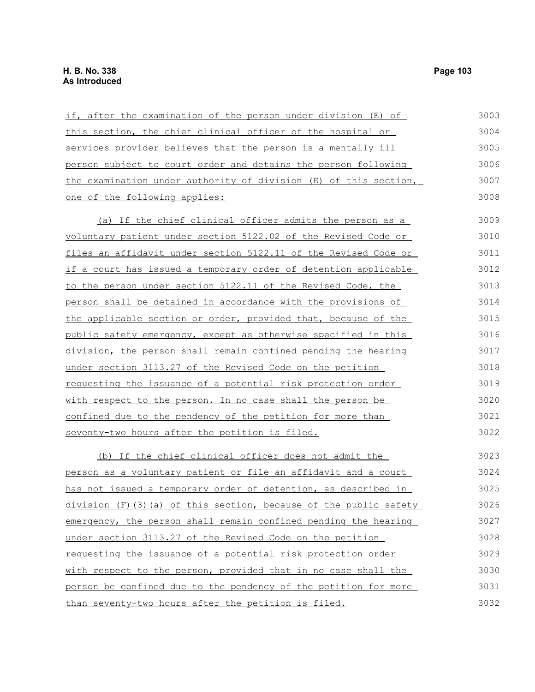| if, after the examination of the person under division (E) of    | 3003 |
|------------------------------------------------------------------|------|
| this section, the chief clinical officer of the hospital or      | 3004 |
| services provider believes that the person is a mentally ill     | 3005 |
| person subject to court order and detains the person following   | 3006 |
| the examination under authority of division (E) of this section, | 3007 |
| one of the following applies:                                    | 3008 |
| (a) If the chief clinical officer admits the person as a         | 3009 |
| voluntary patient under section 5122.02 of the Revised Code or   | 3010 |
| files an affidavit under section 5122.11 of the Revised Code or  | 3011 |
| if a court has issued a temporary order of detention applicable  | 3012 |
| to the person under section 5122.11 of the Revised Code, the     | 3013 |
| person shall be detained in accordance with the provisions of    | 3014 |
| the applicable section or order, provided that, because of the   | 3015 |
| public safety emergency, except as otherwise specified in this   | 3016 |
| division, the person shall remain confined pending the hearing   | 3017 |
| under section 3113.27 of the Revised Code on the petition        | 3018 |
| requesting the issuance of a potential risk protection order     | 3019 |
| with respect to the person. In no case shall the person be       | 3020 |
| confined due to the pendency of the petition for more than       | 3021 |
| seventy-two hours after the petition is filed.                   | 3022 |
| (b) If the chief clinical officer does not admit the             | 3023 |
| person as a voluntary patient or file an affidavit and a court   | 3024 |
| has not issued a temporary order of detention, as described in   | 3025 |
| division (F)(3)(a) of this section, because of the public safety | 3026 |
| emergency, the person shall remain confined pending the hearing  | 3027 |
| under section 3113.27 of the Revised Code on the petition        | 3028 |
| requesting the issuance of a potential risk protection order     | 3029 |
| with respect to the person, provided that in no case shall the   | 3030 |
| person be confined due to the pendency of the petition for more  | 3031 |
| than seventy-two hours after the petition is filed.              | 3032 |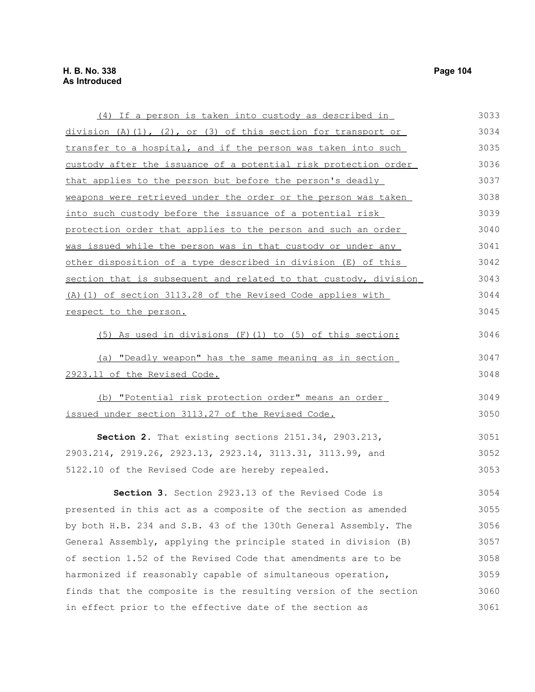(4) If a person is taken into custody as described in division  $(A)(1)$ ,  $(2)$ , or  $(3)$  of this section for transport or transfer to a hospital, and if the person was taken into such custody after the issuance of a potential risk protection order that applies to the person but before the person's deadly weapons were retrieved under the order or the person was taken into such custody before the issuance of a potential risk protection order that applies to the person and such an order was issued while the person was in that custody or under any other disposition of a type described in division (E) of this section that is subsequent and related to that custody, division (A)(1) of section 3113.28 of the Revised Code applies with respect to the person. (5) As used in divisions (F)(1) to (5) of this section: (a) "Deadly weapon" has the same meaning as in section 2923.11 of the Revised Code. (b) "Potential risk protection order" means an order issued under section 3113.27 of the Revised Code. **Section 2.** That existing sections 2151.34, 2903.213, 2903.214, 2919.26, 2923.13, 2923.14, 3113.31, 3113.99, and 3033 3034 3035 3036 3037 3038 3039 3040 3041 3042 3043 3044 3045 3046 3047 3048 3049 3050 3051 3052

 **Section 3.** Section 2923.13 of the Revised Code is presented in this act as a composite of the section as amended by both H.B. 234 and S.B. 43 of the 130th General Assembly. The General Assembly, applying the principle stated in division (B) of section 1.52 of the Revised Code that amendments are to be harmonized if reasonably capable of simultaneous operation, finds that the composite is the resulting version of the section in effect prior to the effective date of the section as 3054 3055 3056 3057 3058 3059 3060 3061

5122.10 of the Revised Code are hereby repealed.